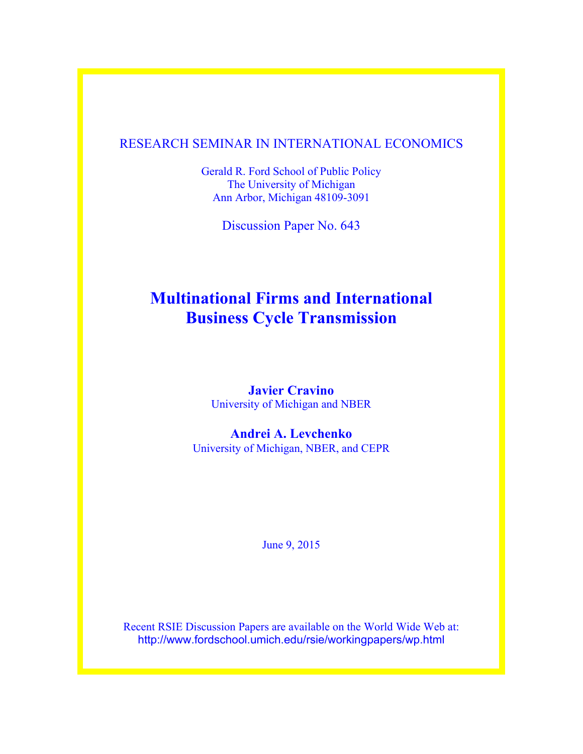### RESEARCH SEMINAR IN INTERNATIONAL ECONOMICS

Gerald R. Ford School of Public Policy The University of Michigan Ann Arbor, Michigan 48109-3091

Discussion Paper No. 643

# **Multinational Firms and International Business Cycle Transmission**

**Javier Cravino** University of Michigan and NBER

**Andrei A. Levchenko** University of Michigan, NBER, and CEPR

June 9, 2015

Recent RSIE Discussion Papers are available on the World Wide Web at: http://www.fordschool.umich.edu/rsie/workingpapers/wp.html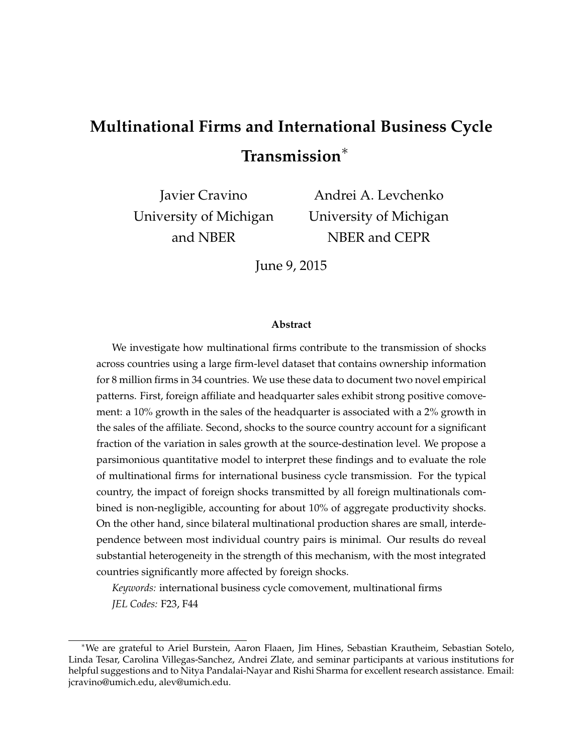# **Multinational Firms and International Business Cycle Transmission**⇤

Javier Cravino University of Michigan and NBER

Andrei A. Levchenko University of Michigan NBER and CEPR

June 9, 2015

#### **Abstract**

We investigate how multinational firms contribute to the transmission of shocks across countries using a large firm-level dataset that contains ownership information for 8 million firms in 34 countries. We use these data to document two novel empirical patterns. First, foreign affiliate and headquarter sales exhibit strong positive comovement: a 10% growth in the sales of the headquarter is associated with a 2% growth in the sales of the affiliate. Second, shocks to the source country account for a significant fraction of the variation in sales growth at the source-destination level. We propose a parsimonious quantitative model to interpret these findings and to evaluate the role of multinational firms for international business cycle transmission. For the typical country, the impact of foreign shocks transmitted by all foreign multinationals combined is non-negligible, accounting for about 10% of aggregate productivity shocks. On the other hand, since bilateral multinational production shares are small, interdependence between most individual country pairs is minimal. Our results do reveal substantial heterogeneity in the strength of this mechanism, with the most integrated countries significantly more affected by foreign shocks.

*Keywords:* international business cycle comovement, multinational firms *JEL Codes:* F23, F44

<sup>⇤</sup>We are grateful to Ariel Burstein, Aaron Flaaen, Jim Hines, Sebastian Krautheim, Sebastian Sotelo, Linda Tesar, Carolina Villegas-Sanchez, Andrei Zlate, and seminar participants at various institutions for helpful suggestions and to Nitya Pandalai-Nayar and Rishi Sharma for excellent research assistance. Email: jcravino@umich.edu, alev@umich.edu.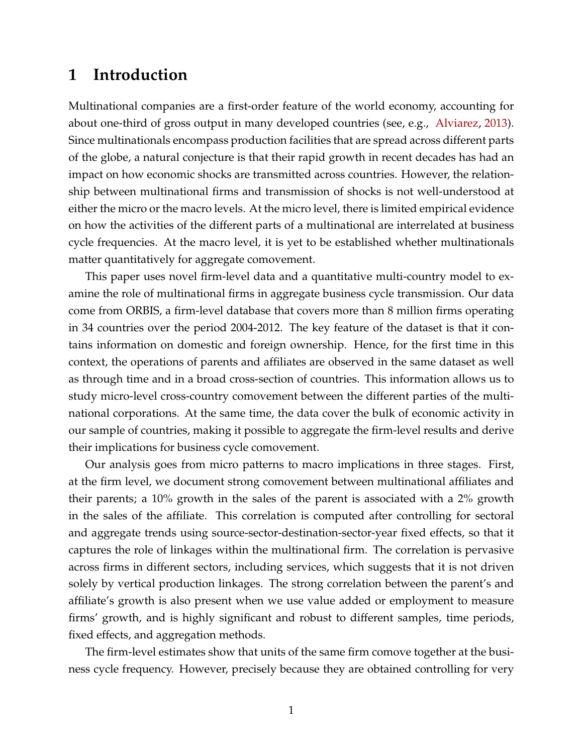# **1 Introduction**

Multinational companies are a first-order feature of the world economy, accounting for about one-third of gross output in many developed countries (see, e.g., [Alviarez,](#page-43-0) [2013\)](#page-43-0). Since multinationals encompass production facilities that are spread across different parts of the globe, a natural conjecture is that their rapid growth in recent decades has had an impact on how economic shocks are transmitted across countries. However, the relationship between multinational firms and transmission of shocks is not well-understood at either the micro or the macro levels. At the micro level, there is limited empirical evidence on how the activities of the different parts of a multinational are interrelated at business cycle frequencies. At the macro level, it is yet to be established whether multinationals matter quantitatively for aggregate comovement.

This paper uses novel firm-level data and a quantitative multi-country model to examine the role of multinational firms in aggregate business cycle transmission. Our data come from ORBIS, a firm-level database that covers more than 8 million firms operating in 34 countries over the period 2004-2012. The key feature of the dataset is that it contains information on domestic and foreign ownership. Hence, for the first time in this context, the operations of parents and affiliates are observed in the same dataset as well as through time and in a broad cross-section of countries. This information allows us to study micro-level cross-country comovement between the different parties of the multinational corporations. At the same time, the data cover the bulk of economic activity in our sample of countries, making it possible to aggregate the firm-level results and derive their implications for business cycle comovement.

Our analysis goes from micro patterns to macro implications in three stages. First, at the firm level, we document strong comovement between multinational affiliates and their parents; a 10% growth in the sales of the parent is associated with a 2% growth in the sales of the affiliate. This correlation is computed after controlling for sectoral and aggregate trends using source-sector-destination-sector-year fixed effects, so that it captures the role of linkages within the multinational firm. The correlation is pervasive across firms in different sectors, including services, which suggests that it is not driven solely by vertical production linkages. The strong correlation between the parent's and affiliate's growth is also present when we use value added or employment to measure firms' growth, and is highly significant and robust to different samples, time periods, fixed effects, and aggregation methods.

The firm-level estimates show that units of the same firm comove together at the business cycle frequency. However, precisely because they are obtained controlling for very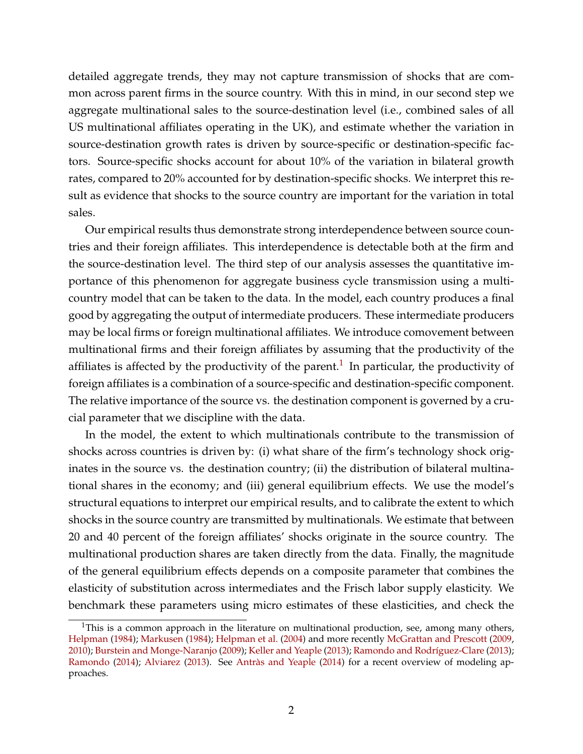detailed aggregate trends, they may not capture transmission of shocks that are common across parent firms in the source country. With this in mind, in our second step we aggregate multinational sales to the source-destination level (i.e., combined sales of all US multinational affiliates operating in the UK), and estimate whether the variation in source-destination growth rates is driven by source-specific or destination-specific factors. Source-specific shocks account for about 10% of the variation in bilateral growth rates, compared to 20% accounted for by destination-specific shocks. We interpret this result as evidence that shocks to the source country are important for the variation in total sales.

Our empirical results thus demonstrate strong interdependence between source countries and their foreign affiliates. This interdependence is detectable both at the firm and the source-destination level. The third step of our analysis assesses the quantitative importance of this phenomenon for aggregate business cycle transmission using a multicountry model that can be taken to the data. In the model, each country produces a final good by aggregating the output of intermediate producers. These intermediate producers may be local firms or foreign multinational affiliates. We introduce comovement between multinational firms and their foreign affiliates by assuming that the productivity of the affiliates is affected by the productivity of the parent.<sup>1</sup> In particular, the productivity of foreign affiliates is a combination of a source-specific and destination-specific component. The relative importance of the source vs. the destination component is governed by a crucial parameter that we discipline with the data.

In the model, the extent to which multinationals contribute to the transmission of shocks across countries is driven by: (i) what share of the firm's technology shock originates in the source vs. the destination country; (ii) the distribution of bilateral multinational shares in the economy; and (iii) general equilibrium effects. We use the model's structural equations to interpret our empirical results, and to calibrate the extent to which shocks in the source country are transmitted by multinationals. We estimate that between 20 and 40 percent of the foreign affiliates' shocks originate in the source country. The multinational production shares are taken directly from the data. Finally, the magnitude of the general equilibrium effects depends on a composite parameter that combines the elasticity of substitution across intermediates and the Frisch labor supply elasticity. We benchmark these parameters using micro estimates of these elasticities, and check the

<span id="page-3-0"></span><sup>&</sup>lt;sup>1</sup>This is a common approach in the literature on multinational production, see, among many others, [Helpman](#page-45-0) [\(1984\)](#page-45-0); [Markusen](#page-45-1) [\(1984\)](#page-45-1); [Helpman et al.](#page-45-2) [\(2004\)](#page-45-2) and more recently [McGrattan and Prescott](#page-45-3) [\(2009,](#page-45-3) [2010\)](#page-46-0); [Burstein and Monge-Naranjo](#page-44-0) [\(2009\)](#page-44-0); [Keller and Yeaple](#page-45-4) [\(2013\)](#page-45-4); [Ramondo and Rodríguez-Clare](#page-46-1) [\(2013\)](#page-46-1); [Ramondo](#page-46-2) [\(2014\)](#page-46-2); [Alviarez](#page-43-0) [\(2013\)](#page-43-0). See [Antràs and Yeaple](#page-43-1) [\(2014\)](#page-43-1) for a recent overview of modeling approaches.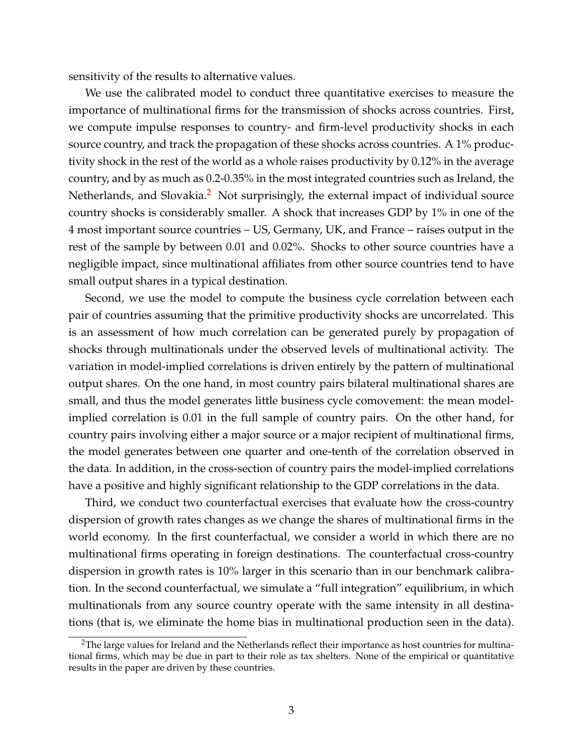sensitivity of the results to alternative values.

We use the calibrated model to conduct three quantitative exercises to measure the importance of multinational firms for the transmission of shocks across countries. First, we compute impulse responses to country- and firm-level productivity shocks in each source country, and track the propagation of these shocks across countries. A 1% productivity shock in the rest of the world as a whole raises productivity by 0.12% in the average country, and by as much as 0.2-0.35% in the most integrated countries such as Ireland, the Netherlands, and Slovakia.<sup>[2](#page-4-0)</sup> Not surprisingly, the external impact of individual source country shocks is considerably smaller. A shock that increases GDP by 1% in one of the 4 most important source countries – US, Germany, UK, and France – raises output in the rest of the sample by between 0.01 and 0.02%. Shocks to other source countries have a negligible impact, since multinational affiliates from other source countries tend to have small output shares in a typical destination.

Second, we use the model to compute the business cycle correlation between each pair of countries assuming that the primitive productivity shocks are uncorrelated. This is an assessment of how much correlation can be generated purely by propagation of shocks through multinationals under the observed levels of multinational activity. The variation in model-implied correlations is driven entirely by the pattern of multinational output shares. On the one hand, in most country pairs bilateral multinational shares are small, and thus the model generates little business cycle comovement: the mean modelimplied correlation is 0.01 in the full sample of country pairs. On the other hand, for country pairs involving either a major source or a major recipient of multinational firms, the model generates between one quarter and one-tenth of the correlation observed in the data. In addition, in the cross-section of country pairs the model-implied correlations have a positive and highly significant relationship to the GDP correlations in the data.

Third, we conduct two counterfactual exercises that evaluate how the cross-country dispersion of growth rates changes as we change the shares of multinational firms in the world economy. In the first counterfactual, we consider a world in which there are no multinational firms operating in foreign destinations. The counterfactual cross-country dispersion in growth rates is 10% larger in this scenario than in our benchmark calibration. In the second counterfactual, we simulate a "full integration" equilibrium, in which multinationals from any source country operate with the same intensity in all destinations (that is, we eliminate the home bias in multinational production seen in the data).

<span id="page-4-0"></span><sup>&</sup>lt;sup>2</sup>The large values for Ireland and the Netherlands reflect their importance as host countries for multinational firms, which may be due in part to their role as tax shelters. None of the empirical or quantitative results in the paper are driven by these countries.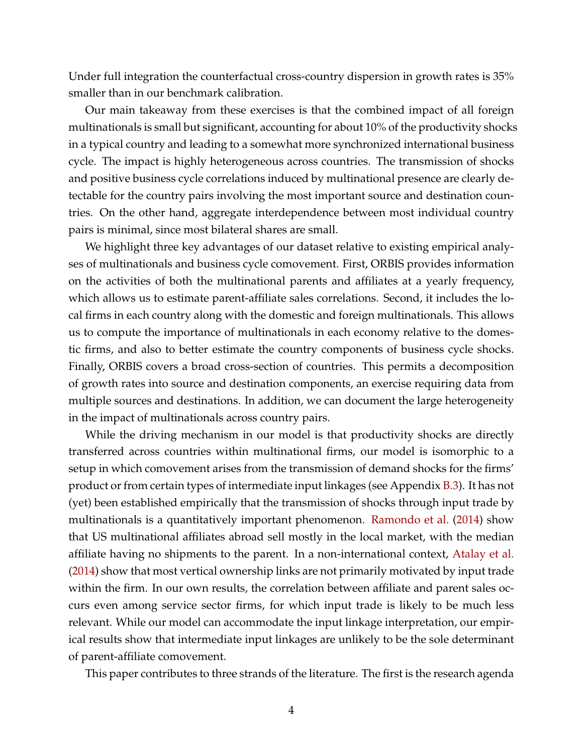Under full integration the counterfactual cross-country dispersion in growth rates is 35% smaller than in our benchmark calibration.

Our main takeaway from these exercises is that the combined impact of all foreign multinationals is small but significant, accounting for about 10% of the productivity shocks in a typical country and leading to a somewhat more synchronized international business cycle. The impact is highly heterogeneous across countries. The transmission of shocks and positive business cycle correlations induced by multinational presence are clearly detectable for the country pairs involving the most important source and destination countries. On the other hand, aggregate interdependence between most individual country pairs is minimal, since most bilateral shares are small.

We highlight three key advantages of our dataset relative to existing empirical analyses of multinationals and business cycle comovement. First, ORBIS provides information on the activities of both the multinational parents and affiliates at a yearly frequency, which allows us to estimate parent-affiliate sales correlations. Second, it includes the local firms in each country along with the domestic and foreign multinationals. This allows us to compute the importance of multinationals in each economy relative to the domestic firms, and also to better estimate the country components of business cycle shocks. Finally, ORBIS covers a broad cross-section of countries. This permits a decomposition of growth rates into source and destination components, an exercise requiring data from multiple sources and destinations. In addition, we can document the large heterogeneity in the impact of multinationals across country pairs.

While the driving mechanism in our model is that productivity shocks are directly transferred across countries within multinational firms, our model is isomorphic to a setup in which comovement arises from the transmission of demand shocks for the firms' product or from certain types of intermediate input linkages (see Appendix [B.3\)](#page-50-0). It has not (yet) been established empirically that the transmission of shocks through input trade by multinationals is a quantitatively important phenomenon. [Ramondo et al.](#page-46-3) [\(2014\)](#page-46-3) show that US multinational affiliates abroad sell mostly in the local market, with the median affiliate having no shipments to the parent. In a non-international context, [Atalay et al.](#page-43-2) [\(2014\)](#page-43-2) show that most vertical ownership links are not primarily motivated by input trade within the firm. In our own results, the correlation between affiliate and parent sales occurs even among service sector firms, for which input trade is likely to be much less relevant. While our model can accommodate the input linkage interpretation, our empirical results show that intermediate input linkages are unlikely to be the sole determinant of parent-affiliate comovement.

This paper contributes to three strands of the literature. The first is the research agenda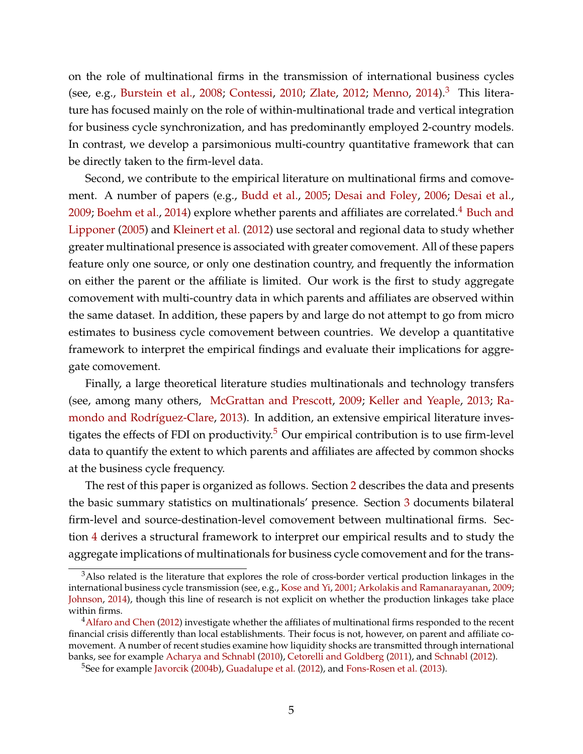on the role of multinational firms in the transmission of international business cycles (see, e.g., [Burstein et al.,](#page-44-1) [2008;](#page-44-1) [Contessi,](#page-44-2) [2010;](#page-44-2) [Zlate,](#page-46-4) [2012;](#page-46-4) [Menno,](#page-46-5) [2014\)](#page-46-5).<sup>[3](#page-6-0)</sup> This literature has focused mainly on the role of within-multinational trade and vertical integration for business cycle synchronization, and has predominantly employed 2-country models. In contrast, we develop a parsimonious multi-country quantitative framework that can be directly taken to the firm-level data.

Second, we contribute to the empirical literature on multinational firms and comovement. A number of papers (e.g., [Budd et al.,](#page-44-3) [2005;](#page-44-3) [Desai and Foley,](#page-44-4) [2006;](#page-44-4) [Desai et al.,](#page-44-5) [2009;](#page-44-5) [Boehm et al.,](#page-43-3) [2014\)](#page-43-3) explore whether parents and affiliates are correlated.<sup>[4](#page-6-1)</sup> [Buch and](#page-43-4) [Lipponer](#page-43-4) [\(2005\)](#page-43-4) and [Kleinert et al.](#page-45-5) [\(2012\)](#page-45-5) use sectoral and regional data to study whether greater multinational presence is associated with greater comovement. All of these papers feature only one source, or only one destination country, and frequently the information on either the parent or the affiliate is limited. Our work is the first to study aggregate comovement with multi-country data in which parents and affiliates are observed within the same dataset. In addition, these papers by and large do not attempt to go from micro estimates to business cycle comovement between countries. We develop a quantitative framework to interpret the empirical findings and evaluate their implications for aggregate comovement.

Finally, a large theoretical literature studies multinationals and technology transfers (see, among many others, [McGrattan and Prescott,](#page-45-3) [2009;](#page-45-3) [Keller and Yeaple,](#page-45-4) [2013;](#page-45-4) [Ra](#page-46-1)[mondo and Rodríguez-Clare,](#page-46-1) [2013\)](#page-46-1). In addition, an extensive empirical literature investigates the effects of FDI on productivity.<sup>5</sup> Our empirical contribution is to use firm-level data to quantify the extent to which parents and affiliates are affected by common shocks at the business cycle frequency.

The rest of this paper is organized as follows. Section [2](#page-7-0) describes the data and presents the basic summary statistics on multinationals' presence. Section [3](#page-12-0) documents bilateral firm-level and source-destination-level comovement between multinational firms. Section [4](#page-19-0) derives a structural framework to interpret our empirical results and to study the aggregate implications of multinationals for business cycle comovement and for the trans-

<span id="page-6-0"></span><sup>&</sup>lt;sup>3</sup>Also related is the literature that explores the role of cross-border vertical production linkages in the international business cycle transmission (see, e.g., [Kose and Yi,](#page-45-6) [2001;](#page-45-6) [Arkolakis and Ramanarayanan,](#page-43-5) [2009;](#page-43-5) [Johnson,](#page-45-7) [2014\)](#page-45-7), though this line of research is not explicit on whether the production linkages take place within firms.

<span id="page-6-1"></span> $4$ Alfaro and Chen [\(2012\)](#page-43-6) investigate whether the affiliates of multinational firms responded to the recent financial crisis differently than local establishments. Their focus is not, however, on parent and affiliate comovement. A number of recent studies examine how liquidity shocks are transmitted through international banks, see for example [Acharya and Schnabl](#page-43-7) [\(2010\)](#page-43-7), [Cetorelli and Goldberg](#page-44-6) [\(2011\)](#page-44-6), and [Schnabl](#page-46-6) [\(2012\)](#page-46-6).

<span id="page-6-2"></span><sup>5</sup>See for example [Javorcik](#page-45-8) [\(2004b\)](#page-45-8), [Guadalupe et al.](#page-45-9) [\(2012\)](#page-45-9), and [Fons-Rosen et al.](#page-44-7) [\(2013\)](#page-44-7).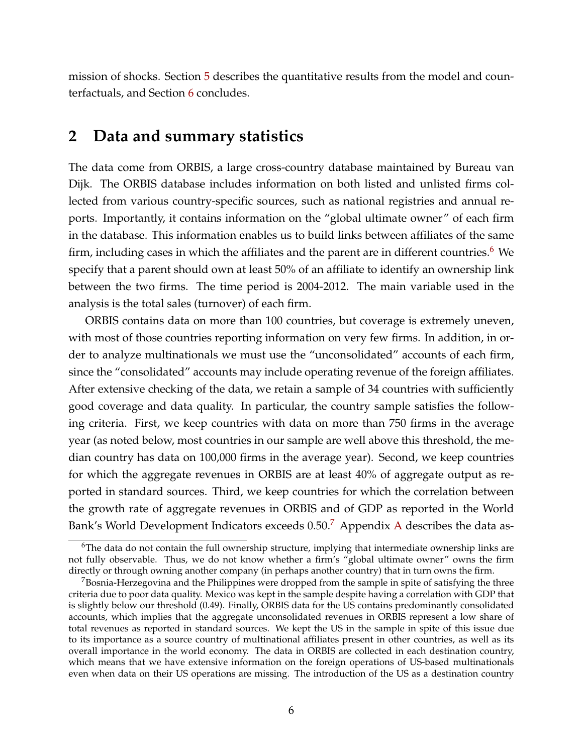mission of shocks. Section [5](#page-28-0) describes the quantitative results from the model and counterfactuals, and Section [6](#page-41-0) concludes.

### <span id="page-7-0"></span>**2 Data and summary statistics**

The data come from ORBIS, a large cross-country database maintained by Bureau van Dijk. The ORBIS database includes information on both listed and unlisted firms collected from various country-specific sources, such as national registries and annual reports. Importantly, it contains information on the "global ultimate owner" of each firm in the database. This information enables us to build links between affiliates of the same firm, including cases in which the affiliates and the parent are in different countries.<sup>6</sup> We specify that a parent should own at least 50% of an affiliate to identify an ownership link between the two firms. The time period is 2004-2012. The main variable used in the analysis is the total sales (turnover) of each firm.

ORBIS contains data on more than 100 countries, but coverage is extremely uneven, with most of those countries reporting information on very few firms. In addition, in order to analyze multinationals we must use the "unconsolidated" accounts of each firm, since the "consolidated" accounts may include operating revenue of the foreign affiliates. After extensive checking of the data, we retain a sample of 34 countries with sufficiently good coverage and data quality. In particular, the country sample satisfies the following criteria. First, we keep countries with data on more than 750 firms in the average year (as noted below, most countries in our sample are well above this threshold, the median country has data on 100,000 firms in the average year). Second, we keep countries for which the aggregate revenues in ORBIS are at least 40% of aggregate output as reported in standard sources. Third, we keep countries for which the correlation between the growth rate of aggregate revenues in ORBIS and of GDP as reported in the World Bank's World Development Indicators exceeds  $0.50<sup>7</sup>$  $0.50<sup>7</sup>$  $0.50<sup>7</sup>$  [A](#page-47-0)ppendix A describes the data as-

<span id="page-7-1"></span> $6$ The data do not contain the full ownership structure, implying that intermediate ownership links are not fully observable. Thus, we do not know whether a firm's "global ultimate owner" owns the firm directly or through owning another company (in perhaps another country) that in turn owns the firm.

<span id="page-7-2"></span> $7B$ osnia-Herzegovina and the Philippines were dropped from the sample in spite of satisfying the three criteria due to poor data quality. Mexico was kept in the sample despite having a correlation with GDP that is slightly below our threshold (0.49). Finally, ORBIS data for the US contains predominantly consolidated accounts, which implies that the aggregate unconsolidated revenues in ORBIS represent a low share of total revenues as reported in standard sources. We kept the US in the sample in spite of this issue due to its importance as a source country of multinational affiliates present in other countries, as well as its overall importance in the world economy. The data in ORBIS are collected in each destination country, which means that we have extensive information on the foreign operations of US-based multinationals even when data on their US operations are missing. The introduction of the US as a destination country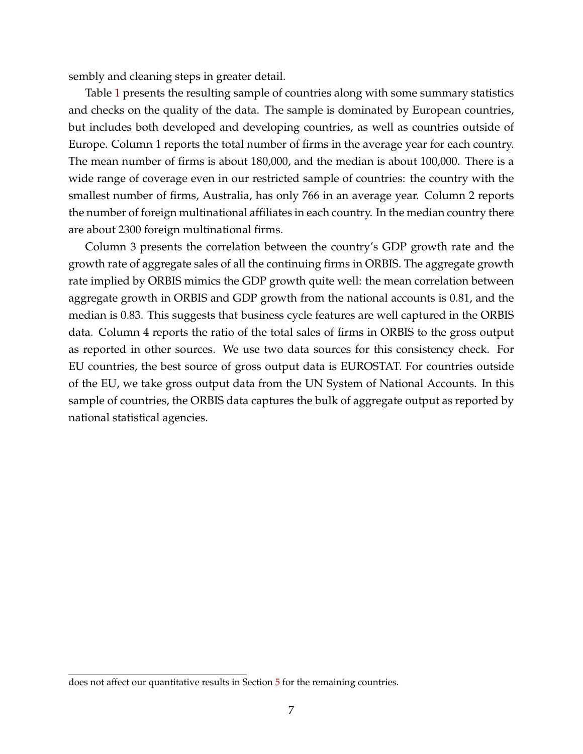sembly and cleaning steps in greater detail.

Table [1](#page-9-0) presents the resulting sample of countries along with some summary statistics and checks on the quality of the data. The sample is dominated by European countries, but includes both developed and developing countries, as well as countries outside of Europe. Column 1 reports the total number of firms in the average year for each country. The mean number of firms is about 180,000, and the median is about 100,000. There is a wide range of coverage even in our restricted sample of countries: the country with the smallest number of firms, Australia, has only 766 in an average year. Column 2 reports the number of foreign multinational affiliates in each country. In the median country there are about 2300 foreign multinational firms.

Column 3 presents the correlation between the country's GDP growth rate and the growth rate of aggregate sales of all the continuing firms in ORBIS. The aggregate growth rate implied by ORBIS mimics the GDP growth quite well: the mean correlation between aggregate growth in ORBIS and GDP growth from the national accounts is 0.81, and the median is 0.83. This suggests that business cycle features are well captured in the ORBIS data. Column 4 reports the ratio of the total sales of firms in ORBIS to the gross output as reported in other sources. We use two data sources for this consistency check. For EU countries, the best source of gross output data is EUROSTAT. For countries outside of the EU, we take gross output data from the UN System of National Accounts. In this sample of countries, the ORBIS data captures the bulk of aggregate output as reported by national statistical agencies.

does not affect our quantitative results in Section [5](#page-28-0) for the remaining countries.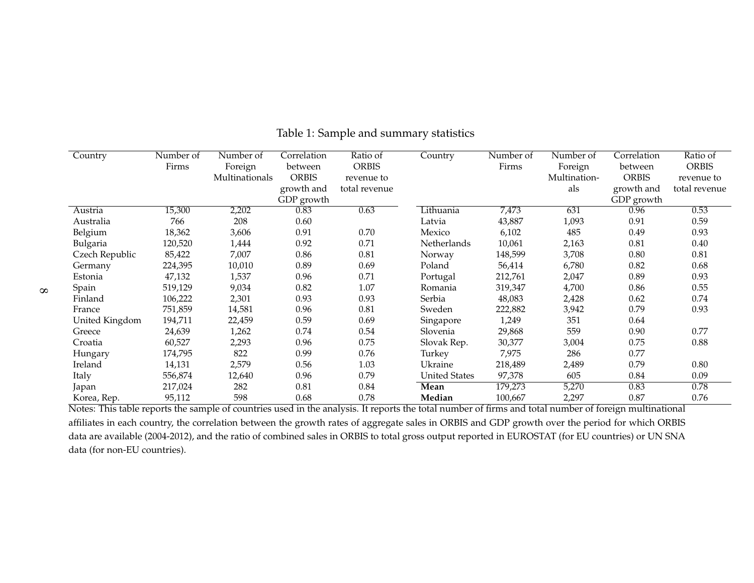| Country        | Number of | Number of      | Correlation  | Ratio of      | Country              | Number of | Number of    | Correlation  | Ratio of      |
|----------------|-----------|----------------|--------------|---------------|----------------------|-----------|--------------|--------------|---------------|
|                | Firms     | Foreign        | between      | <b>ORBIS</b>  |                      | Firms     | Foreign      | between      | <b>ORBIS</b>  |
|                |           | Multinationals | <b>ORBIS</b> | revenue to    |                      |           | Multination- | <b>ORBIS</b> | revenue to    |
|                |           |                | growth and   | total revenue |                      |           | als          | growth and   | total revenue |
|                |           |                | GDP growth   |               |                      |           |              | GDP growth   |               |
| Austria        | 15,300    | 2,202          | 0.83         | 0.63          | Lithuania            | 7,473     | 631          | 0.96         | 0.53          |
| Australia      | 766       | 208            | 0.60         |               | Latvia               | 43,887    | 1,093        | 0.91         | 0.59          |
| Belgium        | 18,362    | 3,606          | 0.91         | 0.70          | Mexico               | 6,102     | 485          | 0.49         | 0.93          |
| Bulgaria       | 120,520   | 1,444          | 0.92         | 0.71          | Netherlands          | 10,061    | 2,163        | 0.81         | 0.40          |
| Czech Republic | 85,422    | 7,007          | 0.86         | 0.81          | Norway               | 148,599   | 3,708        | 0.80         | 0.81          |
| Germany        | 224,395   | 10,010         | 0.89         | 0.69          | Poland               | 56,414    | 6,780        | 0.82         | 0.68          |
| Estonia        | 47,132    | 1,537          | 0.96         | 0.71          | Portugal             | 212,761   | 2,047        | 0.89         | 0.93          |
| Spain          | 519,129   | 9,034          | 0.82         | 1.07          | Romania              | 319,347   | 4,700        | 0.86         | 0.55          |
| Finland        | 106,222   | 2,301          | 0.93         | 0.93          | Serbia               | 48,083    | 2,428        | 0.62         | 0.74          |
| France         | 751,859   | 14,581         | 0.96         | 0.81          | Sweden               | 222,882   | 3,942        | 0.79         | 0.93          |
| United Kingdom | 194,711   | 22,459         | 0.59         | 0.69          | Singapore            | 1,249     | 351          | 0.64         |               |
| Greece         | 24,639    | 1,262          | 0.74         | 0.54          | Slovenia             | 29,868    | 559          | 0.90         | 0.77          |
| Croatia        | 60,527    | 2,293          | 0.96         | 0.75          | Slovak Rep.          | 30,377    | 3,004        | 0.75         | 0.88          |
| Hungary        | 174,795   | 822            | 0.99         | 0.76          | Turkey               | 7,975     | 286          | 0.77         |               |
| Ireland        | 14,131    | 2,579          | 0.56         | 1.03          | Ukraine              | 218,489   | 2,489        | 0.79         | 0.80          |
| Italy          | 556,874   | 12,640         | 0.96         | 0.79          | <b>United States</b> | 97,378    | 605          | 0.84         | 0.09          |
| Japan          | 217,024   | 282            | 0.81         | 0.84          | Mean                 | 179,273   | 5,270        | 0.83         | 0.78          |
| Korea, Rep.    | 95,112    | 598            | 0.68         | 0.78          | Median               | 100,667   | 2,297        | 0.87         | 0.76          |

### Table 1: Sample and summary statistics

<span id="page-9-0"></span>Notes: This table reports the sample of countries used in the analysis. It reports the total number of firms and total number of foreign multinational affiliates in each country, the correlation between the growth rates of aggregate sales in ORBIS and GDP growth over the period for which ORBIS data are available (2004-2012), and the ratio of combined sales in ORBIS to total gross output reported in EUROSTAT (for EU countries) or UN SNA data (for non-EU countries).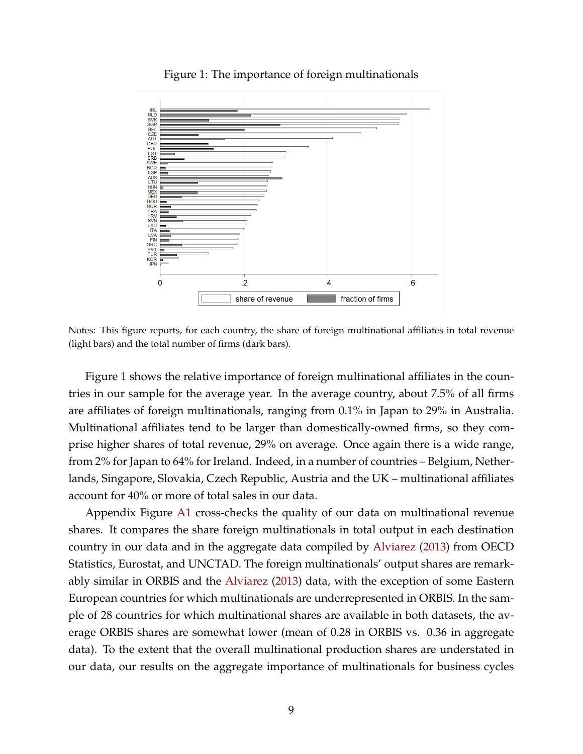<span id="page-10-0"></span>

Figure 1: The importance of foreign multinationals

Notes: This figure reports, for each country, the share of foreign multinational affiliates in total revenue (light bars) and the total number of firms (dark bars).

Figure [1](#page-10-0) shows the relative importance of foreign multinational affiliates in the countries in our sample for the average year. In the average country, about 7.5% of all firms are affiliates of foreign multinationals, ranging from 0.1% in Japan to 29% in Australia. Multinational affiliates tend to be larger than domestically-owned firms, so they comprise higher shares of total revenue, 29% on average. Once again there is a wide range, from 2% for Japan to 64% for Ireland. Indeed, in a number of countries – Belgium, Netherlands, Singapore, Slovakia, Czech Republic, Austria and the UK – multinational affiliates account for 40% or more of total sales in our data.

Appendix Figure [A1](#page-53-0) cross-checks the quality of our data on multinational revenue shares. It compares the share foreign multinationals in total output in each destination country in our data and in the aggregate data compiled by [Alviarez](#page-43-0) [\(2013\)](#page-43-0) from OECD Statistics, Eurostat, and UNCTAD. The foreign multinationals' output shares are remarkably similar in ORBIS and the [Alviarez](#page-43-0) [\(2013\)](#page-43-0) data, with the exception of some Eastern European countries for which multinationals are underrepresented in ORBIS. In the sample of 28 countries for which multinational shares are available in both datasets, the average ORBIS shares are somewhat lower (mean of 0.28 in ORBIS vs. 0.36 in aggregate data). To the extent that the overall multinational production shares are understated in our data, our results on the aggregate importance of multinationals for business cycles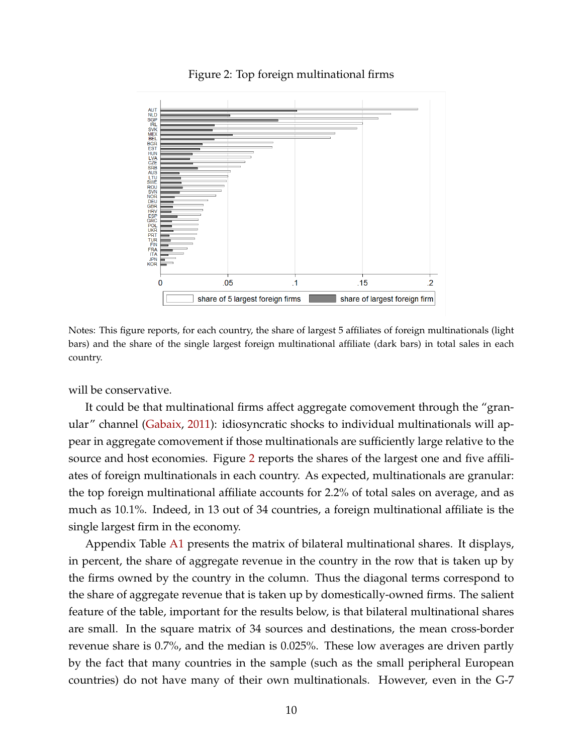<span id="page-11-0"></span>

Figure 2: Top foreign multinational firms

Notes: This figure reports, for each country, the share of largest 5 affiliates of foreign multinationals (light bars) and the share of the single largest foreign multinational affiliate (dark bars) in total sales in each country.

will be conservative.

It could be that multinational firms affect aggregate comovement through the "granular" channel [\(Gabaix,](#page-44-8) [2011\)](#page-44-8): idiosyncratic shocks to individual multinationals will appear in aggregate comovement if those multinationals are sufficiently large relative to the source and host economies. Figure [2](#page-11-0) reports the shares of the largest one and five affiliates of foreign multinationals in each country. As expected, multinationals are granular: the top foreign multinational affiliate accounts for 2.2% of total sales on average, and as much as 10.1%. Indeed, in 13 out of 34 countries, a foreign multinational affiliate is the single largest firm in the economy.

Appendix Table [A1](#page-54-0) presents the matrix of bilateral multinational shares. It displays, in percent, the share of aggregate revenue in the country in the row that is taken up by the firms owned by the country in the column. Thus the diagonal terms correspond to the share of aggregate revenue that is taken up by domestically-owned firms. The salient feature of the table, important for the results below, is that bilateral multinational shares are small. In the square matrix of 34 sources and destinations, the mean cross-border revenue share is 0.7%, and the median is 0.025%. These low averages are driven partly by the fact that many countries in the sample (such as the small peripheral European countries) do not have many of their own multinationals. However, even in the G-7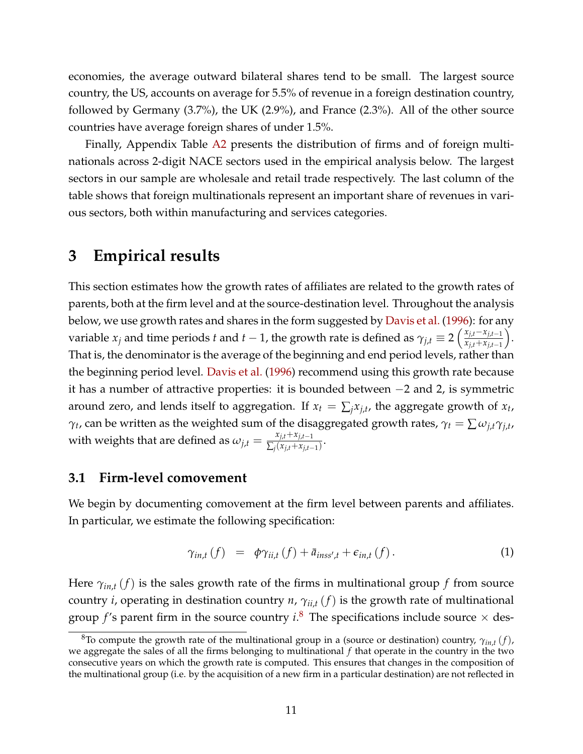economies, the average outward bilateral shares tend to be small. The largest source country, the US, accounts on average for 5.5% of revenue in a foreign destination country, followed by Germany (3.7%), the UK (2.9%), and France (2.3%). All of the other source countries have average foreign shares of under 1.5%.

Finally, Appendix Table [A2](#page-55-0) presents the distribution of firms and of foreign multinationals across 2-digit NACE sectors used in the empirical analysis below. The largest sectors in our sample are wholesale and retail trade respectively. The last column of the table shows that foreign multinationals represent an important share of revenues in various sectors, both within manufacturing and services categories.

## <span id="page-12-0"></span>**3 Empirical results**

<span id="page-12-4"></span>This section estimates how the growth rates of affiliates are related to the growth rates of parents, both at the firm level and at the source-destination level. Throughout the analysis below, we use growth rates and shares in the form suggested by [Davis et al.](#page-44-9) [\(1996\)](#page-44-9): for any variable  $x_j$  and time periods *t* and  $t-1$ , the growth rate is defined as  $\gamma_{j,t} \equiv 2\left(\frac{x_{j,t}-x_{j,t-1}}{x_{j,t}+x_{j,t-1}}\right)$  $x_{j,t} + x_{j,t-1}$ ⌘ . That is, the denominator is the average of the beginning and end period levels, rather than the beginning period level. [Davis et al.](#page-44-9) [\(1996\)](#page-44-9) recommend using this growth rate because it has a number of attractive properties: it is bounded between  $-2$  and 2, is symmetric around zero, and lends itself to aggregation. If  $x_t = \sum_j x_{j,t}$ , the aggregate growth of  $x_t$ ,  $\gamma_t$ , can be written as the weighted sum of the disaggregated growth rates,  $\gamma_t = \sum \omega_{j,t} \gamma_{j,t}$ , with weights that are defined as  $\omega_{j,t} = \frac{x_{j,t} + x_{j,t-1}}{\sum_j (x_{j,t} + x_{j,t-1})}$ .

#### <span id="page-12-3"></span>**3.1 Firm-level comovement**

We begin by documenting comovement at the firm level between parents and affiliates. In particular, we estimate the following specification:

<span id="page-12-2"></span>
$$
\gamma_{in,t}(f) = \phi \gamma_{ii,t}(f) + \bar{a}_{inss',t} + \epsilon_{in,t}(f). \tag{1}
$$

Here  $\gamma_{int}(f)$  is the sales growth rate of the firms in multinational group f from source country *i*, operating in destination country *n*,  $\gamma_{ii,t}$  (*f*) is the growth rate of multinational group  $f$ 's parent firm in the source country  $i$ <sup>[8](#page-12-1)</sup>. The specifications include source  $\times$  des-

<span id="page-12-1"></span><sup>&</sup>lt;sup>8</sup>To compute the growth rate of the multinational group in a (source or destination) country,  $\gamma_{in,t}(f)$ , we aggregate the sales of all the firms belonging to multinational *f* that operate in the country in the two consecutive years on which the growth rate is computed. This ensures that changes in the composition of the multinational group (i.e. by the acquisition of a new firm in a particular destination) are not reflected in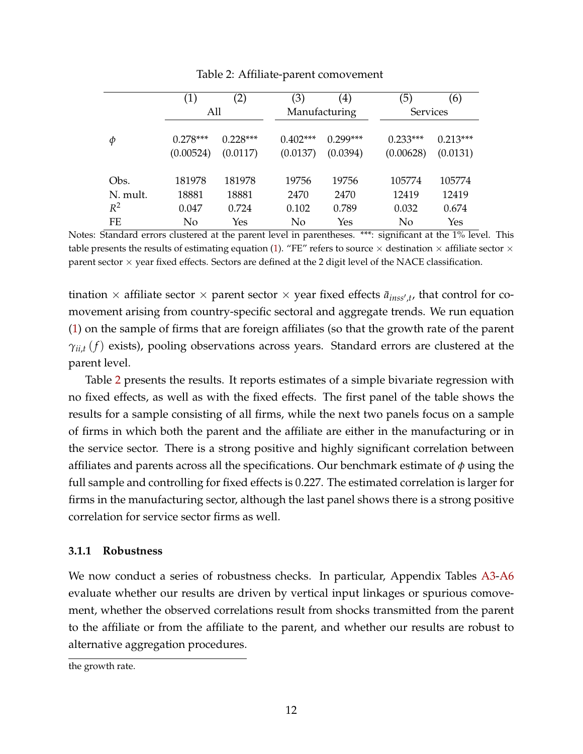<span id="page-13-0"></span>

|          | $\left( 1\right)$       | $\left( 2\right)$      | (3)                    | $\left( 4\right)$      | (5)                     | (6)                    |
|----------|-------------------------|------------------------|------------------------|------------------------|-------------------------|------------------------|
|          | A11                     |                        |                        | Manufacturing          | <b>Services</b>         |                        |
| φ        | $0.278***$<br>(0.00524) | $0.228***$<br>(0.0117) | $0.402***$<br>(0.0137) | $0.299***$<br>(0.0394) | $0.233***$<br>(0.00628) | $0.213***$<br>(0.0131) |
| Obs.     | 181978                  | 181978                 | 19756                  | 19756                  | 105774                  | 105774                 |
| N. mult. | 18881                   | 18881                  | 2470                   | 2470                   | 12419                   | 12419                  |
| $R^2$    | 0.047                   | 0.724                  | 0.102                  | 0.789                  | 0.032                   | 0.674                  |
| FE       | No                      | Yes                    | No                     | Yes                    | No                      | Yes                    |

Table 2: Affiliate-parent comovement

Notes: Standard errors clustered at the parent level in parentheses. \*\*\*: significant at the 1% level. This table presents the results of estimating equation [\(1\)](#page-12-2). "FE" refers to source  $\times$  destination  $\times$  affiliate sector  $\times$ parent sector  $\times$  year fixed effects. Sectors are defined at the 2 digit level of the NACE classification.

tination  $\times$  affiliate sector  $\times$  parent sector  $\times$  year fixed effects  $\bar{a}_{inss',t}$ , that control for comovement arising from country-specific sectoral and aggregate trends. We run equation [\(1\)](#page-12-2) on the sample of firms that are foreign affiliates (so that the growth rate of the parent  $\gamma_{ii,t}$  (*f*) exists), pooling observations across years. Standard errors are clustered at the parent level.

Table [2](#page-13-0) presents the results. It reports estimates of a simple bivariate regression with no fixed effects, as well as with the fixed effects. The first panel of the table shows the results for a sample consisting of all firms, while the next two panels focus on a sample of firms in which both the parent and the affiliate are either in the manufacturing or in the service sector. There is a strong positive and highly significant correlation between affiliates and parents across all the specifications. Our benchmark estimate of  $\phi$  using the full sample and controlling for fixed effects is 0.227. The estimated correlation is larger for firms in the manufacturing sector, although the last panel shows there is a strong positive correlation for service sector firms as well.

#### **3.1.1 Robustness**

We now conduct a series of robustness checks. In particular, Appendix Tables [A3-](#page-56-0)[A6](#page-59-0) evaluate whether our results are driven by vertical input linkages or spurious comovement, whether the observed correlations result from shocks transmitted from the parent to the affiliate or from the affiliate to the parent, and whether our results are robust to alternative aggregation procedures.

the growth rate.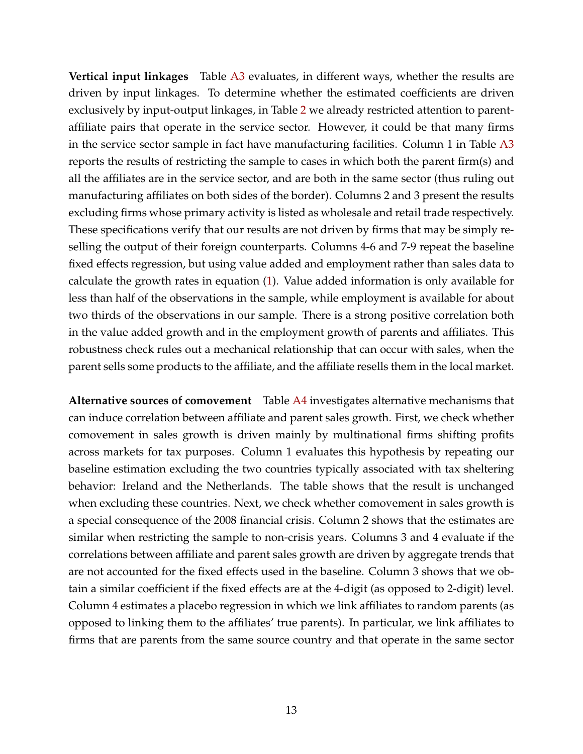**Vertical input linkages** Table [A3](#page-56-0) evaluates, in different ways, whether the results are driven by input linkages. To determine whether the estimated coefficients are driven exclusively by input-output linkages, in Table [2](#page-13-0) we already restricted attention to parentaffiliate pairs that operate in the service sector. However, it could be that many firms in the service sector sample in fact have manufacturing facilities. Column 1 in Table [A3](#page-56-0) reports the results of restricting the sample to cases in which both the parent firm(s) and all the affiliates are in the service sector, and are both in the same sector (thus ruling out manufacturing affiliates on both sides of the border). Columns 2 and 3 present the results excluding firms whose primary activity is listed as wholesale and retail trade respectively. These specifications verify that our results are not driven by firms that may be simply reselling the output of their foreign counterparts. Columns 4-6 and 7-9 repeat the baseline fixed effects regression, but using value added and employment rather than sales data to calculate the growth rates in equation [\(1\)](#page-12-2). Value added information is only available for less than half of the observations in the sample, while employment is available for about two thirds of the observations in our sample. There is a strong positive correlation both in the value added growth and in the employment growth of parents and affiliates. This robustness check rules out a mechanical relationship that can occur with sales, when the parent sells some products to the affiliate, and the affiliate resells them in the local market.

**Alternative sources of comovement** Table [A4](#page-57-0) investigates alternative mechanisms that can induce correlation between affiliate and parent sales growth. First, we check whether comovement in sales growth is driven mainly by multinational firms shifting profits across markets for tax purposes. Column 1 evaluates this hypothesis by repeating our baseline estimation excluding the two countries typically associated with tax sheltering behavior: Ireland and the Netherlands. The table shows that the result is unchanged when excluding these countries. Next, we check whether comovement in sales growth is a special consequence of the 2008 financial crisis. Column 2 shows that the estimates are similar when restricting the sample to non-crisis years. Columns 3 and 4 evaluate if the correlations between affiliate and parent sales growth are driven by aggregate trends that are not accounted for the fixed effects used in the baseline. Column 3 shows that we obtain a similar coefficient if the fixed effects are at the 4-digit (as opposed to 2-digit) level. Column 4 estimates a placebo regression in which we link affiliates to random parents (as opposed to linking them to the affiliates' true parents). In particular, we link affiliates to firms that are parents from the same source country and that operate in the same sector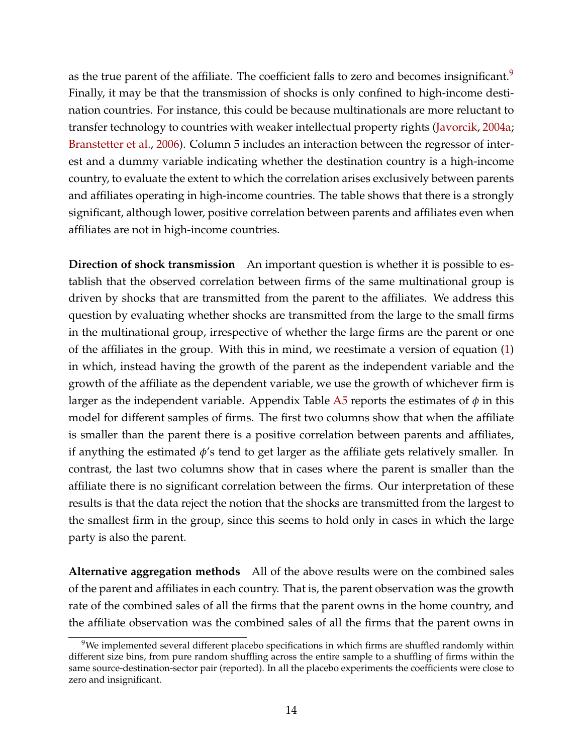as the true parent of the affiliate. The coefficient falls to zero and becomes insignificant.<sup>9</sup> Finally, it may be that the transmission of shocks is only confined to high-income destination countries. For instance, this could be because multinationals are more reluctant to transfer technology to countries with weaker intellectual property rights [\(Javorcik,](#page-45-10) [2004a;](#page-45-10) [Branstetter et al.,](#page-43-8) [2006\)](#page-43-8). Column 5 includes an interaction between the regressor of interest and a dummy variable indicating whether the destination country is a high-income country, to evaluate the extent to which the correlation arises exclusively between parents and affiliates operating in high-income countries. The table shows that there is a strongly significant, although lower, positive correlation between parents and affiliates even when affiliates are not in high-income countries.

**Direction of shock transmission** An important question is whether it is possible to establish that the observed correlation between firms of the same multinational group is driven by shocks that are transmitted from the parent to the affiliates. We address this question by evaluating whether shocks are transmitted from the large to the small firms in the multinational group, irrespective of whether the large firms are the parent or one of the affiliates in the group. With this in mind, we reestimate a version of equation [\(1\)](#page-12-2) in which, instead having the growth of the parent as the independent variable and the growth of the affiliate as the dependent variable, we use the growth of whichever firm is larger as the independent variable. Appendix Table [A5](#page-58-0) reports the estimates of  $\phi$  in this model for different samples of firms. The first two columns show that when the affiliate is smaller than the parent there is a positive correlation between parents and affiliates, if anything the estimated  $\phi$ 's tend to get larger as the affiliate gets relatively smaller. In contrast, the last two columns show that in cases where the parent is smaller than the affiliate there is no significant correlation between the firms. Our interpretation of these results is that the data reject the notion that the shocks are transmitted from the largest to the smallest firm in the group, since this seems to hold only in cases in which the large party is also the parent.

**Alternative aggregation methods** All of the above results were on the combined sales of the parent and affiliates in each country. That is, the parent observation was the growth rate of the combined sales of all the firms that the parent owns in the home country, and the affiliate observation was the combined sales of all the firms that the parent owns in

<span id="page-15-0"></span> $9$ We implemented several different placebo specifications in which firms are shuffled randomly within different size bins, from pure random shuffling across the entire sample to a shuffling of firms within the same source-destination-sector pair (reported). In all the placebo experiments the coefficients were close to zero and insignificant.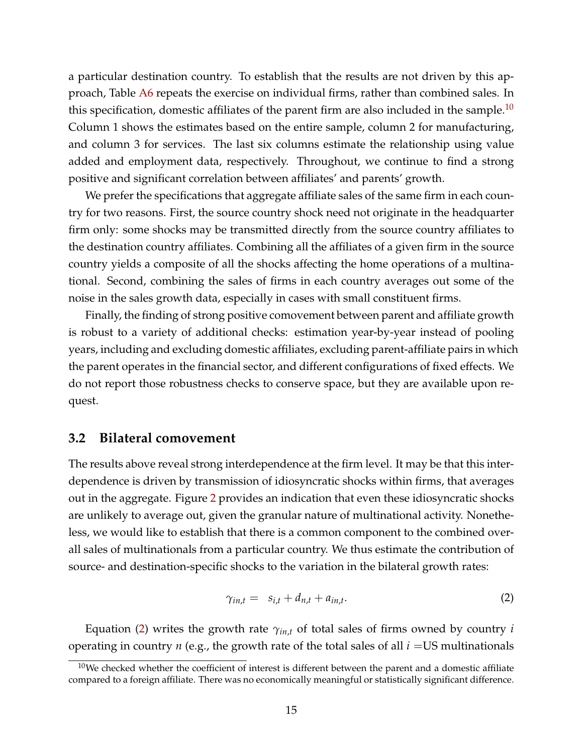a particular destination country. To establish that the results are not driven by this approach, Table [A6](#page-59-0) repeats the exercise on individual firms, rather than combined sales. In this specification, domestic affiliates of the parent firm are also included in the sample.<sup>10</sup> Column 1 shows the estimates based on the entire sample, column 2 for manufacturing, and column 3 for services. The last six columns estimate the relationship using value added and employment data, respectively. Throughout, we continue to find a strong positive and significant correlation between affiliates' and parents' growth.

We prefer the specifications that aggregate affiliate sales of the same firm in each country for two reasons. First, the source country shock need not originate in the headquarter firm only: some shocks may be transmitted directly from the source country affiliates to the destination country affiliates. Combining all the affiliates of a given firm in the source country yields a composite of all the shocks affecting the home operations of a multinational. Second, combining the sales of firms in each country averages out some of the noise in the sales growth data, especially in cases with small constituent firms.

Finally, the finding of strong positive comovement between parent and affiliate growth is robust to a variety of additional checks: estimation year-by-year instead of pooling years, including and excluding domestic affiliates, excluding parent-affiliate pairs in which the parent operates in the financial sector, and different configurations of fixed effects. We do not report those robustness checks to conserve space, but they are available upon request.

#### <span id="page-16-2"></span>**3.2 Bilateral comovement**

The results above reveal strong interdependence at the firm level. It may be that this interdependence is driven by transmission of idiosyncratic shocks within firms, that averages out in the aggregate. Figure [2](#page-11-0) provides an indication that even these idiosyncratic shocks are unlikely to average out, given the granular nature of multinational activity. Nonetheless, we would like to establish that there is a common component to the combined overall sales of multinationals from a particular country. We thus estimate the contribution of source- and destination-specific shocks to the variation in the bilateral growth rates:

<span id="page-16-1"></span>
$$
\gamma_{in,t} = s_{i,t} + d_{n,t} + a_{in,t}.\tag{2}
$$

Equation [\(2\)](#page-16-1) writes the growth rate  $\gamma_{in,t}$  of total sales of firms owned by country *i* operating in country *n* (e.g., the growth rate of the total sales of all  $i = US$  multinationals

<span id="page-16-0"></span> $10$ We checked whether the coefficient of interest is different between the parent and a domestic affiliate compared to a foreign affiliate. There was no economically meaningful or statistically significant difference.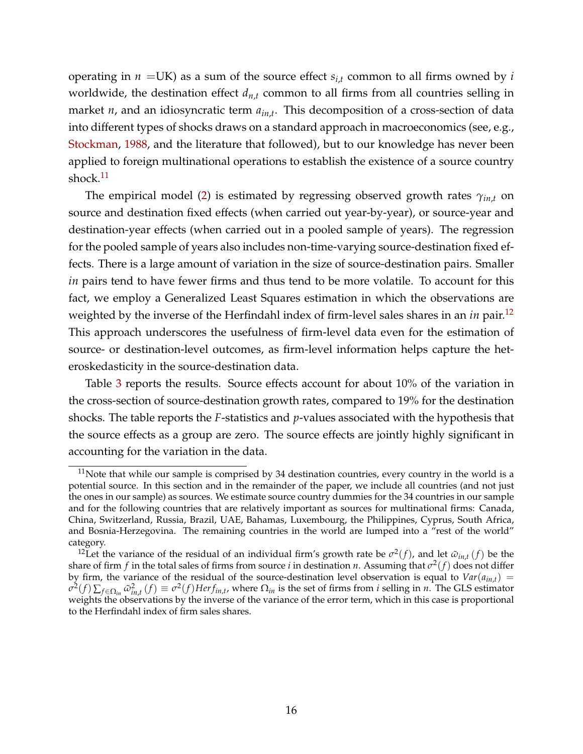operating in  $n = UK$ ) as a sum of the source effect  $s_{i,t}$  common to all firms owned by *i* worldwide, the destination effect *dn*,*<sup>t</sup>* common to all firms from all countries selling in market *n*, and an idiosyncratic term  $a_{int}$ . This decomposition of a cross-section of data into different types of shocks draws on a standard approach in macroeconomics (see, e.g., [Stockman,](#page-46-7) [1988,](#page-46-7) and the literature that followed), but to our knowledge has never been applied to foreign multinational operations to establish the existence of a source country shock. $11$ 

The empirical model [\(2\)](#page-16-1) is estimated by regressing observed growth rates  $\gamma_{int}$  on source and destination fixed effects (when carried out year-by-year), or source-year and destination-year effects (when carried out in a pooled sample of years). The regression for the pooled sample of years also includes non-time-varying source-destination fixed effects. There is a large amount of variation in the size of source-destination pairs. Smaller *in* pairs tend to have fewer firms and thus tend to be more volatile. To account for this fact, we employ a Generalized Least Squares estimation in which the observations are weighted by the inverse of the Herfindahl index of firm-level sales shares in an *in* pair[.12](#page-17-1) This approach underscores the usefulness of firm-level data even for the estimation of source- or destination-level outcomes, as firm-level information helps capture the heteroskedasticity in the source-destination data.

Table [3](#page-18-0) reports the results. Source effects account for about 10% of the variation in the cross-section of source-destination growth rates, compared to 19% for the destination shocks. The table reports the *F*-statistics and *p*-values associated with the hypothesis that the source effects as a group are zero. The source effects are jointly highly significant in accounting for the variation in the data.

<span id="page-17-0"></span> $11$ Note that while our sample is comprised by 34 destination countries, every country in the world is a potential source. In this section and in the remainder of the paper, we include all countries (and not just the ones in our sample) as sources. We estimate source country dummies for the 34 countries in our sample and for the following countries that are relatively important as sources for multinational firms: Canada, China, Switzerland, Russia, Brazil, UAE, Bahamas, Luxembourg, the Philippines, Cyprus, South Africa, and Bosnia-Herzegovina. The remaining countries in the world are lumped into a "rest of the world" category.

<span id="page-17-1"></span><sup>&</sup>lt;sup>12</sup>Let the variance of the residual of an individual firm's growth rate be  $\sigma^2(f)$ , and let  $\tilde{\omega}_{in,t}(f)$  be the share of firm *f* in the total sales of firms from source *i* in destination *n*. Assuming that  $\sigma^2(f)$  does not differ by firm, the variance of the residual of the source-destination level observation is equal to  $Var(a_{in,t})$  =  $\sigma^2(f) \sum_{f \in \Omega_{in}} \tilde{\omega}_{in,t}^2(f) \equiv \sigma^2(f) Herf_{in,t}$ , where  $\Omega_{in}$  is the set of firms from *i* selling in *n*. The GLS estimator weights the observations by the inverse of the variance of the error term, which in this case is proportional to the Herfindahl index of firm sales shares.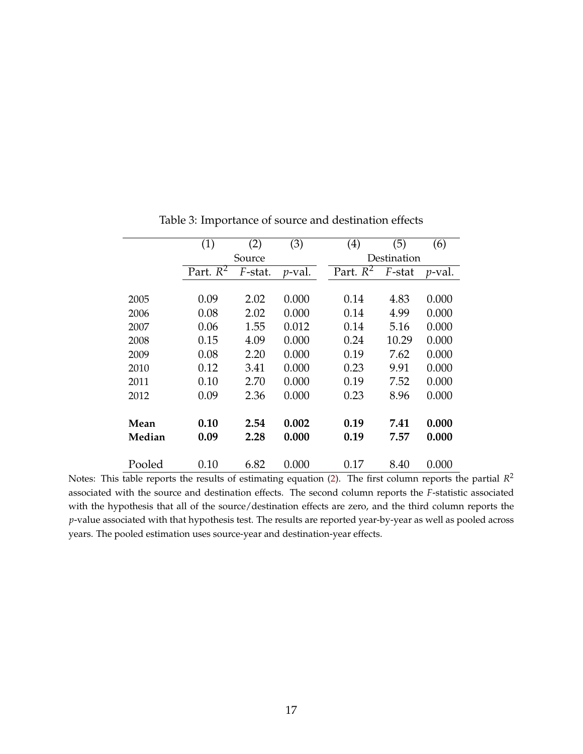<span id="page-18-0"></span>

|        | (1)         | (2)     | (3)       | (4)         | (5)         | (6)            |
|--------|-------------|---------|-----------|-------------|-------------|----------------|
|        |             | Source  |           |             | Destination |                |
|        | Part. $R^2$ | F-stat. | $p$ -val. | Part. $R^2$ | F-stat      | <i>p</i> -val. |
|        |             |         |           |             |             |                |
| 2005   | 0.09        | 2.02    | 0.000     | 0.14        | 4.83        | 0.000          |
| 2006   | 0.08        | 2.02    | 0.000     | 0.14        | 4.99        | 0.000          |
| 2007   | 0.06        | 1.55    | 0.012     | 0.14        | 5.16        | 0.000          |
| 2008   | 0.15        | 4.09    | 0.000     | 0.24        | 10.29       | 0.000          |
| 2009   | 0.08        | 2.20    | 0.000     | 0.19        | 7.62        | 0.000          |
| 2010   | 0.12        | 3.41    | 0.000     | 0.23        | 9.91        | 0.000          |
| 2011   | 0.10        | 2.70    | 0.000     | 0.19        | 7.52        | 0.000          |
| 2012   | 0.09        | 2.36    | 0.000     | 0.23        | 8.96        | 0.000          |
|        |             |         |           |             |             |                |
| Mean   | 0.10        | 2.54    | 0.002     | 0.19        | 7.41        | 0.000          |
| Median | 0.09        | 2.28    | 0.000     | 0.19        | 7.57        | 0.000          |
|        |             |         |           |             |             |                |
| Pooled | 0.10        | 6.82    | 0.000     | 0.17        | 8.40        | 0.000          |

Table 3: Importance of source and destination effects

Notes: This table reports the results of estimating equation [\(2\)](#page-16-1). The first column reports the partial *R*<sup>2</sup> associated with the source and destination effects. The second column reports the *F*-statistic associated with the hypothesis that all of the source/destination effects are zero, and the third column reports the *p*-value associated with that hypothesis test. The results are reported year-by-year as well as pooled across years. The pooled estimation uses source-year and destination-year effects.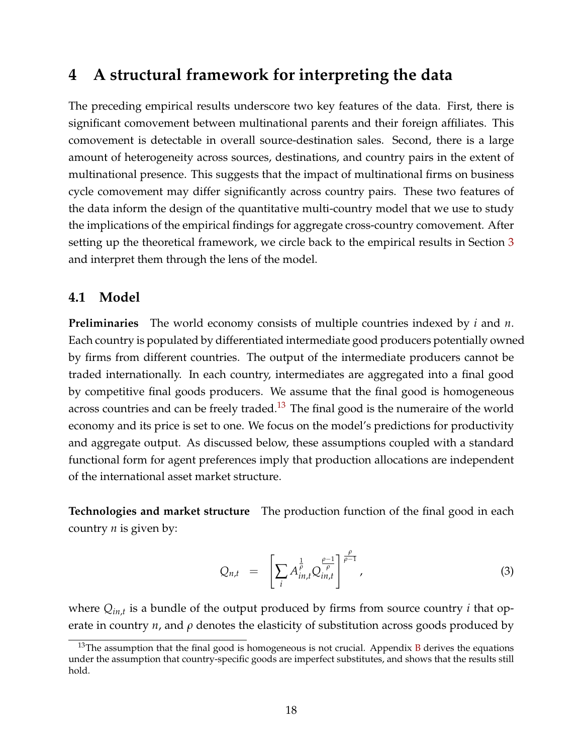# <span id="page-19-0"></span>**4 A structural framework for interpreting the data**

The preceding empirical results underscore two key features of the data. First, there is significant comovement between multinational parents and their foreign affiliates. This comovement is detectable in overall source-destination sales. Second, there is a large amount of heterogeneity across sources, destinations, and country pairs in the extent of multinational presence. This suggests that the impact of multinational firms on business cycle comovement may differ significantly across country pairs. These two features of the data inform the design of the quantitative multi-country model that we use to study the implications of the empirical findings for aggregate cross-country comovement. After setting up the theoretical framework, we circle back to the empirical results in Section [3](#page-12-0) and interpret them through the lens of the model.

### **4.1 Model**

**Preliminaries** The world economy consists of multiple countries indexed by *i* and *n*. Each country is populated by differentiated intermediate good producers potentially owned by firms from different countries. The output of the intermediate producers cannot be traded internationally. In each country, intermediates are aggregated into a final good by competitive final goods producers. We assume that the final good is homogeneous across countries and can be freely traded.<sup>[13](#page-19-1)</sup> The final good is the numeraire of the world economy and its price is set to one. We focus on the model's predictions for productivity and aggregate output. As discussed below, these assumptions coupled with a standard functional form for agent preferences imply that production allocations are independent of the international asset market structure.

**Technologies and market structure** The production function of the final good in each country *n* is given by:

$$
Q_{n,t} = \left[ \sum_{i} A_{in,t}^{\frac{1}{\rho}} Q_{in,t}^{\frac{\rho-1}{\rho}} \right]^{\frac{\rho}{\rho-1}}, \qquad (3)
$$

where *Qin*,*<sup>t</sup>* is a bundle of the output produced by firms from source country *i* that operate in country  $n$ , and  $\rho$  denotes the elasticity of substitution across goods produced by

<span id="page-19-1"></span><sup>&</sup>lt;sup>13</sup>The assumption that the final good is homogeneous is not crucial. Appendix  $\overline{B}$  $\overline{B}$  $\overline{B}$  derives the equations under the assumption that country-specific goods are imperfect substitutes, and shows that the results still hold.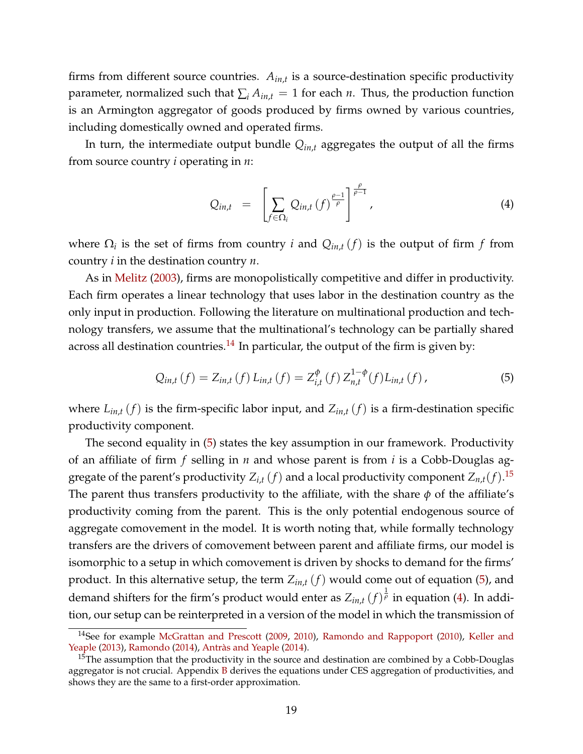firms from different source countries. *Ain*,*<sup>t</sup>* is a source-destination specific productivity parameter, normalized such that  $\sum_i A_{in,t} = 1$  for each *n*. Thus, the production function is an Armington aggregator of goods produced by firms owned by various countries, including domestically owned and operated firms.

In turn, the intermediate output bundle *Qin*,*<sup>t</sup>* aggregates the output of all the firms from source country *i* operating in *n*:

<span id="page-20-3"></span>
$$
Q_{in,t} = \left[ \sum_{f \in \Omega_i} Q_{in,t} (f)^{\frac{\rho-1}{\rho}} \right]^{\frac{\rho}{\rho-1}}, \tag{4}
$$

where  $\Omega_i$  is the set of firms from country *i* and  $Q_{in,t}(f)$  is the output of firm *f* from country *i* in the destination country *n*.

As in [Melitz](#page-46-8) [\(2003\)](#page-46-8), firms are monopolistically competitive and differ in productivity. Each firm operates a linear technology that uses labor in the destination country as the only input in production. Following the literature on multinational production and technology transfers, we assume that the multinational's technology can be partially shared across all destination countries.<sup>14</sup> In particular, the output of the firm is given by:

<span id="page-20-1"></span>
$$
Q_{in,t}(f) = Z_{in,t}(f) L_{in,t}(f) = Z_{i,t}^{\phi}(f) Z_{n,t}^{1-\phi}(f) L_{in,t}(f),
$$
\n(5)

where  $L_{in,t}(f)$  is the firm-specific labor input, and  $Z_{in,t}(f)$  is a firm-destination specific productivity component.

The second equality in [\(5\)](#page-20-1) states the key assumption in our framework. Productivity of an affiliate of firm *f* selling in *n* and whose parent is from *i* is a Cobb-Douglas aggregate of the parent's productivity  $Z_{i,t} \left( f \right)$  and a local productivity component  $Z_{n,t} (f).^{15}$  $Z_{n,t} (f).^{15}$  $Z_{n,t} (f).^{15}$ The parent thus transfers productivity to the affiliate, with the share  $\phi$  of the affiliate's productivity coming from the parent. This is the only potential endogenous source of aggregate comovement in the model. It is worth noting that, while formally technology transfers are the drivers of comovement between parent and affiliate firms, our model is isomorphic to a setup in which comovement is driven by shocks to demand for the firms' product. In this alternative setup, the term *Zin*,*<sup>t</sup>* (*f*) would come out of equation [\(5\)](#page-20-1), and demand shifters for the firm's product would enter as  $Z_{in,t}\left(f\right)^{\frac{1}{\rho}}$  in equation [\(4\)](#page-20-3). In addition, our setup can be reinterpreted in a version of the model in which the transmission of

<span id="page-20-0"></span><sup>&</sup>lt;sup>14</sup>See for example [McGrattan and Prescott](#page-45-3) [\(2009,](#page-45-3) [2010\)](#page-46-0), [Ramondo and Rappoport](#page-46-9) [\(2010\)](#page-46-9), [Keller and](#page-45-4) [Yeaple](#page-45-4) [\(2013\)](#page-45-4), [Ramondo](#page-46-2) [\(2014\)](#page-46-2), [Antràs and Yeaple](#page-43-1) [\(2014\)](#page-43-1).

<span id="page-20-2"></span> $15$ The assumption that the productivity in the source and destination are combined by a Cobb-Douglas aggregator is not crucial. Appendix  $B$  derives the equations under CES aggregation of productivities, and shows they are the same to a first-order approximation.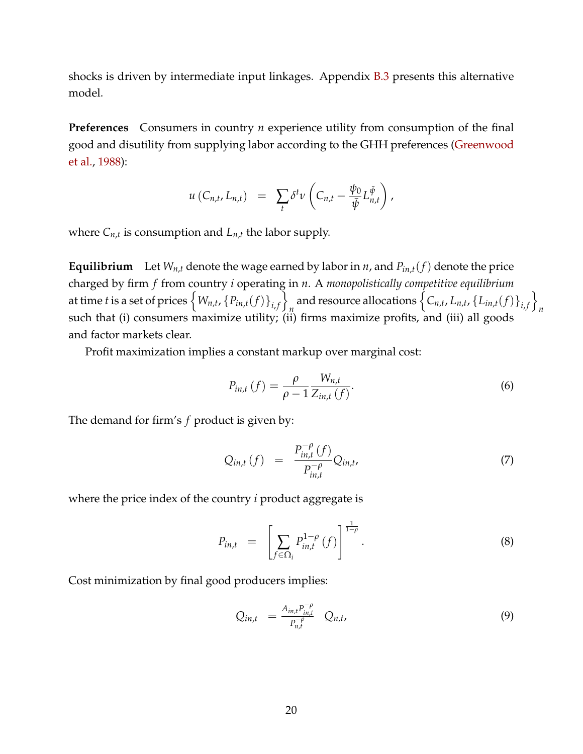shocks is driven by intermediate input linkages. Appendix [B.3](#page-50-0) presents this alternative model.

**Preferences** Consumers in country *n* experience utility from consumption of the final good and disutility from supplying labor according to the GHH preferences [\(Greenwood](#page-44-10) [et al.,](#page-44-10) [1988\)](#page-44-10):

$$
u\left(C_{n,t},L_{n,t}\right) = \sum_{t} \delta^t v\left(C_{n,t} - \frac{\psi_0}{\bar{\psi}} L_{n,t}^{\bar{\psi}}\right),
$$

where  $C_{n,t}$  is consumption and  $L_{n,t}$  the labor supply.

**Equilibrium** Let  $W_{n,t}$  denote the wage earned by labor in *n*, and  $P_{in,t}(f)$  denote the price charged by firm *f* from country *i* operating in *n*. A *monopolistically competitive equilibrium* at time *t* is a set of prices  $\left\{ W_{n,t}, \left\{ P_{in,t}(f) \right\}_{i,f} \right\}$ and resource allocations  $\left\{ C_{n,t}, L_{n,t}, \left\{ L_{in,t}(f) \right\}_{i,f} \right\}$ such that (i) consumers maximize utility; (ii) firms maximize profits, and (iii) all goods and factor markets clear.

Profit maximization implies a constant markup over marginal cost:

<span id="page-21-0"></span>
$$
P_{in,t}(f) = \frac{\rho}{\rho - 1} \frac{W_{n,t}}{Z_{in,t}(f)}.
$$
\n(6)

The demand for firm's *f* product is given by:

<span id="page-21-2"></span>
$$
Q_{in,t}(f) = \frac{P_{in,t}^{-\rho}(f)}{P_{in,t}^{-\rho}} Q_{in,t},
$$
\n(7)

where the price index of the country *i* product aggregate is

<span id="page-21-1"></span>
$$
P_{in,t} = \left[ \sum_{f \in \Omega_i} P_{in,t}^{1-\rho}(f) \right]^{\frac{1}{1-\rho}}.
$$
\n(8)

Cost minimization by final good producers implies:

<span id="page-21-3"></span>
$$
Q_{in,t} = \frac{A_{in,t} P_{in,t}^{-\rho}}{P_{n,t}^{-\rho}} Q_{n,t}, \qquad (9)
$$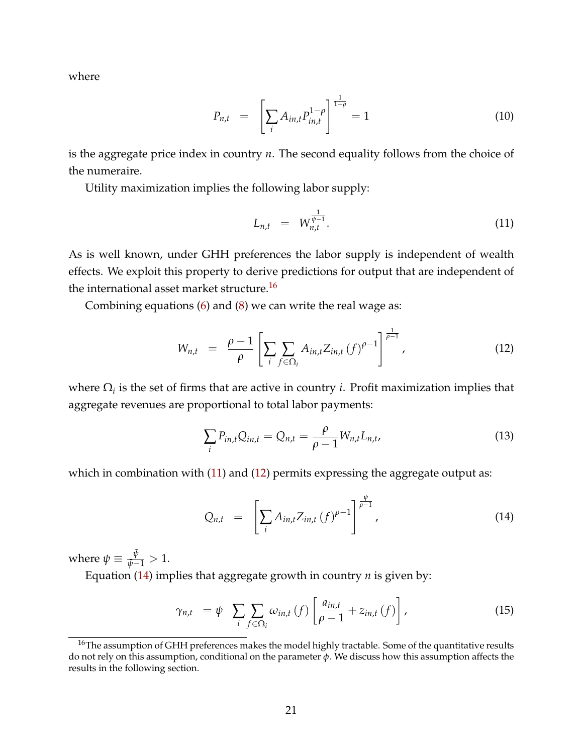where

<span id="page-22-5"></span>
$$
P_{n,t} = \left[ \sum_{i} A_{in,t} P_{in,t}^{1-\rho} \right]^{\frac{1}{1-\rho}} = 1 \tag{10}
$$

is the aggregate price index in country *n*. The second equality follows from the choice of the numeraire.

Utility maximization implies the following labor supply:

<span id="page-22-1"></span>
$$
L_{n,t} = W_{n,t}^{\frac{1}{\psi-1}}.
$$
 (11)

As is well known, under GHH preferences the labor supply is independent of wealth effects. We exploit this property to derive predictions for output that are independent of the international asset market structure.<sup>16</sup>

Combining equations [\(6\)](#page-21-0) and [\(8\)](#page-21-1) we can write the real wage as:

<span id="page-22-2"></span>
$$
W_{n,t} = \frac{\rho - 1}{\rho} \left[ \sum_{i} \sum_{f \in \Omega_i} A_{in,t} Z_{in,t} (f)^{\rho - 1} \right]^{\frac{1}{\rho - 1}}, \qquad (12)
$$

where  $\Omega_i$  is the set of firms that are active in country *i*. Profit maximization implies that aggregate revenues are proportional to total labor payments:

$$
\sum_{i} P_{in,t} Q_{in,t} = Q_{n,t} = \frac{\rho}{\rho - 1} W_{n,t} L_{n,t},
$$
\n(13)

which in combination with [\(11\)](#page-22-1) and [\(12\)](#page-22-2) permits expressing the aggregate output as:

<span id="page-22-3"></span>
$$
Q_{n,t} = \left[ \sum_{i} A_{in,t} Z_{in,t} (f)^{\rho-1} \right]^{\frac{\psi}{\rho-1}}, \qquad (14)
$$

where  $\psi \equiv \frac{\bar{\psi}}{\bar{\psi}-1} > 1$ .

Equation [\(14\)](#page-22-3) implies that aggregate growth in country *n* is given by:

<span id="page-22-4"></span>
$$
\gamma_{n,t} = \psi \sum_{i} \sum_{f \in \Omega_i} \omega_{in,t} (f) \left[ \frac{a_{in,t}}{\rho - 1} + z_{in,t} (f) \right], \qquad (15)
$$

<span id="page-22-0"></span><sup>&</sup>lt;sup>16</sup>The assumption of GHH preferences makes the model highly tractable. Some of the quantitative results do not rely on this assumption, conditional on the parameter  $\phi$ . We discuss how this assumption affects the results in the following section.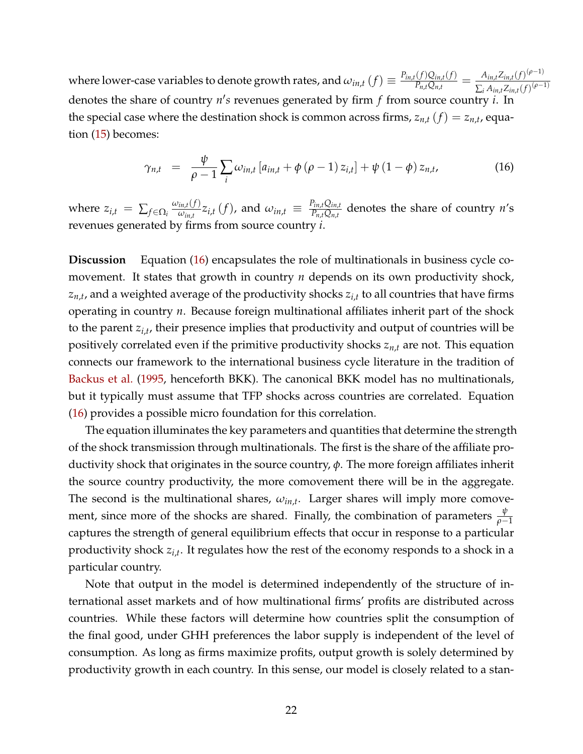where lower-case variables to denote growth rates, and  $\omega_{in,t}(f) \equiv \frac{P_{in,t}(f)Q_{in,t}(f)}{P_{n,t}Q_{n,t}} = \frac{A_{in,t}Z_{in,t}(f)^{(\rho-1)}}{\sum_{i}A_{in,t}Z_{in,t}(f)^{(\rho-1)}}$  $\sum_{i} A_{in,t} Z_{in,t}(f)^{(\rho-1)}$ denotes the share of country *n's* revenues generated by firm *f* from source country *i*. In the special case where the destination shock is common across firms,  $z_{n,t}$  ( $f$ ) =  $z_{n,t}$ , equation [\(15\)](#page-22-4) becomes:

<span id="page-23-0"></span>
$$
\gamma_{n,t} = \frac{\psi}{\rho - 1} \sum_{i} \omega_{in,t} [a_{in,t} + \phi (\rho - 1) z_{i,t}] + \psi (1 - \phi) z_{n,t}, \qquad (16)
$$

where  $z_{i,t} = \sum_{f \in \Omega_i} \frac{\omega_{in,t}(f)}{\omega_{in,t}}$  $\frac{m_t(f)}{\omega_{in,t}} z_{i,t} (f)$ , and  $\omega_{in,t} \equiv \frac{P_{in,t}Q_{in,t}}{P_{n,t}Q_{n,t}}$  denotes the share of country *n's* revenues generated by firms from source country *i*.

**Discussion** Equation [\(16\)](#page-23-0) encapsulates the role of multinationals in business cycle comovement. It states that growth in country *n* depends on its own productivity shock, *zn*,*t*, and a weighted average of the productivity shocks *zi*,*<sup>t</sup>* to all countries that have firms operating in country *n*. Because foreign multinational affiliates inherit part of the shock to the parent *zi*,*t*, their presence implies that productivity and output of countries will be positively correlated even if the primitive productivity shocks *zn*,*<sup>t</sup>* are not. This equation connects our framework to the international business cycle literature in the tradition of [Backus et al.](#page-43-9) [\(1995,](#page-43-9) henceforth BKK). The canonical BKK model has no multinationals, but it typically must assume that TFP shocks across countries are correlated. Equation [\(16\)](#page-23-0) provides a possible micro foundation for this correlation.

The equation illuminates the key parameters and quantities that determine the strength of the shock transmission through multinationals. The first is the share of the affiliate productivity shock that originates in the source country, *f*. The more foreign affiliates inherit the source country productivity, the more comovement there will be in the aggregate. The second is the multinational shares,  $\omega_{in,t}$ . Larger shares will imply more comovement, since more of the shocks are shared. Finally, the combination of parameters  $\frac{\psi}{\rho-1}$ captures the strength of general equilibrium effects that occur in response to a particular productivity shock *zi*,*t*. It regulates how the rest of the economy responds to a shock in a particular country.

Note that output in the model is determined independently of the structure of international asset markets and of how multinational firms' profits are distributed across countries. While these factors will determine how countries split the consumption of the final good, under GHH preferences the labor supply is independent of the level of consumption. As long as firms maximize profits, output growth is solely determined by productivity growth in each country. In this sense, our model is closely related to a stan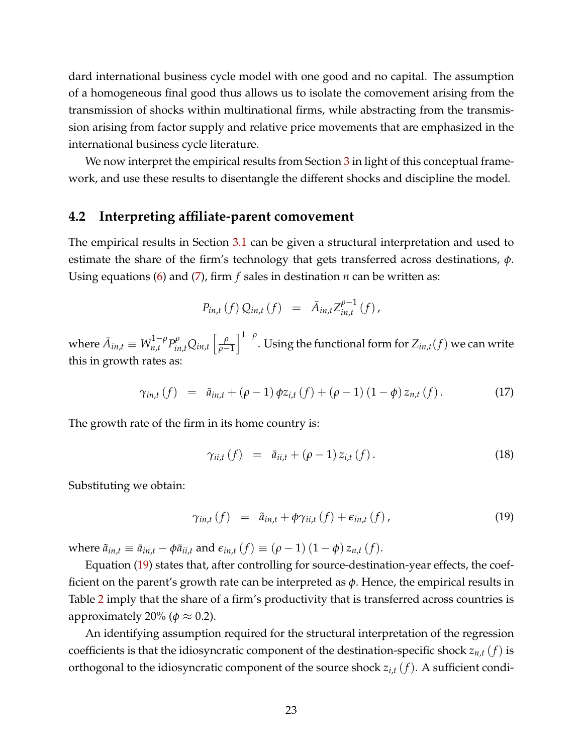dard international business cycle model with one good and no capital. The assumption of a homogeneous final good thus allows us to isolate the comovement arising from the transmission of shocks within multinational firms, while abstracting from the transmission arising from factor supply and relative price movements that are emphasized in the international business cycle literature.

We now interpret the empirical results from Section [3](#page-12-0) in light of this conceptual framework, and use these results to disentangle the different shocks and discipline the model.

### <span id="page-24-1"></span>**4.2 Interpreting affiliate-parent comovement**

The empirical results in Section [3.1](#page-12-3) can be given a structural interpretation and used to estimate the share of the firm's technology that gets transferred across destinations, *f*. Using equations [\(6\)](#page-21-0) and [\(7\)](#page-21-2), firm *f* sales in destination *n* can be written as:

$$
P_{in,t}(f) Q_{in,t}(f) = \bar{A}_{in,t} Z_{in,t}^{\rho-1}(f),
$$

where  $\bar{A}_{in,t} \equiv W_{n,t}^{1-\rho} P_{in,t}^{\rho} Q_{in,t} \left[ \frac{\rho}{\rho - \rho} \right]$  $\rho$ <sup>-1</sup>  $\int_0^{1-\rho}$ . Using the functional form for  $Z_{in,t}(f)$  we can write this in growth rates as:

<span id="page-24-2"></span>
$$
\gamma_{in,t}(f) = \bar{a}_{in,t} + (\rho - 1) \phi z_{i,t}(f) + (\rho - 1) (1 - \phi) z_{n,t}(f). \tag{17}
$$

The growth rate of the firm in its home country is:

<span id="page-24-3"></span>
$$
\gamma_{ii,t}(f) = \bar{a}_{ii,t} + (\rho - 1) z_{i,t}(f). \tag{18}
$$

Substituting we obtain:

<span id="page-24-0"></span>
$$
\gamma_{in,t}(f) = \tilde{a}_{in,t} + \phi \gamma_{ii,t}(f) + \epsilon_{in,t}(f), \qquad (19)
$$

where  $\tilde{a}_{in,t} \equiv \bar{a}_{in,t} - \phi \bar{a}_{it,t}$  and  $\epsilon_{in,t} (f) \equiv (\rho - 1) (1 - \phi) z_{n,t} (f)$ .

Equation [\(19\)](#page-24-0) states that, after controlling for source-destination-year effects, the coefficient on the parent's growth rate can be interpreted as  $\phi$ . Hence, the empirical results in Table [2](#page-13-0) imply that the share of a firm's productivity that is transferred across countries is approximately 20% ( $\phi \approx 0.2$ ).

An identifying assumption required for the structural interpretation of the regression coefficients is that the idiosyncratic component of the destination-specific shock  $z_{n,t}$  (*f*) is orthogonal to the idiosyncratic component of the source shock *zi*,*<sup>t</sup>* (*f*). A sufficient condi-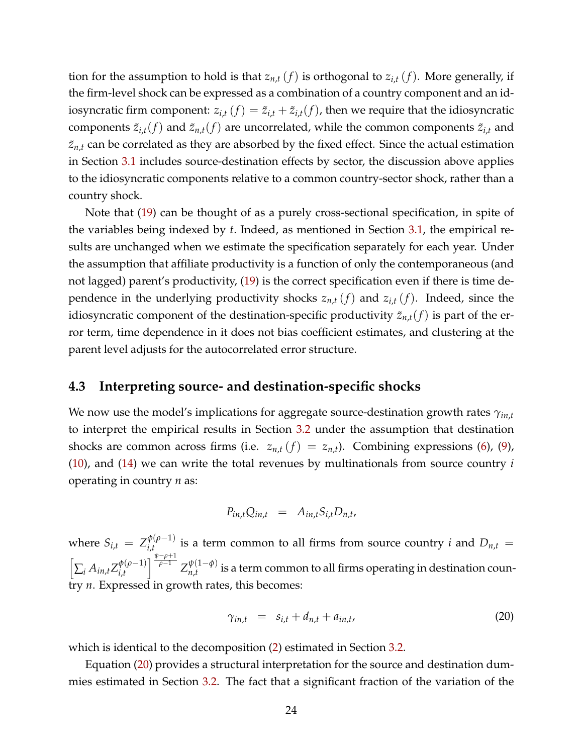tion for the assumption to hold is that  $z_{n,t}$  (*f*) is orthogonal to  $z_{i,t}$  (*f*). More generally, if the firm-level shock can be expressed as a combination of a country component and an idiosyncratic firm component:  $z_{i,t}(f) = \tilde{z}_{i,t} + \tilde{z}_{i,t}(f)$ , then we require that the idiosyncratic components  $\tilde{z}_{i,t}(f)$  and  $\tilde{z}_{n,t}(f)$  are uncorrelated, while the common components  $\tilde{z}_{i,t}$  and  $\tilde{z}_{n,t}$  can be correlated as they are absorbed by the fixed effect. Since the actual estimation in Section [3.1](#page-12-3) includes source-destination effects by sector, the discussion above applies to the idiosyncratic components relative to a common country-sector shock, rather than a country shock.

Note that [\(19\)](#page-24-0) can be thought of as a purely cross-sectional specification, in spite of the variables being indexed by *t*. Indeed, as mentioned in Section [3.1,](#page-12-3) the empirical results are unchanged when we estimate the specification separately for each year. Under the assumption that affiliate productivity is a function of only the contemporaneous (and not lagged) parent's productivity, [\(19\)](#page-24-0) is the correct specification even if there is time dependence in the underlying productivity shocks  $z_{n,t}(f)$  and  $z_{i,t}(f)$ . Indeed, since the idiosyncratic component of the destination-specific productivity  $\tilde{z}_{n,t}(f)$  is part of the error term, time dependence in it does not bias coefficient estimates, and clustering at the parent level adjusts for the autocorrelated error structure.

### **4.3 Interpreting source- and destination-specific shocks**

We now use the model's implications for aggregate source-destination growth rates  $\gamma_{in,t}$ to interpret the empirical results in Section [3.2](#page-16-2) under the assumption that destination shocks are common across firms (i.e.  $z_{n,t}(f) = z_{n,t}$ ). Combining expressions [\(6\)](#page-21-0), [\(9\)](#page-21-3), [\(10\)](#page-22-5), and [\(14\)](#page-22-3) we can write the total revenues by multinationals from source country *i* operating in country *n* as:

$$
P_{in,t}Q_{in,t} = A_{in,t}S_{i,t}D_{n,t},
$$

where  $S_{i,t} = Z_{i,t}^{\phi(\rho-1)}$  is a term common to all firms from source country *i* and  $D_{n,t} =$  $\left[ \sum_i A_{in,t} Z_{i,t}^{\phi(\rho-1)} \right]$  $\int_{0}^{\frac{\psi-\rho+1}{\rho-1}} Z_{n,t}^{\psi(1-\phi)}$  is a term common to all firms operating in destination country *n*. Expressed in growth rates, this becomes:

<span id="page-25-0"></span>
$$
\gamma_{in,t} = s_{i,t} + d_{n,t} + a_{in,t}, \qquad (20)
$$

which is identical to the decomposition [\(2\)](#page-16-1) estimated in Section [3.2.](#page-16-2)

Equation [\(20\)](#page-25-0) provides a structural interpretation for the source and destination dummies estimated in Section [3.2.](#page-16-2) The fact that a significant fraction of the variation of the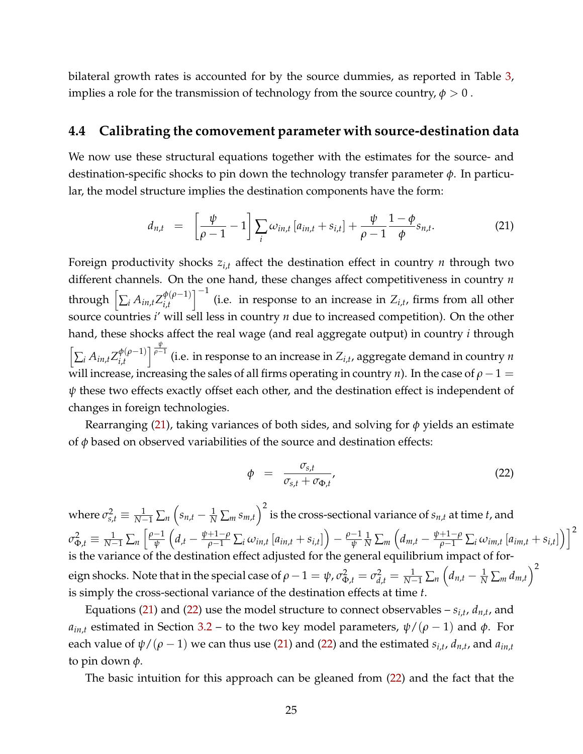bilateral growth rates is accounted for by the source dummies, as reported in Table [3,](#page-18-0) implies a role for the transmission of technology from the source country,  $\phi > 0$ .

### <span id="page-26-2"></span>**4.4 Calibrating the comovement parameter with source-destination data**

We now use these structural equations together with the estimates for the source- and destination-specific shocks to pin down the technology transfer parameter *f*. In particular, the model structure implies the destination components have the form:

<span id="page-26-0"></span>
$$
d_{n,t} = \left[ \frac{\psi}{\rho - 1} - 1 \right] \sum_{i} \omega_{in,t} \left[ a_{in,t} + s_{i,t} \right] + \frac{\psi}{\rho - 1} \frac{1 - \phi}{\phi} s_{n,t}.
$$
 (21)

Foreign productivity shocks *zi*,*<sup>t</sup>* affect the destination effect in country *n* through two different channels. On the one hand, these changes affect competitiveness in country *n* through  $\left[ \sum_i A_{in,t} Z^{\phi(\rho-1)}_{i,t} \right]$  $\int_{0}^{-1}$  (i.e. in response to an increase in  $Z_{i,t}$ , firms from all other source countries *i*' will sell less in country *n* due to increased competition). On the other hand, these shocks affect the real wage (and real aggregate output) in country *i* through  $\left[ \sum_i A_{in,t} Z_{i,t}^{\phi(\rho-1)} \right]$  $\int_{0}^{\frac{\psi}{\rho-1}}$  (i.e. in response to an increase in  $Z_{i,t}$ , aggregate demand in country  $n$ will increase, increasing the sales of all firms operating in country *n*). In the case of  $\rho - 1 =$ *y* these two effects exactly offset each other, and the destination effect is independent of changes in foreign technologies.

Rearranging  $(21)$ , taking variances of both sides, and solving for  $\phi$  yields an estimate of  $\phi$  based on observed variabilities of the source and destination effects:

<span id="page-26-1"></span>
$$
\phi = \frac{\sigma_{s,t}}{\sigma_{s,t} + \sigma_{\Phi,t}},\tag{22}
$$

where  $\sigma_{s,t}^2 \equiv \frac{1}{N-1} \sum_n \left( s_{n,t} - \frac{1}{N} \sum_m s_{m,t} \right)$  $\int_0^2$  is the cross-sectional variance of  $s_{n,t}$  at time *t*, and  $\sigma_{\Phi,t}^2 \equiv \frac{1}{N-1} \sum_n \left[ \frac{\rho-1}{\psi} \right]$  $\left(d_{,t} - \frac{\psi + 1 - \rho}{\rho - 1} \sum_i \omega_{in,t} [a_{in,t} + s_{i,t}] \right) - \frac{\rho - 1}{\psi}$  $\frac{1}{N} \sum_{m} \left( d_{m,t} - \frac{\psi + 1 - \rho}{\rho - 1} \sum_{i} \omega_{im,t} \left[ a_{im,t} + s_{i,t} \right] \right) \right]^{2}$ is the variance of the destination effect adjusted for the general equilibrium impact of foreign shocks. Note that in the special case of  $\rho - 1 = \psi$ ,  $\sigma_{\Phi,t}^2 = \sigma_{d,t}^2 = \frac{1}{N-1} \sum_n \left( d_{n,t} - \frac{1}{N} \sum_m d_{m,t} \right)$  $\chi^2$ is simply the cross-sectional variance of the destination effects at time *t*.

Equations [\(21\)](#page-26-0) and [\(22\)](#page-26-1) use the model structure to connect observables  $-s_{i,t}$ ,  $d_{n,t}$ , and  $a_{in,t}$  estimated in Section [3.2](#page-16-2) – to the two key model parameters,  $\psi/(\rho - 1)$  and  $\phi$ . For each value of  $\psi/(\rho - 1)$  we can thus use [\(21\)](#page-26-0) and [\(22\)](#page-26-1) and the estimated  $s_{i,t}$ ,  $d_{n,t}$ , and  $a_{in,t}$ to pin down  $\phi$ .

The basic intuition for this approach can be gleaned from [\(22\)](#page-26-1) and the fact that the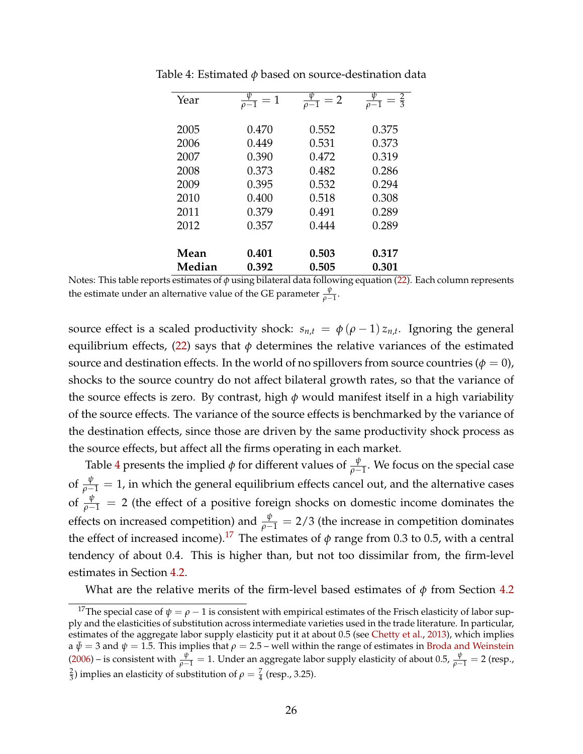| Year   | $=1$  | $=2$  |       |
|--------|-------|-------|-------|
| 2005   | 0.470 | 0.552 | 0.375 |
| 2006   | 0.449 | 0.531 | 0.373 |
| 2007   | 0.390 | 0.472 | 0.319 |
| 2008   | 0.373 | 0.482 | 0.286 |
| 2009   | 0.395 | 0.532 | 0.294 |
| 2010   | 0.400 | 0.518 | 0.308 |
| 2011   | 0.379 | 0.491 | 0.289 |
| 2012   | 0.357 | 0.444 | 0.289 |
| Mean   | 0.401 | 0.503 | 0.317 |
| Median | 0.392 | 0.505 | 0.301 |

<span id="page-27-0"></span>Table 4: Estimated  $\phi$  based on source-destination data

Notes: This table reports estimates of  $\phi$  using bilateral data following equation [\(22\)](#page-26-1). Each column represents the estimate under an alternative value of the GE parameter  $\frac{\psi}{\rho-1}$ .

source effect is a scaled productivity shock:  $s_{n,t} = \phi(\rho - 1) z_{n,t}$ . Ignoring the general equilibrium effects,  $(22)$  says that  $\phi$  determines the relative variances of the estimated source and destination effects. In the world of no spillovers from source countries ( $\phi = 0$ ), shocks to the source country do not affect bilateral growth rates, so that the variance of the source effects is zero. By contrast, high  $\phi$  would manifest itself in a high variability of the source effects. The variance of the source effects is benchmarked by the variance of the destination effects, since those are driven by the same productivity shock process as the source effects, but affect all the firms operating in each market.

Table [4](#page-27-0) presents the implied  $\phi$  for different values of  $\frac{\psi}{\rho-1}$ . We focus on the special case of  $\frac{\psi}{\rho - 1} = 1$ , in which the general equilibrium effects cancel out, and the alternative cases of  $\frac{\psi}{\rho-1}$  = 2 (the effect of a positive foreign shocks on domestic income dominates the effects on increased competition) and  $\frac{\psi}{\rho - 1} = 2/3$  (the increase in competition dominates the effect of increased income).<sup>[17](#page-27-1)</sup> The estimates of  $\phi$  range from 0.3 to 0.5, with a central tendency of about 0.4. This is higher than, but not too dissimilar from, the firm-level estimates in Section [4.2.](#page-24-1)

What are the relative merits of the firm-level based estimates of  $\phi$  from Section [4.2](#page-24-1)

<span id="page-27-1"></span><sup>&</sup>lt;sup>17</sup>The special case of  $\psi = \rho - 1$  is consistent with empirical estimates of the Frisch elasticity of labor supply and the elasticities of substitution across intermediate varieties used in the trade literature. In particular, estimates of the aggregate labor supply elasticity put it at about 0.5 (see [Chetty et al.,](#page-44-11) [2013\)](#page-44-11), which implies a  $\bar{\psi}$  = 3 and  $\psi$  = 1.5. This implies that  $\rho$  = 2.5 – well within the range of estimates in [Broda and Weinstein](#page-43-10) [\(2006\)](#page-43-10) – is consistent with  $\frac{\psi}{\rho-1} = 1$ . Under an aggregate labor supply elasticity of about 0.5,  $\frac{\psi}{\rho-1} = 2$  (resp.,  $\frac{2}{3}$ ) implies an elasticity of substitution of  $\rho = \frac{7}{4}$  (resp., 3.25).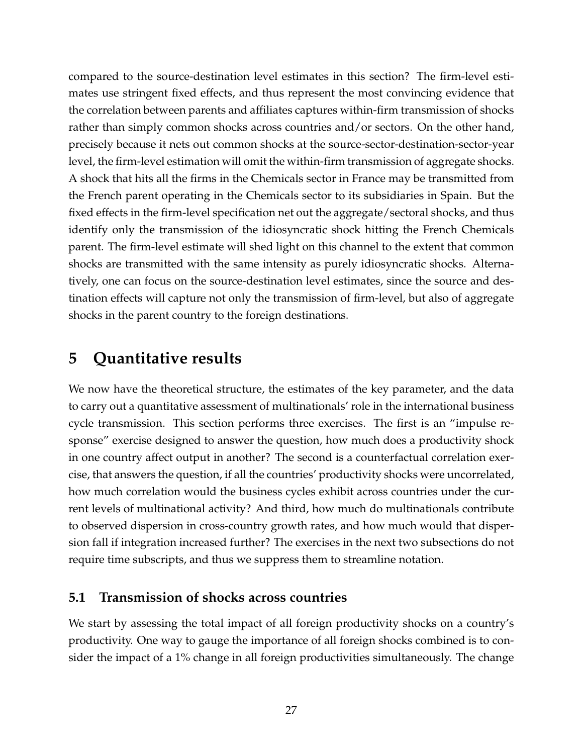compared to the source-destination level estimates in this section? The firm-level estimates use stringent fixed effects, and thus represent the most convincing evidence that the correlation between parents and affiliates captures within-firm transmission of shocks rather than simply common shocks across countries and/or sectors. On the other hand, precisely because it nets out common shocks at the source-sector-destination-sector-year level, the firm-level estimation will omit the within-firm transmission of aggregate shocks. A shock that hits all the firms in the Chemicals sector in France may be transmitted from the French parent operating in the Chemicals sector to its subsidiaries in Spain. But the fixed effects in the firm-level specification net out the aggregate/sectoral shocks, and thus identify only the transmission of the idiosyncratic shock hitting the French Chemicals parent. The firm-level estimate will shed light on this channel to the extent that common shocks are transmitted with the same intensity as purely idiosyncratic shocks. Alternatively, one can focus on the source-destination level estimates, since the source and destination effects will capture not only the transmission of firm-level, but also of aggregate shocks in the parent country to the foreign destinations.

# <span id="page-28-0"></span>**5 Quantitative results**

We now have the theoretical structure, the estimates of the key parameter, and the data to carry out a quantitative assessment of multinationals' role in the international business cycle transmission. This section performs three exercises. The first is an "impulse response" exercise designed to answer the question, how much does a productivity shock in one country affect output in another? The second is a counterfactual correlation exercise, that answers the question, if all the countries' productivity shocks were uncorrelated, how much correlation would the business cycles exhibit across countries under the current levels of multinational activity? And third, how much do multinationals contribute to observed dispersion in cross-country growth rates, and how much would that dispersion fall if integration increased further? The exercises in the next two subsections do not require time subscripts, and thus we suppress them to streamline notation.

## **5.1 Transmission of shocks across countries**

We start by assessing the total impact of all foreign productivity shocks on a country's productivity. One way to gauge the importance of all foreign shocks combined is to consider the impact of a 1% change in all foreign productivities simultaneously. The change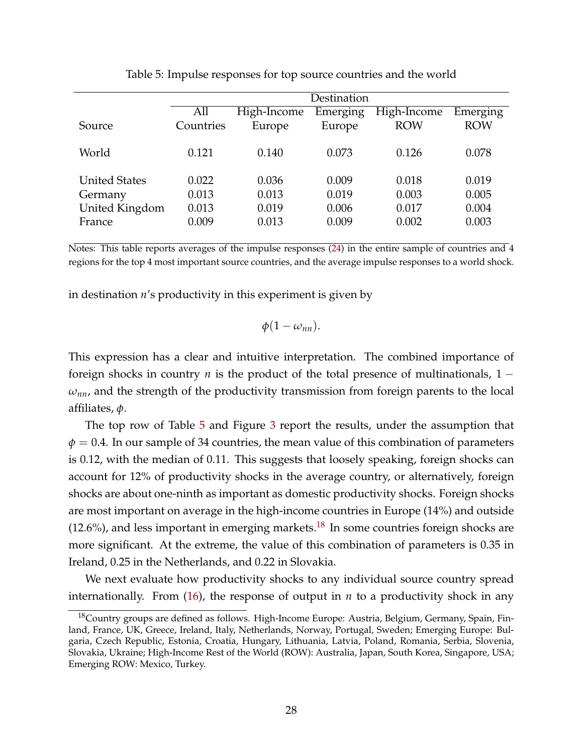<span id="page-29-0"></span>

|                      |           |             | Destination |             |            |
|----------------------|-----------|-------------|-------------|-------------|------------|
|                      | All       | High-Income | Emerging    | High-Income | Emerging   |
| Source               | Countries | Europe      | Europe      | <b>ROW</b>  | <b>ROW</b> |
|                      |           |             |             |             |            |
| World                | 0.121     | 0.140       | 0.073       | 0.126       | 0.078      |
|                      |           |             |             |             |            |
| <b>United States</b> | 0.022     | 0.036       | 0.009       | 0.018       | 0.019      |
| Germany              | 0.013     | 0.013       | 0.019       | 0.003       | 0.005      |
| United Kingdom       | 0.013     | 0.019       | 0.006       | 0.017       | 0.004      |
| France               | 0.009     | 0.013       | 0.009       | 0.002       | 0.003      |
|                      |           |             |             |             |            |

Table 5: Impulse responses for top source countries and the world

Notes: This table reports averages of the impulse responses [\(24\)](#page-31-0) in the entire sample of countries and 4 regions for the top 4 most important source countries, and the average impulse responses to a world shock.

in destination *n*'s productivity in this experiment is given by

$$
\phi(1-\omega_{nn}).
$$

This expression has a clear and intuitive interpretation. The combined importance of foreign shocks in country *n* is the product of the total presence of multinationals,  $1 \omega_{nn}$ , and the strength of the productivity transmission from foreign parents to the local affiliates,  $\phi$ .

The top row of Table [5](#page-29-0) and Figure [3](#page-30-0) report the results, under the assumption that  $\phi = 0.4$ . In our sample of 34 countries, the mean value of this combination of parameters is 0.12, with the median of 0.11. This suggests that loosely speaking, foreign shocks can account for 12% of productivity shocks in the average country, or alternatively, foreign shocks are about one-ninth as important as domestic productivity shocks. Foreign shocks are most important on average in the high-income countries in Europe (14%) and outside  $(12.6\%)$ , and less important in emerging markets.<sup>[18](#page-29-1)</sup> In some countries foreign shocks are more significant. At the extreme, the value of this combination of parameters is 0.35 in Ireland, 0.25 in the Netherlands, and 0.22 in Slovakia.

We next evaluate how productivity shocks to any individual source country spread internationally. From  $(16)$ , the response of output in *n* to a productivity shock in any

<span id="page-29-1"></span><sup>&</sup>lt;sup>18</sup>Country groups are defined as follows. High-Income Europe: Austria, Belgium, Germany, Spain, Finland, France, UK, Greece, Ireland, Italy, Netherlands, Norway, Portugal, Sweden; Emerging Europe: Bulgaria, Czech Republic, Estonia, Croatia, Hungary, Lithuania, Latvia, Poland, Romania, Serbia, Slovenia, Slovakia, Ukraine; High-Income Rest of the World (ROW): Australia, Japan, South Korea, Singapore, USA; Emerging ROW: Mexico, Turkey.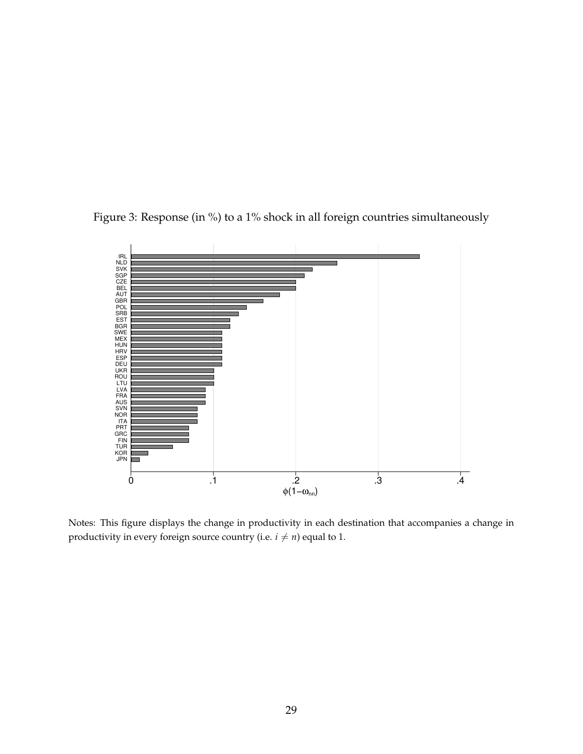

<span id="page-30-0"></span>Figure 3: Response (in %) to a 1% shock in all foreign countries simultaneously

Notes: This figure displays the change in productivity in each destination that accompanies a change in productivity in every foreign source country (i.e.  $i \neq n$ ) equal to 1.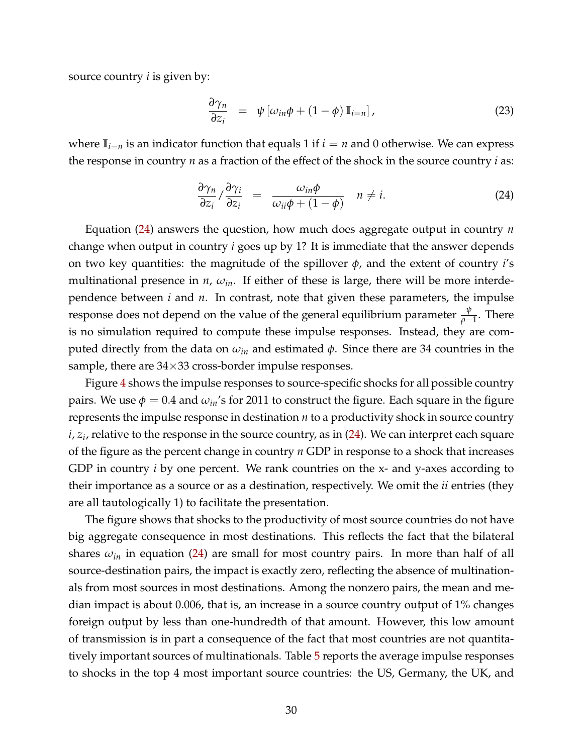source country *i* is given by:

$$
\frac{\partial \gamma_n}{\partial z_i} = \psi \left[ \omega_{in} \phi + (1 - \phi) \mathbb{I}_{i=n} \right], \tag{23}
$$

where  $\mathbb{I}_{i=n}$  is an indicator function that equals 1 if  $i = n$  and 0 otherwise. We can express the response in country *n* as a fraction of the effect of the shock in the source country *i* as:

<span id="page-31-0"></span>
$$
\frac{\partial \gamma_n}{\partial z_i} / \frac{\partial \gamma_i}{\partial z_i} = \frac{\omega_{in} \phi}{\omega_{ii} \phi + (1 - \phi)} \quad n \neq i. \tag{24}
$$

Equation [\(24\)](#page-31-0) answers the question, how much does aggregate output in country *n* change when output in country *i* goes up by 1? It is immediate that the answer depends on two key quantities: the magnitude of the spillover  $\phi$ , and the extent of country *i*'s multinational presence in  $n$ ,  $\omega_{in}$ . If either of these is large, there will be more interdependence between *i* and *n*. In contrast, note that given these parameters, the impulse response does not depend on the value of the general equilibrium parameter  $\frac{\psi}{\rho-1}$ . There is no simulation required to compute these impulse responses. Instead, they are computed directly from the data on  $\omega_{in}$  and estimated  $\phi$ . Since there are 34 countries in the sample, there are  $34\times33$  cross-border impulse responses.

Figure [4](#page-33-0) shows the impulse responses to source-specific shocks for all possible country pairs. We use  $\phi = 0.4$  and  $\omega_{in}$ 's for 2011 to construct the figure. Each square in the figure represents the impulse response in destination *n* to a productivity shock in source country  $i, z_i$ , relative to the response in the source country, as in  $(24)$ . We can interpret each square of the figure as the percent change in country *n* GDP in response to a shock that increases GDP in country *i* by one percent. We rank countries on the x- and y-axes according to their importance as a source or as a destination, respectively. We omit the *ii* entries (they are all tautologically 1) to facilitate the presentation.

The figure shows that shocks to the productivity of most source countries do not have big aggregate consequence in most destinations. This reflects the fact that the bilateral shares  $\omega_{in}$  in equation [\(24\)](#page-31-0) are small for most country pairs. In more than half of all source-destination pairs, the impact is exactly zero, reflecting the absence of multinationals from most sources in most destinations. Among the nonzero pairs, the mean and median impact is about 0.006, that is, an increase in a source country output of 1% changes foreign output by less than one-hundredth of that amount. However, this low amount of transmission is in part a consequence of the fact that most countries are not quantitatively important sources of multinationals. Table [5](#page-29-0) reports the average impulse responses to shocks in the top 4 most important source countries: the US, Germany, the UK, and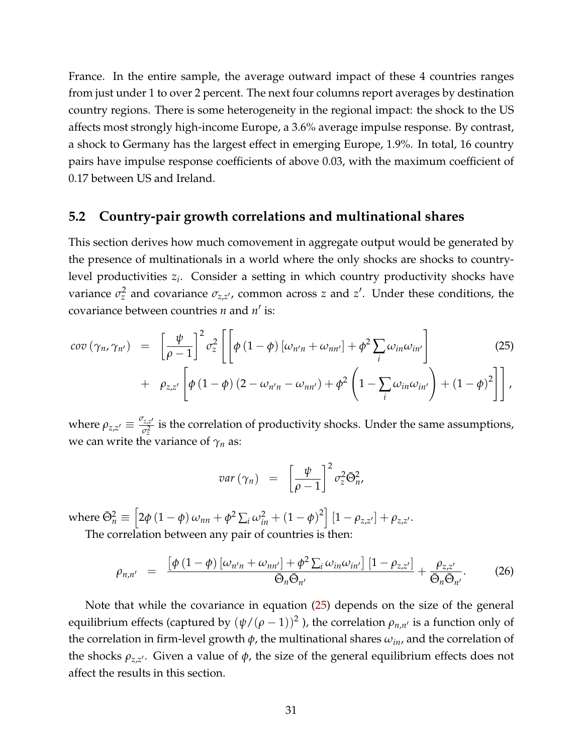France. In the entire sample, the average outward impact of these 4 countries ranges from just under 1 to over 2 percent. The next four columns report averages by destination country regions. There is some heterogeneity in the regional impact: the shock to the US affects most strongly high-income Europe, a 3.6% average impulse response. By contrast, a shock to Germany has the largest effect in emerging Europe, 1.9%. In total, 16 country pairs have impulse response coefficients of above 0.03, with the maximum coefficient of 0.17 between US and Ireland.

### **5.2 Country-pair growth correlations and multinational shares**

This section derives how much comovement in aggregate output would be generated by the presence of multinationals in a world where the only shocks are shocks to countrylevel productivities *zi*. Consider a setting in which country productivity shocks have variance  $\sigma_z^2$  and covariance  $\sigma_{z,z'}$ , common across *z* and *z'*. Under these conditions, the covariance between countries  $n$  and  $n'$  is:

<span id="page-32-0"></span>
$$
cov(\gamma_n, \gamma_{n'}) = \left[\frac{\psi}{\rho - 1}\right]^2 \sigma_z^2 \left[\left[\phi(1 - \phi)\left[\omega_{n'n} + \omega_{nn'}\right] + \phi^2 \sum_i \omega_{in} \omega_{in'}\right]\right]
$$
(25)

$$
+\rho_{z,z'}\left[\phi\left(1-\phi\right)\left(2-\omega_{n'n}-\omega_{nn'}\right)+\phi^2\left(1-\sum_i\omega_{in}\omega_{in'}\right)+(1-\phi)^2\right]\right],
$$

where  $\rho_{z,z'} \equiv \frac{\sigma_{z,z'}}{\sigma_z^2}$  $\frac{z_iz'}{\sigma_z^2}$  is the correlation of productivity shocks. Under the same assumptions, we can write the variance of  $\gamma_n$  as:

$$
var(\gamma_n) = \left[\frac{\psi}{\rho-1}\right]^2 \sigma_z^2 \bar{\Theta}_n^2,
$$

where  $\bar{\Theta}_n^2 \equiv$  $\left[2\phi(1-\phi)\omega_{nn} + \phi^2\sum_i \omega_{in}^2 + (1-\phi)^2\right][1-\rho_{z,z'}]+\rho_{z,z'}.$ The correlation between any pair of countries is then:

<span id="page-32-1"></span>
$$
\rho_{n,n'} = \frac{\left[\phi\left(1-\phi\right)\left[\omega_{n'n}+\omega_{nn'}\right]+\phi^2\sum_i\omega_{in}\omega_{in'}\right]\left[1-\rho_{z,z'}\right]}{\bar{\Theta}_n\bar{\Theta}_{n'}} + \frac{\rho_{z,z'}}{\bar{\Theta}_n\bar{\Theta}_{n'}}.
$$
(26)

Note that while the covariance in equation [\(25\)](#page-32-0) depends on the size of the general equilibrium effects (captured by  $(\psi/(\rho-1))^2$ ), the correlation  $\rho_{n,n'}$  is a function only of the correlation in firm-level growth  $\phi$ , the multinational shares  $\omega_{in}$ , and the correlation of the shocks  $\rho_{z,z'}$ . Given a value of  $\phi$ , the size of the general equilibrium effects does not affect the results in this section.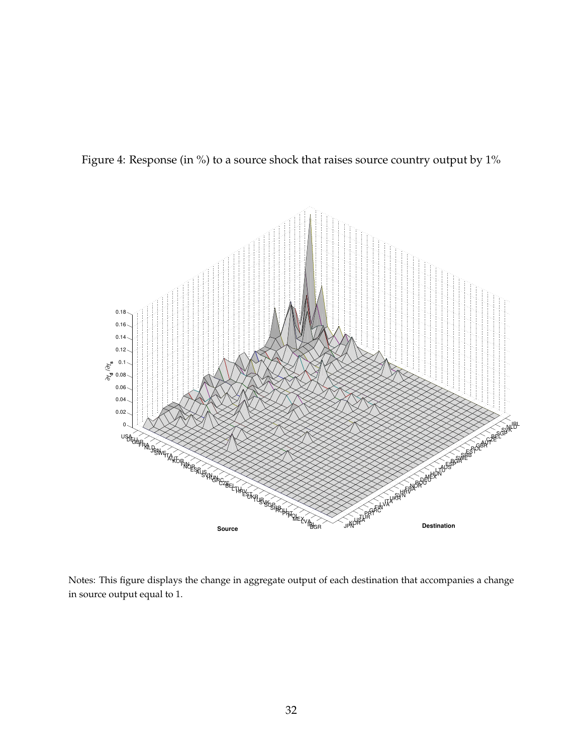

<span id="page-33-0"></span>Figure 4: Response (in %) to a source shock that raises source country output by 1%

Notes: This figure displays the change in aggregate output of each destination that accompanies a change in source output equal to 1.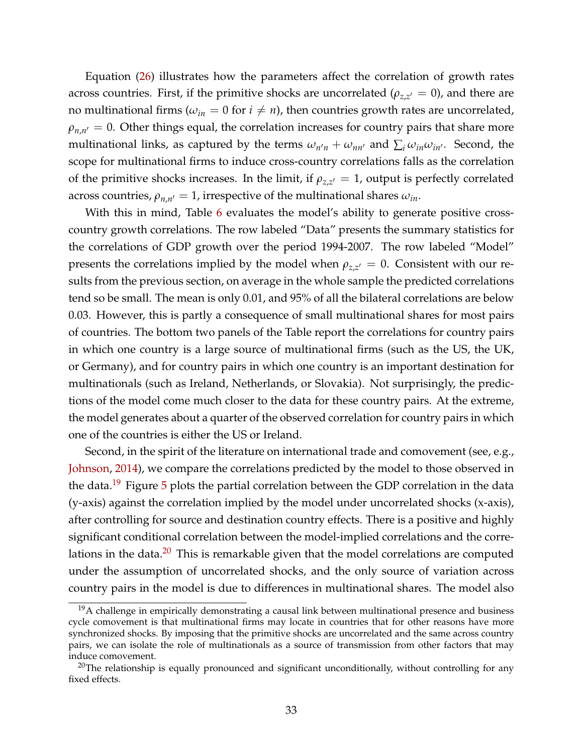Equation [\(26\)](#page-32-1) illustrates how the parameters affect the correlation of growth rates across countries. First, if the primitive shocks are uncorrelated ( $\rho_{zz} = 0$ ), and there are no multinational firms ( $\omega_{in} = 0$  for  $i \neq n$ ), then countries growth rates are uncorrelated,  $\rho_{n,n'}=0$ . Other things equal, the correlation increases for country pairs that share more multinational links, as captured by the terms  $\omega_{n'n} + \omega_{nn'}$  and  $\sum_i \omega_{in} \omega_{in'}$ . Second, the scope for multinational firms to induce cross-country correlations falls as the correlation of the primitive shocks increases. In the limit, if  $\rho_{z,z'} = 1$ , output is perfectly correlated across countries,  $\rho_{n,n'} = 1$ , irrespective of the multinational shares  $\omega_{in}$ .

With this in mind, Table [6](#page-35-0) evaluates the model's ability to generate positive crosscountry growth correlations. The row labeled "Data" presents the summary statistics for the correlations of GDP growth over the period 1994-2007. The row labeled "Model" presents the correlations implied by the model when  $\rho_{z,z'} = 0$ . Consistent with our results from the previous section, on average in the whole sample the predicted correlations tend so be small. The mean is only 0.01, and 95% of all the bilateral correlations are below 0.03. However, this is partly a consequence of small multinational shares for most pairs of countries. The bottom two panels of the Table report the correlations for country pairs in which one country is a large source of multinational firms (such as the US, the UK, or Germany), and for country pairs in which one country is an important destination for multinationals (such as Ireland, Netherlands, or Slovakia). Not surprisingly, the predictions of the model come much closer to the data for these country pairs. At the extreme, the model generates about a quarter of the observed correlation for country pairs in which one of the countries is either the US or Ireland.

Second, in the spirit of the literature on international trade and comovement (see, e.g., [Johnson,](#page-45-7) [2014\)](#page-45-7), we compare the correlations predicted by the model to those observed in the data.[19](#page-34-0) Figure [5](#page-37-0) plots the partial correlation between the GDP correlation in the data (y-axis) against the correlation implied by the model under uncorrelated shocks (x-axis), after controlling for source and destination country effects. There is a positive and highly significant conditional correlation between the model-implied correlations and the correlations in the data. $20$  This is remarkable given that the model correlations are computed under the assumption of uncorrelated shocks, and the only source of variation across country pairs in the model is due to differences in multinational shares. The model also

<span id="page-34-0"></span> $19A$  challenge in empirically demonstrating a causal link between multinational presence and business cycle comovement is that multinational firms may locate in countries that for other reasons have more synchronized shocks. By imposing that the primitive shocks are uncorrelated and the same across country pairs, we can isolate the role of multinationals as a source of transmission from other factors that may induce comovement.

<span id="page-34-1"></span> $20$ The relationship is equally pronounced and significant unconditionally, without controlling for any fixed effects.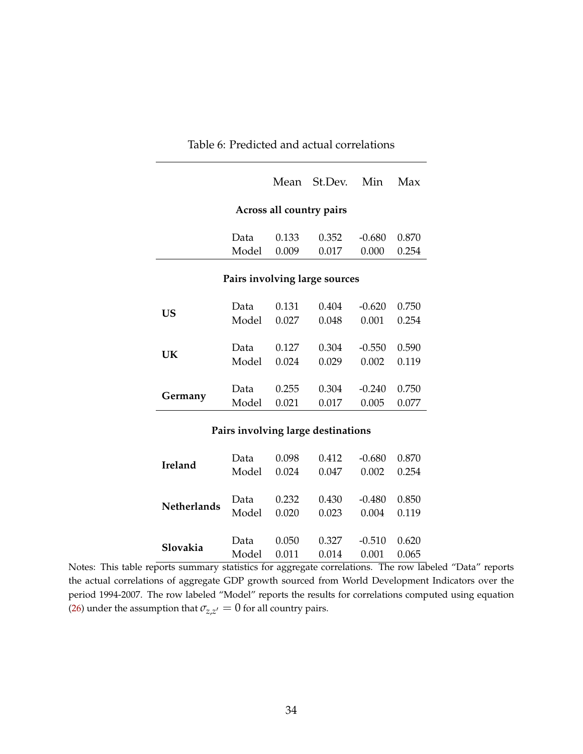<span id="page-35-0"></span>

|                          |                                    | Mean  | St.Dev.                       | Min      | Max   |  |  |  |  |  |  |  |
|--------------------------|------------------------------------|-------|-------------------------------|----------|-------|--|--|--|--|--|--|--|
| Across all country pairs |                                    |       |                               |          |       |  |  |  |  |  |  |  |
|                          | Data                               | 0.133 | 0.352                         | $-0.680$ | 0.870 |  |  |  |  |  |  |  |
|                          | Model                              | 0.009 | 0.017                         | 0.000    | 0.254 |  |  |  |  |  |  |  |
|                          |                                    |       | Pairs involving large sources |          |       |  |  |  |  |  |  |  |
| US                       | Data                               | 0.131 | 0.404                         | $-0.620$ | 0.750 |  |  |  |  |  |  |  |
|                          | Model                              | 0.027 | 0.048                         | 0.001    | 0.254 |  |  |  |  |  |  |  |
| UK                       | Data                               | 0.127 | 0.304                         | $-0.550$ | 0.590 |  |  |  |  |  |  |  |
|                          | Model                              | 0.024 | 0.029                         | 0.002    | 0.119 |  |  |  |  |  |  |  |
| Germany                  | Data                               | 0.255 | 0.304                         | $-0.240$ | 0.750 |  |  |  |  |  |  |  |
|                          | Model                              | 0.021 | 0.017                         | 0.005    | 0.077 |  |  |  |  |  |  |  |
|                          | Pairs involving large destinations |       |                               |          |       |  |  |  |  |  |  |  |

Table 6: Predicted and actual correlations

| Ireland            | Data  | 0.098 | 0.412 | $-0.680$ | 0.870 |
|--------------------|-------|-------|-------|----------|-------|
|                    | Model | 0.024 | 0.047 | 0.002    | 0.254 |
| <b>Netherlands</b> | Data  | 0.232 | 0.430 | $-0.480$ | 0.850 |
|                    | Model | 0.020 | 0.023 | 0.004    | 0.119 |
| Slovakia           | Data  | 0.050 | 0.327 | $-0.510$ | 0.620 |
|                    | Model |       | 0.014 | 0.001    | 0.065 |

Notes: This table reports summary statistics for aggregate correlations. The row labeled "Data" reports the actual correlations of aggregate GDP growth sourced from World Development Indicators over the period 1994-2007. The row labeled "Model" reports the results for correlations computed using equation [\(26\)](#page-32-1) under the assumption that  $\sigma_{z,z'}=0$  for all country pairs.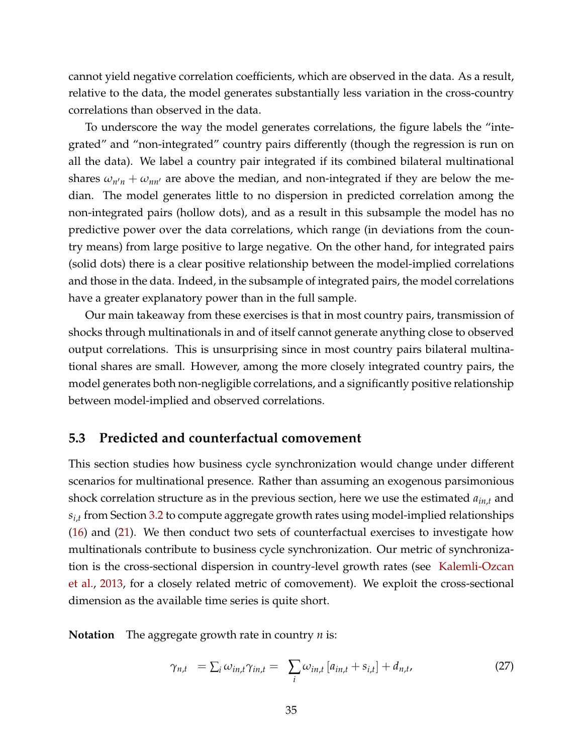cannot yield negative correlation coefficients, which are observed in the data. As a result, relative to the data, the model generates substantially less variation in the cross-country correlations than observed in the data.

To underscore the way the model generates correlations, the figure labels the "integrated" and "non-integrated" country pairs differently (though the regression is run on all the data). We label a country pair integrated if its combined bilateral multinational shares  $\omega_{n'n} + \omega_{nn'}$  are above the median, and non-integrated if they are below the median. The model generates little to no dispersion in predicted correlation among the non-integrated pairs (hollow dots), and as a result in this subsample the model has no predictive power over the data correlations, which range (in deviations from the country means) from large positive to large negative. On the other hand, for integrated pairs (solid dots) there is a clear positive relationship between the model-implied correlations and those in the data. Indeed, in the subsample of integrated pairs, the model correlations have a greater explanatory power than in the full sample.

Our main takeaway from these exercises is that in most country pairs, transmission of shocks through multinationals in and of itself cannot generate anything close to observed output correlations. This is unsurprising since in most country pairs bilateral multinational shares are small. However, among the more closely integrated country pairs, the model generates both non-negligible correlations, and a significantly positive relationship between model-implied and observed correlations.

### **5.3 Predicted and counterfactual comovement**

This section studies how business cycle synchronization would change under different scenarios for multinational presence. Rather than assuming an exogenous parsimonious shock correlation structure as in the previous section, here we use the estimated *ain*,*<sup>t</sup>* and *si*,*<sup>t</sup>* from Section [3.2](#page-16-2) to compute aggregate growth rates using model-implied relationships [\(16\)](#page-23-0) and [\(21\)](#page-26-0). We then conduct two sets of counterfactual exercises to investigate how multinationals contribute to business cycle synchronization. Our metric of synchronization is the cross-sectional dispersion in country-level growth rates (see [Kalemli-Ozcan](#page-45-11) [et al.,](#page-45-11) [2013,](#page-45-11) for a closely related metric of comovement). We exploit the cross-sectional dimension as the available time series is quite short.

**Notation** The aggregate growth rate in country *n* is:

$$
\gamma_{n,t} = \sum_{i} \omega_{in,t} \gamma_{in,t} = \sum_{i} \omega_{in,t} [a_{in,t} + s_{i,t}] + d_{n,t}, \qquad (27)
$$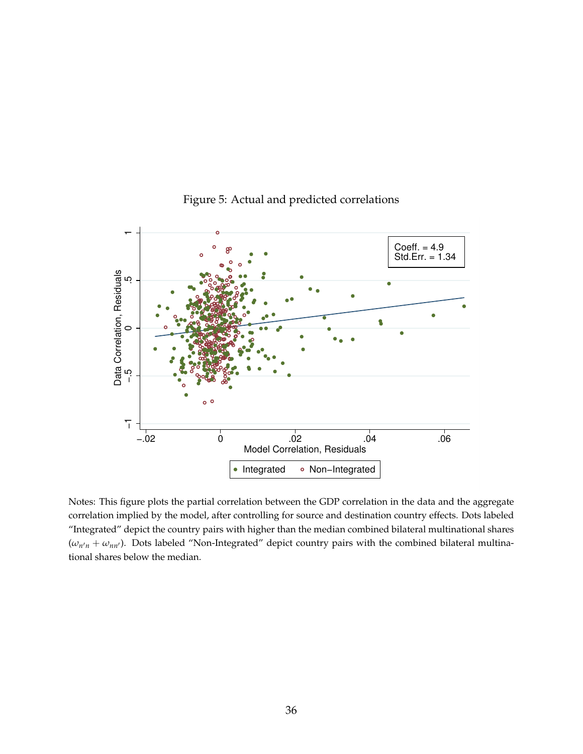<span id="page-37-0"></span>

Figure 5: Actual and predicted correlations

Notes: This figure plots the partial correlation between the GDP correlation in the data and the aggregate correlation implied by the model, after controlling for source and destination country effects. Dots labeled "Integrated" depict the country pairs with higher than the median combined bilateral multinational shares  $(\omega_{n'n} + \omega_{nn'})$ . Dots labeled "Non-Integrated" depict country pairs with the combined bilateral multinational shares below the median.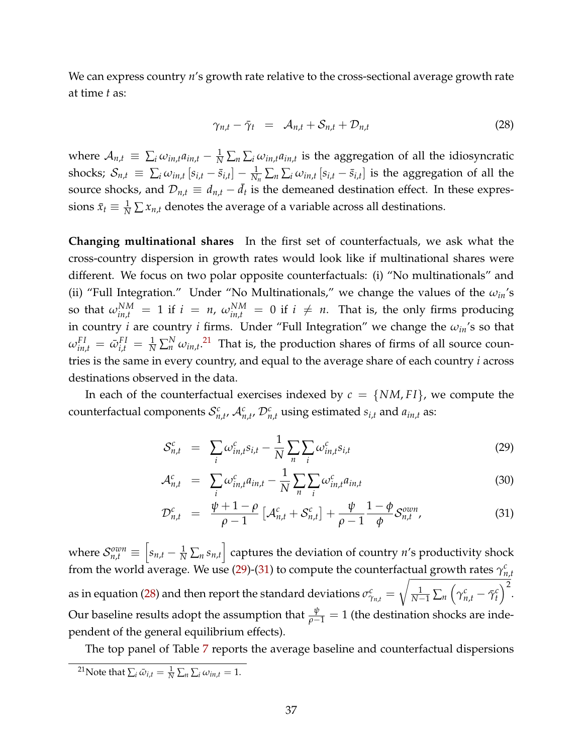We can express country *n*'s growth rate relative to the cross-sectional average growth rate at time *t* as:

<span id="page-38-2"></span>
$$
\gamma_{n,t} - \bar{\gamma}_t = \mathcal{A}_{n,t} + \mathcal{S}_{n,t} + \mathcal{D}_{n,t} \tag{28}
$$

where  $A_{n,t} \equiv \sum_i \omega_{in,t}a_{in,t} - \frac{1}{N}\sum_n\sum_i \omega_{in,t}a_{in,t}$  is the aggregation of all the idiosyncratic shocks;  $S_{n,t} \equiv \sum_i \omega_{in,t} [s_{i,t} - \bar{s}_{i,t}] - \frac{1}{N_n} \sum_n \sum_i \omega_{in,t} [s_{i,t} - \bar{s}_{i,t}]$  is the aggregation of all the source shocks, and  $\mathcal{D}_{n,t} \equiv d_{n,t} - \bar{d}_t$  is the demeaned destination effect. In these expressions  $\bar{x}_t \equiv \frac{1}{N} \sum x_{n,t}$  denotes the average of a variable across all destinations.

**Changing multinational shares** In the first set of counterfactuals, we ask what the cross-country dispersion in growth rates would look like if multinational shares were different. We focus on two polar opposite counterfactuals: (i) "No multinationals" and (ii) "Full Integration." Under "No Multinationals," we change the values of the  $\omega_{in}$ 's so that  $\omega_{in,t}^{NM} = 1$  if  $i = n$ ,  $\omega_{in,t}^{NM} = 0$  if  $i \neq n$ . That is, the only firms producing in country *i* are country *i* firms. Under "Full Integration" we change the *win*'s so that  $\omega^{FI}_{in,t} = \bar{\omega}^{FI}_{i,t} = \frac{1}{N} \sum_{n}^{N} \omega_{in,t}.$ <sup>[21](#page-38-0)</sup> That is, the production shares of firms of all source countries is the same in every country, and equal to the average share of each country *i* across destinations observed in the data.

In each of the counterfactual exercises indexed by  $c = \{NM, FI\}$ , we compute the counterfactual components  $\mathcal{S}^c_{n,t}$ ,  $\mathcal{A}^c_{n,t}$ ,  $\mathcal{D}^c_{n,t}$  using estimated  $s_{i,t}$  and  $a_{in,t}$  as:

<span id="page-38-1"></span>
$$
\mathcal{S}_{n,t}^c = \sum_i \omega_{in,t}^c s_{i,t} - \frac{1}{N} \sum_n \sum_i \omega_{in,t}^c s_{i,t}
$$
\n(29)

$$
\mathcal{A}_{n,t}^c = \sum_i \omega_{in,t}^c a_{in,t} - \frac{1}{N} \sum_n \sum_i \omega_{in,t}^c a_{in,t}
$$
\n(30)

$$
\mathcal{D}_{n,t}^c = \frac{\psi + 1 - \rho}{\rho - 1} \left[ \mathcal{A}_{n,t}^c + \mathcal{S}_{n,t}^c \right] + \frac{\psi}{\rho - 1} \frac{1 - \phi}{\phi} \mathcal{S}_{n,t}^{own}, \tag{31}
$$

where  $\mathcal{S}^{own}_{n,t} \equiv$  $\left[s_{n,t} - \frac{1}{N} \sum_{n} s_{n,t}\right]$  captures the deviation of country *n*'s productivity shock from the world average. We use [\(29\)](#page-38-1)-[\(31\)](#page-38-1) to compute the counterfactual growth rates  $\gamma_{n,t}^c$ as in equation [\(28\)](#page-38-2) and then report the standard deviations  $\sigma_{\gamma_{n,t}}^c =$  $\sqrt{\frac{1}{N-1}\sum_n\left(\gamma_{n,t}^c-\bar{\gamma}_t^c\right)}$  $\big)^2$ . Our baseline results adopt the assumption that  $\frac{\psi}{\rho-1} = 1$  (the destination shocks are independent of the general equilibrium effects).

<span id="page-38-0"></span>The top panel of Table [7](#page-40-0) reports the average baseline and counterfactual dispersions <sup>21</sup>Note that  $\sum_i \bar{\omega}_{i,t} = \frac{1}{N} \sum_n \sum_i \omega_{in,t} = 1$ .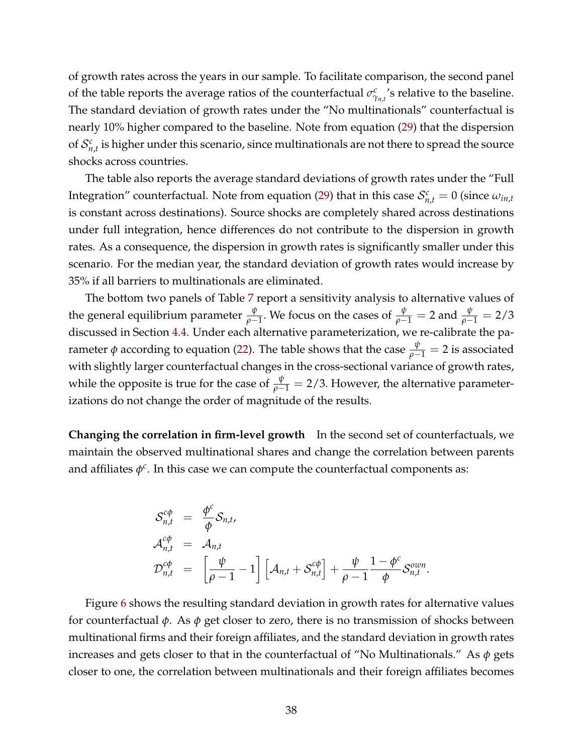of growth rates across the years in our sample. To facilitate comparison, the second panel of the table reports the average ratios of the counterfactual  $\sigma_{\gamma_{n,t}}^c$ 's relative to the baseline. The standard deviation of growth rates under the "No multinationals" counterfactual is nearly 10% higher compared to the baseline. Note from equation [\(29\)](#page-38-1) that the dispersion of  $\mathcal{S}^c_{n,t}$  is higher under this scenario, since multinationals are not there to spread the source shocks across countries.

The table also reports the average standard deviations of growth rates under the "Full Integration" counterfactual. Note from equation [\(29\)](#page-38-1) that in this case  $\mathcal{S}^c_{n,t} = 0$  (since  $\omega_{in,t}$ is constant across destinations). Source shocks are completely shared across destinations under full integration, hence differences do not contribute to the dispersion in growth rates. As a consequence, the dispersion in growth rates is significantly smaller under this scenario. For the median year, the standard deviation of growth rates would increase by 35% if all barriers to multinationals are eliminated.

The bottom two panels of Table [7](#page-40-0) report a sensitivity analysis to alternative values of the general equilibrium parameter  $\frac{\psi}{\rho-1}$ . We focus on the cases of  $\frac{\psi}{\rho-1} = 2$  and  $\frac{\psi}{\rho-1} = 2/3$ discussed in Section [4.4.](#page-26-2) Under each alternative parameterization, we re-calibrate the parameter  $\phi$  according to equation [\(22\)](#page-26-1). The table shows that the case  $\frac{\psi}{\rho-1} = 2$  is associated with slightly larger counterfactual changes in the cross-sectional variance of growth rates, while the opposite is true for the case of  $\frac{\psi}{\rho-1} = 2/3$ . However, the alternative parameterizations do not change the order of magnitude of the results.

**Changing the correlation in firm-level growth** In the second set of counterfactuals, we maintain the observed multinational shares and change the correlation between parents and affiliates  $\phi^c$ . In this case we can compute the counterfactual components as:

$$
\begin{array}{rcl}\n\mathcal{S}_{n,t}^{c\phi} & = & \frac{\phi^c}{\phi} \mathcal{S}_{n,t}, \\
\mathcal{A}_{n,t}^{c\phi} & = & \mathcal{A}_{n,t} \\
\mathcal{D}_{n,t}^{c\phi} & = & \left[ \frac{\psi}{\rho - 1} - 1 \right] \left[ \mathcal{A}_{n,t} + \mathcal{S}_{n,t}^{c\phi} \right] + \frac{\psi}{\rho - 1} \frac{1 - \phi^c}{\phi} \mathcal{S}_{n,t}^{own}.\n\end{array}
$$

Figure [6](#page-41-1) shows the resulting standard deviation in growth rates for alternative values for counterfactual  $\phi$ . As  $\phi$  get closer to zero, there is no transmission of shocks between multinational firms and their foreign affiliates, and the standard deviation in growth rates increases and gets closer to that in the counterfactual of "No Multinationals." As  $\phi$  gets closer to one, the correlation between multinationals and their foreign affiliates becomes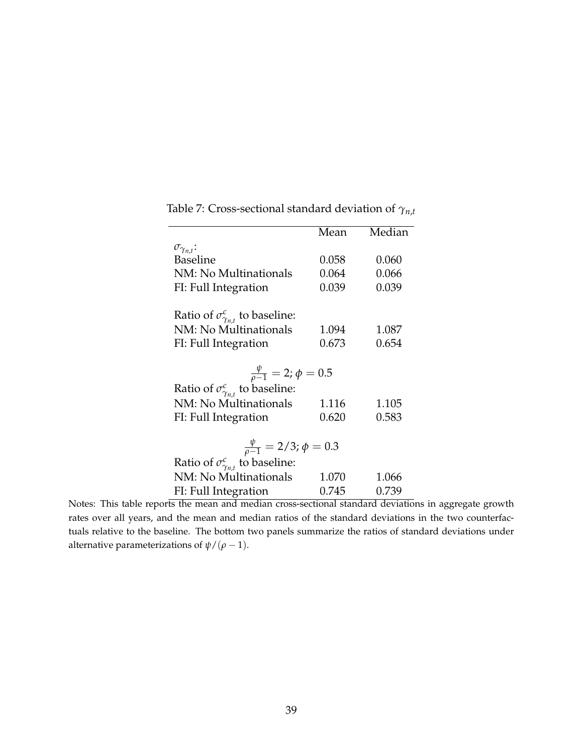|                                                 | Mean  | Median |
|-------------------------------------------------|-------|--------|
| $\sigma_{\gamma_{n,t}}$ :                       |       |        |
| <b>Baseline</b>                                 | 0.058 | 0.060  |
| NM: No Multinationals                           | 0.064 | 0.066  |
| FI: Full Integration                            | 0.039 | 0.039  |
|                                                 |       |        |
| Ratio of $\sigma_{\gamma_{n,t}}^c$ to baseline: |       |        |
| NM: No Multinationals                           | 1.094 | 1.087  |
| FI: Full Integration                            | 0.673 | 0.654  |
|                                                 |       |        |
| $\frac{\psi}{\rho-1} = 2; \phi = 0.5$           |       |        |
| Ratio of $\sigma_{\gamma_{n,t}}^c$ to baseline: |       |        |
| NM: No Multinationals                           | 1.116 | 1.105  |
| FI: Full Integration                            | 0.620 | 0.583  |
|                                                 |       |        |
| $\frac{\psi}{\rho-1} = 2/3; \phi = 0.3$         |       |        |
| Ratio of $\sigma_{\gamma_{n,t}}^c$ to baseline: |       |        |
| NM: No Multinationals                           | 1.070 | 1.066  |
| FI: Full Integration                            | 0.745 | 0.739  |

<span id="page-40-0"></span>Table 7: Cross-sectional standard deviation of  $\gamma_{n,t}$ 

Notes: This table reports the mean and median cross-sectional standard deviations in aggregate growth rates over all years, and the mean and median ratios of the standard deviations in the two counterfactuals relative to the baseline. The bottom two panels summarize the ratios of standard deviations under alternative parameterizations of  $\psi/(\rho - 1)$ .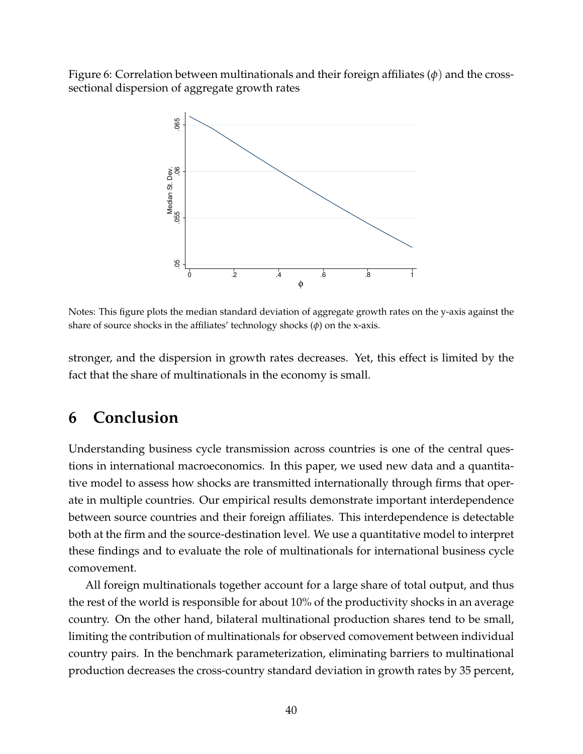<span id="page-41-1"></span>Figure 6: Correlation between multinationals and their foreign affiliates  $(\phi)$  and the crosssectional dispersion of aggregate growth rates



Notes: This figure plots the median standard deviation of aggregate growth rates on the y-axis against the share of source shocks in the affiliates' technology shocks  $(\phi)$  on the x-axis.

stronger, and the dispersion in growth rates decreases. Yet, this effect is limited by the fact that the share of multinationals in the economy is small.

# <span id="page-41-0"></span>**6 Conclusion**

Understanding business cycle transmission across countries is one of the central questions in international macroeconomics. In this paper, we used new data and a quantitative model to assess how shocks are transmitted internationally through firms that operate in multiple countries. Our empirical results demonstrate important interdependence between source countries and their foreign affiliates. This interdependence is detectable both at the firm and the source-destination level. We use a quantitative model to interpret these findings and to evaluate the role of multinationals for international business cycle comovement.

All foreign multinationals together account for a large share of total output, and thus the rest of the world is responsible for about 10% of the productivity shocks in an average country. On the other hand, bilateral multinational production shares tend to be small, limiting the contribution of multinationals for observed comovement between individual country pairs. In the benchmark parameterization, eliminating barriers to multinational production decreases the cross-country standard deviation in growth rates by 35 percent,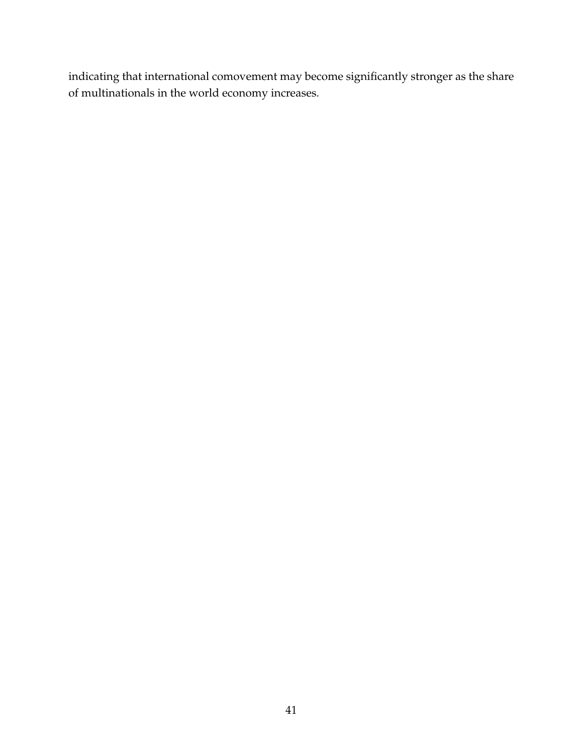indicating that international comovement may become significantly stronger as the share of multinationals in the world economy increases.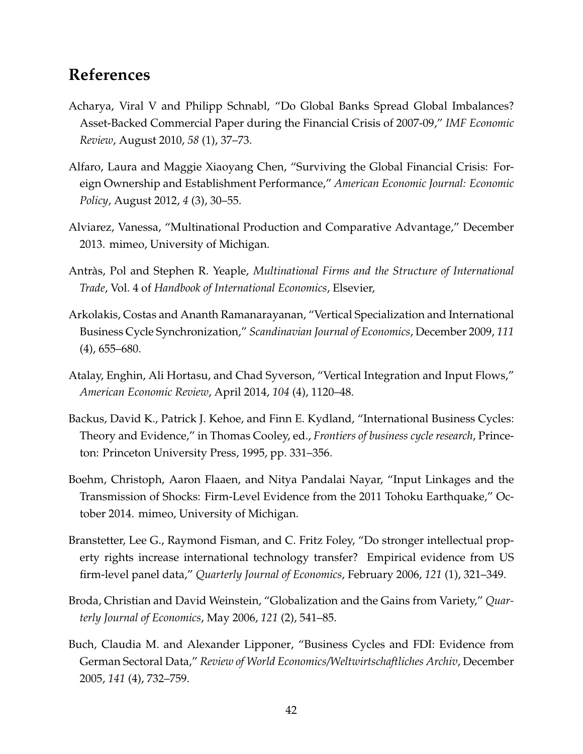# **References**

- <span id="page-43-7"></span>Acharya, Viral V and Philipp Schnabl, "Do Global Banks Spread Global Imbalances? Asset-Backed Commercial Paper during the Financial Crisis of 2007-09," *IMF Economic Review*, August 2010, *58* (1), 37–73.
- <span id="page-43-6"></span>Alfaro, Laura and Maggie Xiaoyang Chen, "Surviving the Global Financial Crisis: Foreign Ownership and Establishment Performance," *American Economic Journal: Economic Policy*, August 2012, *4* (3), 30–55.
- <span id="page-43-0"></span>Alviarez, Vanessa, "Multinational Production and Comparative Advantage," December 2013. mimeo, University of Michigan.
- <span id="page-43-1"></span>Antràs, Pol and Stephen R. Yeaple, *Multinational Firms and the Structure of International Trade*, Vol. 4 of *Handbook of International Economics*, Elsevier,
- <span id="page-43-5"></span>Arkolakis, Costas and Ananth Ramanarayanan, "Vertical Specialization and International Business Cycle Synchronization," *Scandinavian Journal of Economics*, December 2009, *111*  $(4)$ , 655–680.
- <span id="page-43-2"></span>Atalay, Enghin, Ali Hortasu, and Chad Syverson, "Vertical Integration and Input Flows," *American Economic Review*, April 2014, *104* (4), 1120–48.
- <span id="page-43-9"></span>Backus, David K., Patrick J. Kehoe, and Finn E. Kydland, "International Business Cycles: Theory and Evidence," in Thomas Cooley, ed., *Frontiers of business cycle research*, Princeton: Princeton University Press, 1995, pp. 331–356.
- <span id="page-43-3"></span>Boehm, Christoph, Aaron Flaaen, and Nitya Pandalai Nayar, "Input Linkages and the Transmission of Shocks: Firm-Level Evidence from the 2011 Tohoku Earthquake," October 2014. mimeo, University of Michigan.
- <span id="page-43-8"></span>Branstetter, Lee G., Raymond Fisman, and C. Fritz Foley, "Do stronger intellectual property rights increase international technology transfer? Empirical evidence from US firm-level panel data," *Quarterly Journal of Economics*, February 2006, *121* (1), 321–349.
- <span id="page-43-10"></span>Broda, Christian and David Weinstein, "Globalization and the Gains from Variety," *Quarterly Journal of Economics*, May 2006, *121* (2), 541–85.
- <span id="page-43-4"></span>Buch, Claudia M. and Alexander Lipponer, "Business Cycles and FDI: Evidence from German Sectoral Data," *Review of World Economics/Weltwirtschaftliches Archiv*, December 2005, *141* (4), 732–759.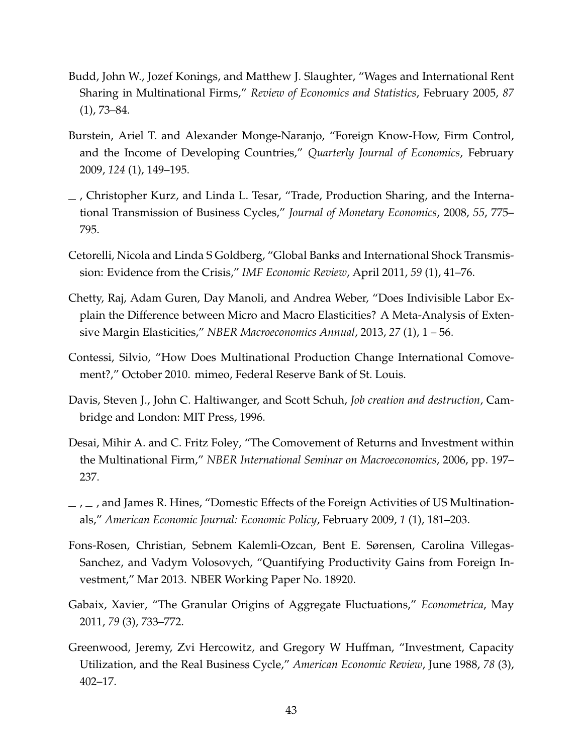- <span id="page-44-3"></span>Budd, John W., Jozef Konings, and Matthew J. Slaughter, "Wages and International Rent Sharing in Multinational Firms," *Review of Economics and Statistics*, February 2005, *87* (1), 73–84.
- <span id="page-44-0"></span>Burstein, Ariel T. and Alexander Monge-Naranjo, "Foreign Know-How, Firm Control, and the Income of Developing Countries," *Quarterly Journal of Economics*, February 2009, *124* (1), 149–195.
- <span id="page-44-1"></span>, Christopher Kurz, and Linda L. Tesar, "Trade, Production Sharing, and the International Transmission of Business Cycles," *Journal of Monetary Economics*, 2008, *55*, 775– 795.
- <span id="page-44-6"></span>Cetorelli, Nicola and Linda S Goldberg, "Global Banks and International Shock Transmission: Evidence from the Crisis," *IMF Economic Review*, April 2011, *59* (1), 41–76.
- <span id="page-44-11"></span>Chetty, Raj, Adam Guren, Day Manoli, and Andrea Weber, "Does Indivisible Labor Explain the Difference between Micro and Macro Elasticities? A Meta-Analysis of Extensive Margin Elasticities," *NBER Macroeconomics Annual*, 2013, *27* (1), 1 – 56.
- <span id="page-44-2"></span>Contessi, Silvio, "How Does Multinational Production Change International Comovement?," October 2010. mimeo, Federal Reserve Bank of St. Louis.
- <span id="page-44-9"></span>Davis, Steven J., John C. Haltiwanger, and Scott Schuh, *Job creation and destruction*, Cambridge and London: MIT Press, 1996.
- <span id="page-44-4"></span>Desai, Mihir A. and C. Fritz Foley, "The Comovement of Returns and Investment within the Multinational Firm," *NBER International Seminar on Macroeconomics*, 2006, pp. 197– 237.
- <span id="page-44-5"></span> $\mu$ ,  $\mu$ , and James R. Hines, "Domestic Effects of the Foreign Activities of US Multinationals," *American Economic Journal: Economic Policy*, February 2009, *1* (1), 181–203.
- <span id="page-44-7"></span>Fons-Rosen, Christian, Sebnem Kalemli-Ozcan, Bent E. Sørensen, Carolina Villegas-Sanchez, and Vadym Volosovych, "Quantifying Productivity Gains from Foreign Investment," Mar 2013. NBER Working Paper No. 18920.
- <span id="page-44-8"></span>Gabaix, Xavier, "The Granular Origins of Aggregate Fluctuations," *Econometrica*, May 2011, *79* (3), 733–772.
- <span id="page-44-10"></span>Greenwood, Jeremy, Zvi Hercowitz, and Gregory W Huffman, "Investment, Capacity Utilization, and the Real Business Cycle," *American Economic Review*, June 1988, *78* (3), 402–17.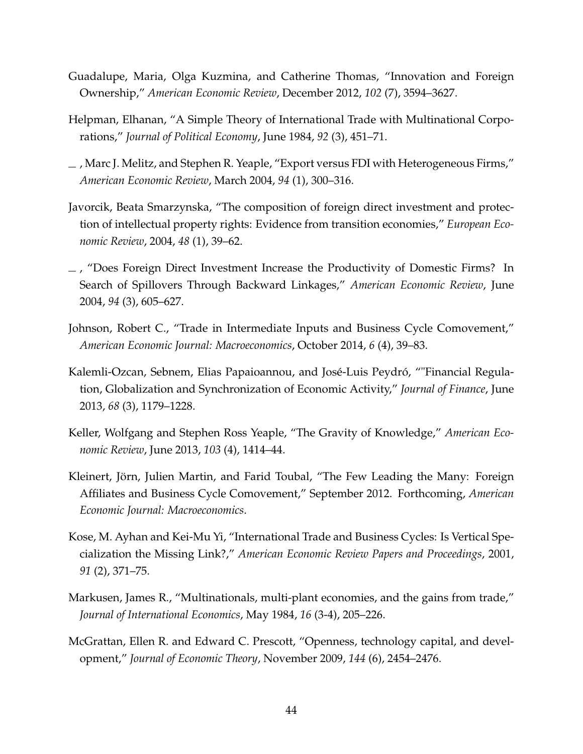- <span id="page-45-9"></span>Guadalupe, Maria, Olga Kuzmina, and Catherine Thomas, "Innovation and Foreign Ownership," *American Economic Review*, December 2012, *102* (7), 3594–3627.
- <span id="page-45-0"></span>Helpman, Elhanan, "A Simple Theory of International Trade with Multinational Corporations," *Journal of Political Economy*, June 1984, *92* (3), 451–71.
- <span id="page-45-2"></span>, Marc J. Melitz, and Stephen R. Yeaple, "Export versus FDI with Heterogeneous Firms," *American Economic Review*, March 2004, *94* (1), 300–316.
- <span id="page-45-10"></span>Javorcik, Beata Smarzynska, "The composition of foreign direct investment and protection of intellectual property rights: Evidence from transition economies," *European Economic Review*, 2004, *48* (1), 39–62.
- <span id="page-45-8"></span>, "Does Foreign Direct Investment Increase the Productivity of Domestic Firms? In Search of Spillovers Through Backward Linkages," *American Economic Review*, June 2004, *94* (3), 605–627.
- <span id="page-45-7"></span>Johnson, Robert C., "Trade in Intermediate Inputs and Business Cycle Comovement," *American Economic Journal: Macroeconomics*, October 2014, *6* (4), 39–83.
- <span id="page-45-11"></span>Kalemli-Ozcan, Sebnem, Elias Papaioannou, and José-Luis Peydró, ""Financial Regulation, Globalization and Synchronization of Economic Activity," *Journal of Finance*, June 2013, *68* (3), 1179–1228.
- <span id="page-45-4"></span>Keller, Wolfgang and Stephen Ross Yeaple, "The Gravity of Knowledge," *American Economic Review*, June 2013, *103* (4), 1414–44.
- <span id="page-45-5"></span>Kleinert, Jörn, Julien Martin, and Farid Toubal, "The Few Leading the Many: Foreign Affiliates and Business Cycle Comovement," September 2012. Forthcoming, *American Economic Journal: Macroeconomics*.
- <span id="page-45-6"></span>Kose, M. Ayhan and Kei-Mu Yi, "International Trade and Business Cycles: Is Vertical Specialization the Missing Link?," *American Economic Review Papers and Proceedings*, 2001, *91* (2), 371–75.
- <span id="page-45-1"></span>Markusen, James R., "Multinationals, multi-plant economies, and the gains from trade," *Journal of International Economics*, May 1984, *16* (3-4), 205–226.
- <span id="page-45-3"></span>McGrattan, Ellen R. and Edward C. Prescott, "Openness, technology capital, and development," *Journal of Economic Theory*, November 2009, *144* (6), 2454–2476.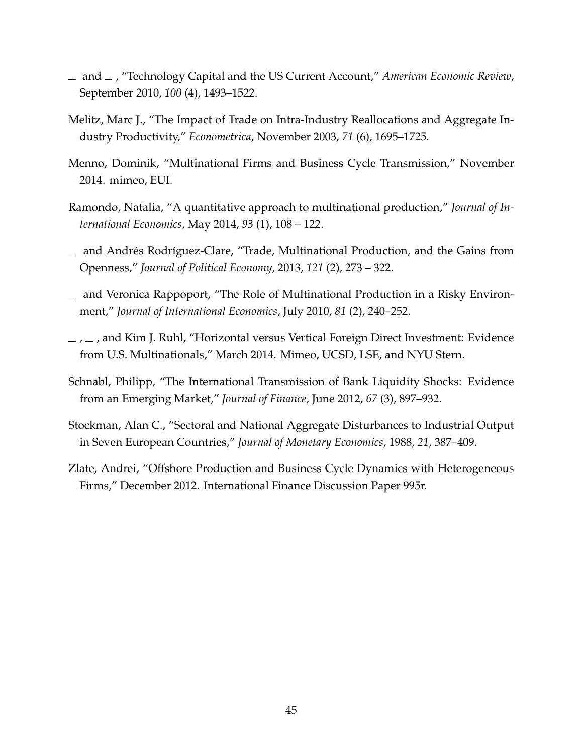- <span id="page-46-0"></span> $\mu$  and  $\mu$ , "Technology Capital and the US Current Account," *American Economic Review*, September 2010, *100* (4), 1493–1522.
- <span id="page-46-8"></span>Melitz, Marc J., "The Impact of Trade on Intra-Industry Reallocations and Aggregate Industry Productivity," *Econometrica*, November 2003, *71* (6), 1695–1725.
- <span id="page-46-5"></span>Menno, Dominik, "Multinational Firms and Business Cycle Transmission," November 2014. mimeo, EUI.
- <span id="page-46-2"></span>Ramondo, Natalia, "A quantitative approach to multinational production," *Journal of International Economics*, May 2014, *93* (1), 108 – 122.
- <span id="page-46-1"></span>and Andrés Rodríguez-Clare, "Trade, Multinational Production, and the Gains from Openness," *Journal of Political Economy*, 2013, *121* (2), 273 – 322.
- <span id="page-46-9"></span> $\overline{\phantom{a}}$  and Veronica Rappoport, "The Role of Multinational Production in a Risky Environment," *Journal of International Economics*, July 2010, *81* (2), 240–252.
- <span id="page-46-3"></span> $\mu$ ,  $\mu$ , and Kim J. Ruhl, "Horizontal versus Vertical Foreign Direct Investment: Evidence from U.S. Multinationals," March 2014. Mimeo, UCSD, LSE, and NYU Stern.
- <span id="page-46-6"></span>Schnabl, Philipp, "The International Transmission of Bank Liquidity Shocks: Evidence from an Emerging Market," *Journal of Finance*, June 2012, *67* (3), 897–932.
- <span id="page-46-7"></span>Stockman, Alan C., "Sectoral and National Aggregate Disturbances to Industrial Output in Seven European Countries," *Journal of Monetary Economics*, 1988, *21*, 387–409.
- <span id="page-46-4"></span>Zlate, Andrei, "Offshore Production and Business Cycle Dynamics with Heterogeneous Firms," December 2012. International Finance Discussion Paper 995r.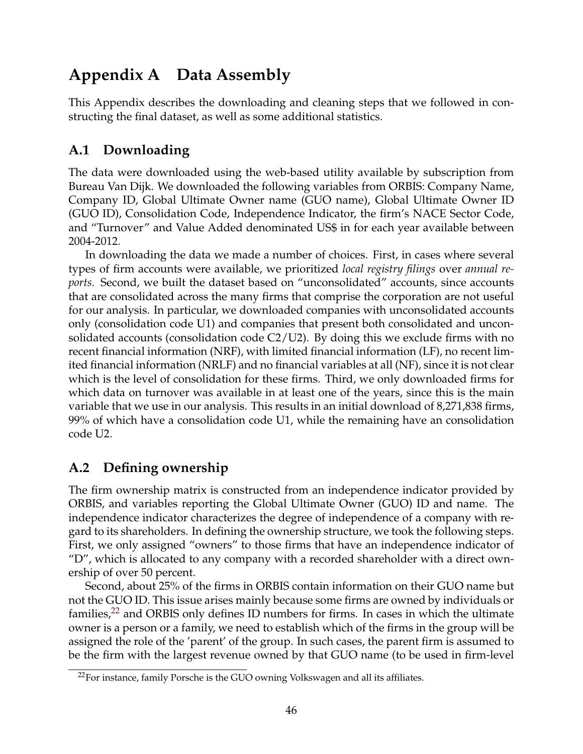# <span id="page-47-0"></span>**Appendix A Data Assembly**

This Appendix describes the downloading and cleaning steps that we followed in constructing the final dataset, as well as some additional statistics.

# **A.1 Downloading**

The data were downloaded using the web-based utility available by subscription from Bureau Van Dijk. We downloaded the following variables from ORBIS: Company Name, Company ID, Global Ultimate Owner name (GUO name), Global Ultimate Owner ID (GUO ID), Consolidation Code, Independence Indicator, the firm's NACE Sector Code, and "Turnover" and Value Added denominated US\$ in for each year available between 2004-2012.

In downloading the data we made a number of choices. First, in cases where several types of firm accounts were available, we prioritized *local registry filings* over *annual reports.* Second, we built the dataset based on "unconsolidated" accounts, since accounts that are consolidated across the many firms that comprise the corporation are not useful for our analysis. In particular, we downloaded companies with unconsolidated accounts only (consolidation code U1) and companies that present both consolidated and unconsolidated accounts (consolidation code C2/U2). By doing this we exclude firms with no recent financial information (NRF), with limited financial information (LF), no recent limited financial information (NRLF) and no financial variables at all (NF), since it is not clear which is the level of consolidation for these firms. Third, we only downloaded firms for which data on turnover was available in at least one of the years, since this is the main variable that we use in our analysis. This results in an initial download of 8,271,838 firms, 99% of which have a consolidation code U1, while the remaining have an consolidation code U2.

# **A.2 Defining ownership**

The firm ownership matrix is constructed from an independence indicator provided by ORBIS, and variables reporting the Global Ultimate Owner (GUO) ID and name. The independence indicator characterizes the degree of independence of a company with regard to its shareholders. In defining the ownership structure, we took the following steps. First, we only assigned "owners" to those firms that have an independence indicator of "D", which is allocated to any company with a recorded shareholder with a direct ownership of over 50 percent.

Second, about 25% of the firms in ORBIS contain information on their GUO name but not the GUO ID. This issue arises mainly because some firms are owned by individuals or families, $^{22}$  and ORBIS only defines ID numbers for firms. In cases in which the ultimate owner is a person or a family, we need to establish which of the firms in the group will be assigned the role of the 'parent' of the group. In such cases, the parent firm is assumed to be the firm with the largest revenue owned by that GUO name (to be used in firm-level

<span id="page-47-1"></span> $22$ For instance, family Porsche is the GUO owning Volkswagen and all its affiliates.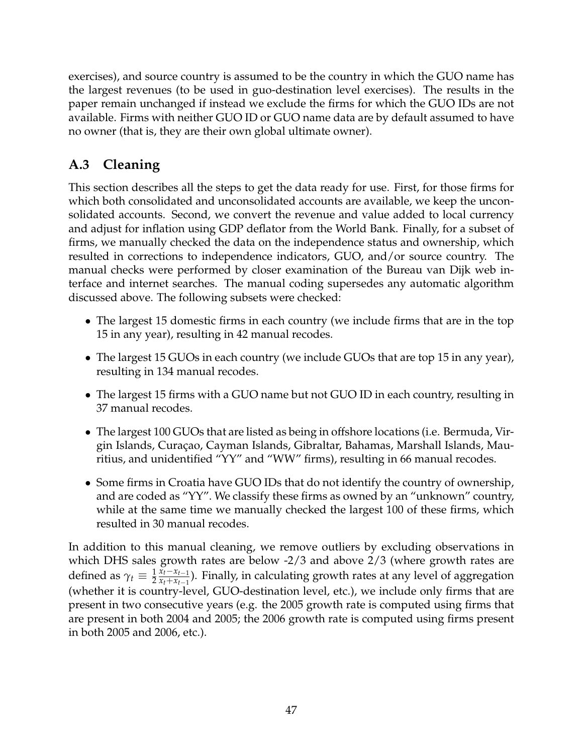exercises), and source country is assumed to be the country in which the GUO name has the largest revenues (to be used in guo-destination level exercises). The results in the paper remain unchanged if instead we exclude the firms for which the GUO IDs are not available. Firms with neither GUO ID or GUO name data are by default assumed to have no owner (that is, they are their own global ultimate owner).

# **A.3 Cleaning**

This section describes all the steps to get the data ready for use. First, for those firms for which both consolidated and unconsolidated accounts are available, we keep the unconsolidated accounts. Second, we convert the revenue and value added to local currency and adjust for inflation using GDP deflator from the World Bank. Finally, for a subset of firms, we manually checked the data on the independence status and ownership, which resulted in corrections to independence indicators, GUO, and/or source country. The manual checks were performed by closer examination of the Bureau van Dijk web interface and internet searches. The manual coding supersedes any automatic algorithm discussed above. The following subsets were checked:

- *•* The largest 15 domestic firms in each country (we include firms that are in the top 15 in any year), resulting in 42 manual recodes.
- The largest 15 GUOs in each country (we include GUOs that are top 15 in any year), resulting in 134 manual recodes.
- *•* The largest 15 firms with a GUO name but not GUO ID in each country, resulting in 37 manual recodes.
- *•* The largest 100 GUOs that are listed as being in offshore locations (i.e. Bermuda, Virgin Islands, Curaçao, Cayman Islands, Gibraltar, Bahamas, Marshall Islands, Mauritius, and unidentified "YY" and "WW" firms), resulting in 66 manual recodes.
- *•* Some firms in Croatia have GUO IDs that do not identify the country of ownership, and are coded as "YY". We classify these firms as owned by an "unknown" country, while at the same time we manually checked the largest 100 of these firms, which resulted in 30 manual recodes.

In addition to this manual cleaning, we remove outliers by excluding observations in which DHS sales growth rates are below -2/3 and above 2/3 (where growth rates are defined as  $\gamma_t \equiv \frac{1}{2} \frac{\tilde{x}_t - x_{t-1}}{x_t + x_{t-1}}$  $\frac{x_t - x_{t-1}}{x_t + x_{t-1}}$ ). Finally, in calculating growth rates at any level of aggregation (whether it is country-level, GUO-destination level, etc.), we include only firms that are present in two consecutive years (e.g. the 2005 growth rate is computed using firms that are present in both 2004 and 2005; the 2006 growth rate is computed using firms present in both 2005 and 2006, etc.).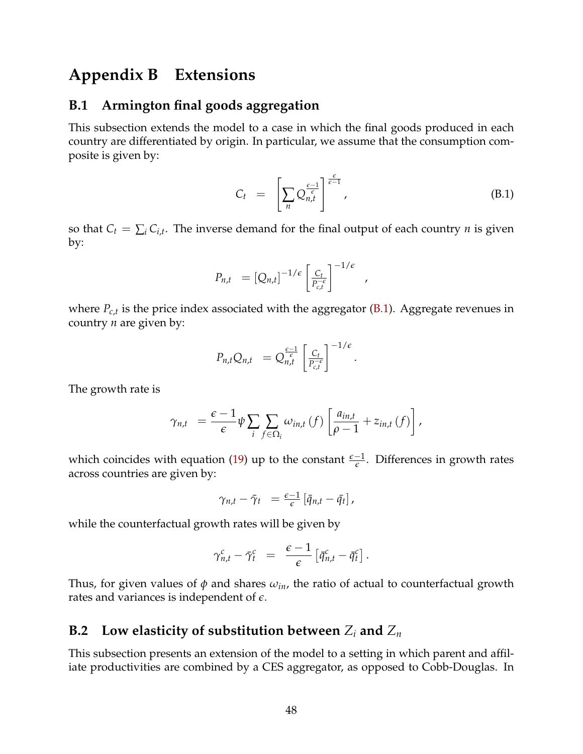# <span id="page-49-0"></span>**Appendix B Extensions**

### **B.1 Armington final goods aggregation**

This subsection extends the model to a case in which the final goods produced in each country are differentiated by origin. In particular, we assume that the consumption composite is given by:

<span id="page-49-1"></span>
$$
C_t = \left[ \sum_n Q_{n,t}^{\frac{\epsilon-1}{\epsilon}} \right]^{\frac{\epsilon}{\epsilon-1}}, \tag{B.1}
$$

.

so that  $C_t = \sum_i C_{i,t}$ . The inverse demand for the final output of each country *n* is given by:

$$
P_{n,t} = \left[Q_{n,t}\right]^{-1/\epsilon} \left[\frac{C_t}{P_{c,t}^{-\epsilon}}\right]^{-1/\epsilon},
$$

where  $P_{c,t}$  is the price index associated with the aggregator  $(B.1)$ . Aggregate revenues in country *n* are given by:

$$
P_{n,t}Q_{n,t} = Q_{n,t}^{\frac{\epsilon-1}{\epsilon}} \left[ \frac{C_t}{P_{c,t}^{-\epsilon}} \right]^{-1/\epsilon}
$$

The growth rate is

$$
\gamma_{n,t} = \frac{\epsilon - 1}{\epsilon} \psi \sum_{i} \sum_{f \in \Omega_i} \omega_{in,t} (f) \left[ \frac{a_{in,t}}{\rho - 1} + z_{in,t} (f) \right],
$$

which coincides with equation [\(19\)](#page-24-0) up to the constant  $\frac{\epsilon-1}{\epsilon}$ . Differences in growth rates across countries are given by:

$$
\gamma_{n,t}-\bar{\gamma}_t = \frac{\epsilon-1}{\epsilon}\left[\bar{q}_{n,t}-\bar{q}_t\right],
$$

while the counterfactual growth rates will be given by

$$
\gamma_{n,t}^c - \bar{\gamma}_t^c = \frac{\epsilon - 1}{\epsilon} \left[ \bar{q}_{n,t}^c - \bar{q}_t^c \right].
$$

Thus, for given values of  $\phi$  and shares  $\omega_{in}$ , the ratio of actual to counterfactual growth rates and variances is independent of *e*.

### **B.2** Low elasticity of substitution between  $Z_i$  and  $Z_n$

This subsection presents an extension of the model to a setting in which parent and affiliate productivities are combined by a CES aggregator, as opposed to Cobb-Douglas. In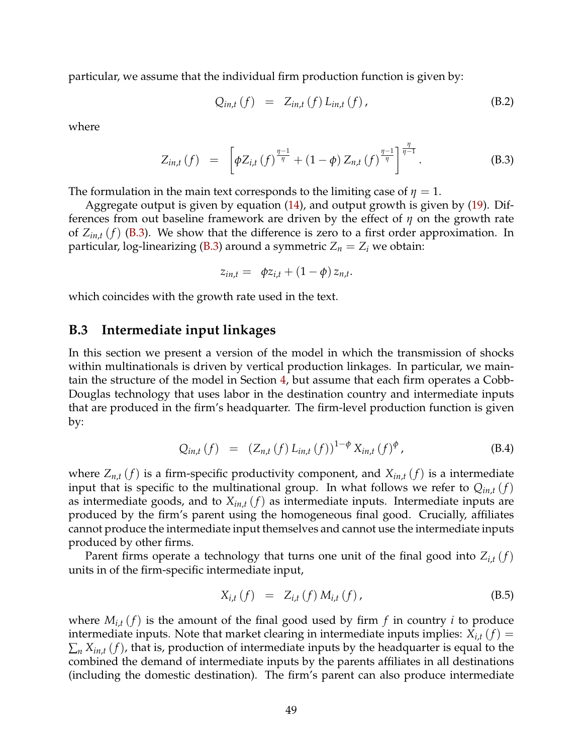particular, we assume that the individual firm production function is given by:

$$
Q_{in,t}(f) = Z_{in,t}(f) L_{in,t}(f), \qquad (B.2)
$$

where

<span id="page-50-1"></span>
$$
Z_{in,t}(f) = \left[ \phi Z_{i,t}(f)^{\frac{\eta-1}{\eta}} + (1-\phi) Z_{n,t}(f)^{\frac{\eta-1}{\eta}} \right]^{\frac{\eta}{\eta-1}}.
$$
 (B.3)

The formulation in the main text corresponds to the limiting case of  $\eta = 1$ .

Aggregate output is given by equation [\(14\)](#page-22-3), and output growth is given by [\(19\)](#page-24-0). Differences from out baseline framework are driven by the effect of *h* on the growth rate of *Zin*,*<sup>t</sup>* (*f*) [\(B.3\)](#page-50-1). We show that the difference is zero to a first order approximation. In particular, log-linearizing [\(B.3\)](#page-50-1) around a symmetric  $Z_n = Z_i$  we obtain:

$$
z_{in,t} = \phi z_{i,t} + (1 - \phi) z_{n,t}.
$$

which coincides with the growth rate used in the text.

#### <span id="page-50-0"></span>**B.3 Intermediate input linkages**

In this section we present a version of the model in which the transmission of shocks within multinationals is driven by vertical production linkages. In particular, we maintain the structure of the model in Section [4,](#page-19-0) but assume that each firm operates a Cobb-Douglas technology that uses labor in the destination country and intermediate inputs that are produced in the firm's headquarter. The firm-level production function is given by:

<span id="page-50-2"></span>
$$
Q_{in,t}(f) = (Z_{n,t}(f) L_{in,t}(f))^{1-\phi} X_{in,t}(f)^{\phi}, \qquad (B.4)
$$

where  $Z_{n,t}(f)$  is a firm-specific productivity component, and  $X_{in,t}(f)$  is a intermediate input that is specific to the multinational group. In what follows we refer to  $Q_{int}(f)$ as intermediate goods, and to *Xin*,*<sup>t</sup>* (*f*) as intermediate inputs. Intermediate inputs are produced by the firm's parent using the homogeneous final good. Crucially, affiliates cannot produce the intermediate input themselves and cannot use the intermediate inputs produced by other firms.

Parent firms operate a technology that turns one unit of the final good into *Zi*,*<sup>t</sup>* (*f*) units in of the firm-specific intermediate input,

<span id="page-50-3"></span>
$$
X_{i,t}(f) = Z_{i,t}(f) M_{i,t}(f), \qquad (B.5)
$$

where  $M_{i,t}(f)$  is the amount of the final good used by firm f in country *i* to produce intermediate inputs. Note that market clearing in intermediate inputs implies:  $X_{i,t}$  ( $f$ ) =  $\sum_{n} X_{in,t}(f)$ , that is, production of intermediate inputs by the headquarter is equal to the combined the demand of intermediate inputs by the parents affiliates in all destinations (including the domestic destination). The firm's parent can also produce intermediate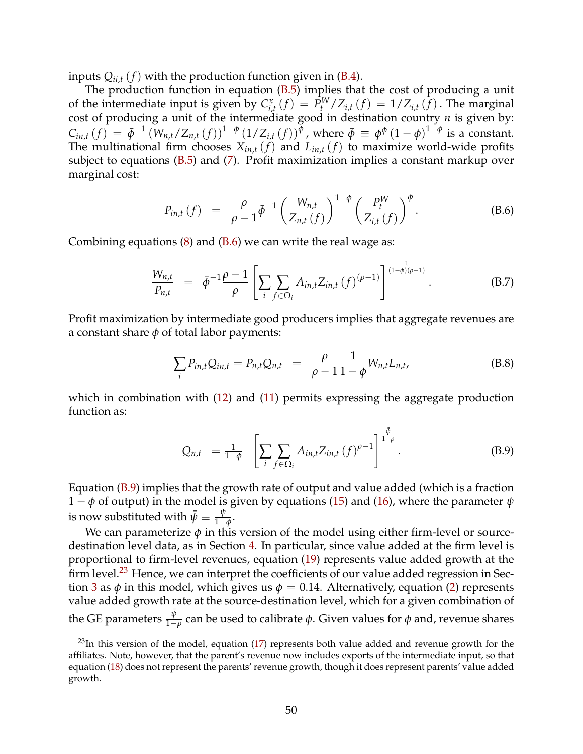inputs  $Q_{ii,t}$  ( $f$ ) with the production function given in [\(B.4\)](#page-50-2).

The production function in equation  $(B.5)$  implies that the cost of producing a unit of the intermediate input is given by  $C^{x}_{i,t}(f) = P^{W}_{t}/Z_{i,t}(f) = 1/Z_{i,t}(f)$ . The marginal cost of producing a unit of the intermediate good in destination country *n* is given by:  $C_{in,t}(f) = \bar{\phi}^{-1} \left( W_{n,t}/Z_{n,t}(f) \right)^{1-\phi} \left( 1/Z_{i,t}(f) \right)^{\phi}$ , where  $\bar{\phi} \equiv \phi^{\phi} \left( 1 - \phi \right)^{1-\phi}$  is a constant. The multinational firm chooses  $X_{in,t}(f)$  and  $L_{in,t}(f)$  to maximize world-wide profits subject to equations  $(B.5)$  and  $(7)$ . Profit maximization implies a constant markup over marginal cost:

<span id="page-51-0"></span>
$$
P_{in,t}(f) = \frac{\rho}{\rho - 1} \bar{\phi}^{-1} \left( \frac{W_{n,t}}{Z_{n,t}(f)} \right)^{1 - \phi} \left( \frac{P_t^W}{Z_{i,t}(f)} \right)^{\phi}.
$$
 (B.6)

Combining equations  $(8)$  and  $(B.6)$  we can write the real wage as:

$$
\frac{W_{n,t}}{P_{n,t}} = \bar{\phi}^{-1} \frac{\rho - 1}{\rho} \left[ \sum_i \sum_{f \in \Omega_i} A_{in,t} Z_{in,t} (f)^{(\rho - 1)} \right]^{\frac{1}{(1 - \phi)(\rho - 1)}}.
$$
\n(B.7)

Profit maximization by intermediate good producers implies that aggregate revenues are a constant share  $\phi$  of total labor payments:

$$
\sum_{i} P_{in,t} Q_{in,t} = P_{n,t} Q_{n,t} = \frac{\rho}{\rho - 1} \frac{1}{1 - \phi} W_{n,t} L_{n,t},
$$
\n(B.8)

which in combination with [\(12\)](#page-22-2) and [\(11\)](#page-22-1) permits expressing the aggregate production function as:

<span id="page-51-1"></span>
$$
Q_{n,t} = \frac{1}{1-\phi} \left[ \sum_{i} \sum_{f \in \Omega_i} A_{in,t} Z_{in,t} (f)^{\rho-1} \right]^{\frac{\bar{\psi}}{1-\rho}}.
$$
 (B.9)

Equation [\(B.9\)](#page-51-1) implies that the growth rate of output and value added (which is a fraction  $1 - \phi$  of output) in the model is given by equations [\(15\)](#page-22-4) and [\(16\)](#page-23-0), where the parameter  $\psi$ is now substituted with  $\bar{\bar{\psi}} \equiv \frac{\psi}{1-\phi}$ .

We can parameterize  $\phi$  in this version of the model using either firm-level or sourcedestination level data, as in Section [4.](#page-19-0) In particular, since value added at the firm level is proportional to firm-level revenues, equation [\(19\)](#page-24-0) represents value added growth at the firm level.<sup>[23](#page-51-2)</sup> Hence, we can interpret the coefficients of our value added regression in Sec-tion [3](#page-12-0) as  $\phi$  in this model, which gives us  $\phi = 0.14$ . Alternatively, equation [\(2\)](#page-16-1) represents value added growth rate at the source-destination level, which for a given combination of the GE parameters  $\frac{\bar{\psi}}{1-\rho}$  can be used to calibrate  $\phi$ . Given values for  $\phi$  and, revenue shares

<span id="page-51-2"></span> $^{23}$ In this version of the model, equation [\(17\)](#page-24-2) represents both value added and revenue growth for the affiliates. Note, however, that the parent's revenue now includes exports of the intermediate input, so that equation [\(18\)](#page-24-3) does not represent the parents' revenue growth, though it does represent parents' value added growth.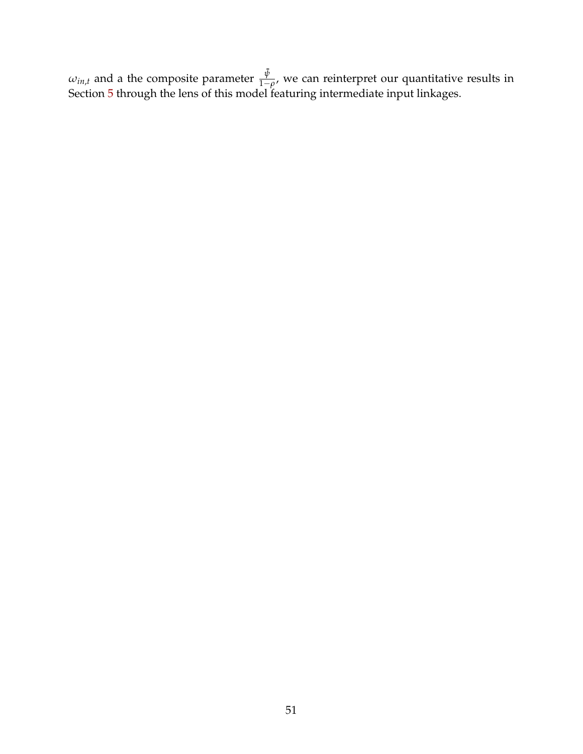$\omega_{in,t}$  and a the composite parameter  $\frac{\bar{\psi}}{1-\rho}$ , we can reinterpret our quantitative results in Section [5](#page-28-0) through the lens of this model featuring intermediate input linkages.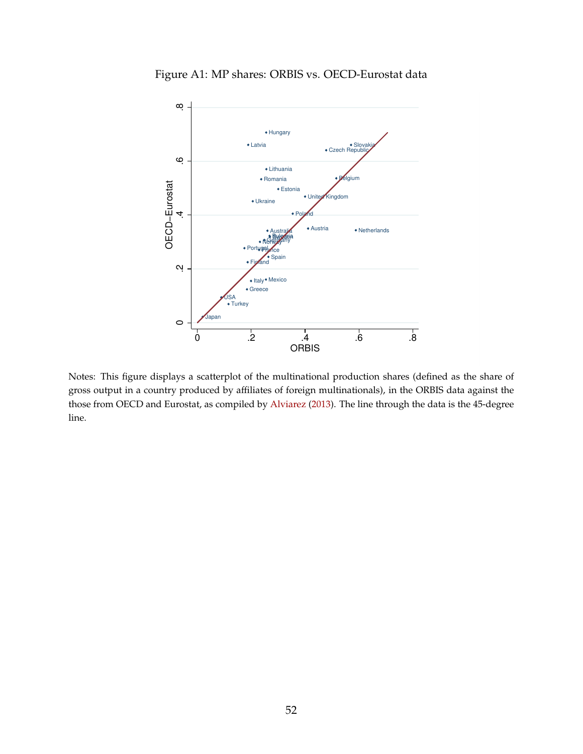

<span id="page-53-0"></span>Figure A1: MP shares: ORBIS vs. OECD-Eurostat data

Notes: This figure displays a scatterplot of the multinational production shares (defined as the share of gross output in a country produced by affiliates of foreign multinationals), in the ORBIS data against the those from OECD and Eurostat, as compiled by [Alviarez](#page-43-0) [\(2013\)](#page-43-0). The line through the data is the 45-degree line.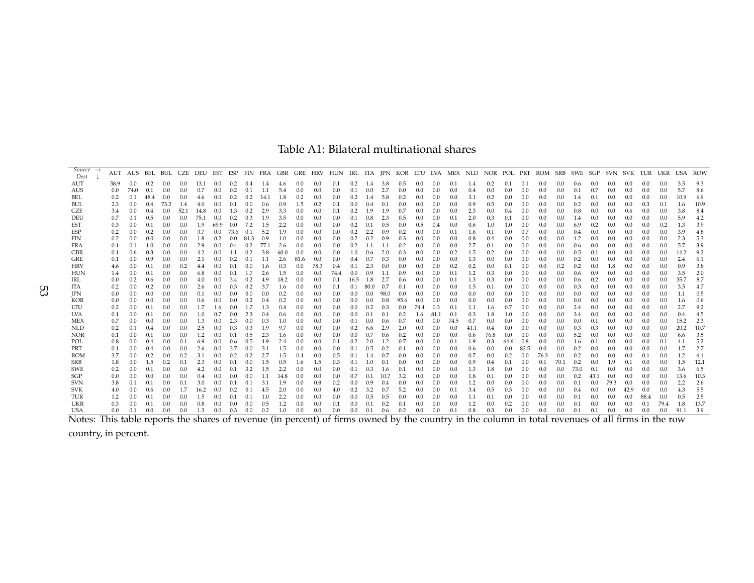Table A1: Bilateral multinational shares

| $Source \rightarrow$                                                                                                                                                                                                        |      |      |      |      |      |      |     |          |            |                                     |      |      |      |      |               |      |                         |         |      |            |         |         |      |      |         |                                                                                                                                             |         |      |      |      |         |      |      |      |      |
|-----------------------------------------------------------------------------------------------------------------------------------------------------------------------------------------------------------------------------|------|------|------|------|------|------|-----|----------|------------|-------------------------------------|------|------|------|------|---------------|------|-------------------------|---------|------|------------|---------|---------|------|------|---------|---------------------------------------------------------------------------------------------------------------------------------------------|---------|------|------|------|---------|------|------|------|------|
| Dest                                                                                                                                                                                                                        |      |      |      |      |      |      |     |          |            |                                     |      |      |      |      |               |      |                         |         |      |            |         |         |      |      |         | AUT AUS BEL BUL CZE DEU EST ESP FIN FRA GBR GRE HRV HUN IRL ITA JPN KOR LTU LVA MEX NLD NOR POL PRT ROM SRB SWE SGP SVN SVK TUR UKR USA ROW |         |      |      |      |         |      |      |      |      |
| AUT                                                                                                                                                                                                                         | 58.9 | 0.0  | 0.2  | 0.0  | 0.0  | 13.1 | 0.0 | $0.2\,$  | $0.4$ 1.4  |                                     | -4.6 | 0.0  | 0.0  | 0.1  | 0.2           | 1.4  | 3.8                     | $0.5\,$ | 0.0  | $0.0\,$    | $0.1\,$ | 1.4     | 0.2  | 0.1  | 0.1     | 0.0                                                                                                                                         | 0.0     | 0.6  | 0.0  | 0.0  | 0.0     | 0.0  | 0.0  | 3.5  | 9.3  |
| AUS                                                                                                                                                                                                                         | 0.0  | 74.0 | 0.1  | 0.0  | 0.0  | 0.7  | 0.0 | 0.2      | 0.1        | 1.1                                 | 5.4  | 0.0  | 0.0  | 0.0  | 0.1           | 0.0  | 2.7                     | 0.0     | 0.0  | 0.0        | 0.0     | 0.4     | 0.0  | 0.0  | 0.0     | 0.0                                                                                                                                         | $0.0\,$ | 0.1  | 0.7  | 0.0  | 0.0     | 0.0  | 0.0  | 5.7  | 8.6  |
| BEL                                                                                                                                                                                                                         | 0.2  | 0.1  | 48.4 | 0.0  | 0.0  | 4.6  | 0.0 | $0.2\,$  | $0.2$ 14.1 |                                     | 1.8  | 0.2  | 0.0  | 0.0  | 0.2           | 1.4  | 5.8                     | 0.2     | 0.0  | 0.0        | 0.0     | 3.1     | 0.2  | 0.0  | 0.0     | 0.0                                                                                                                                         | $0.0\,$ | 1.4  | 0.1  | 0.0  | 0.0     | 0.0  | 0.0  | 10.9 | 6.9  |
| BUL                                                                                                                                                                                                                         | 2.3  | 0.0  | 0.4  | 73.2 | 1.4  | 4.0  | 0.0 | 0.1      | $0.0\,$    | 0.6                                 | 0.9  | 1.5  | 0.2  | 0.1  | 0.0           | 0.4  | 0.1                     | 0.0     | 0.0  | 0.0        | 0.0     | 0.9     | 0.5  | 0.0  | 0.0     | 0.0                                                                                                                                         | 0.0     | 0.2  | 0.0  | 0.0  | 0.0     | 0.3  | 0.1  | 1.6  | 10.9 |
| CZE                                                                                                                                                                                                                         | 3.4  | 0.0  | 0.4  | 0.0  | 52.1 | 14.8 | 0.0 | 1.3      | $0.2\,$    | 2.9                                 | 3.3  | 0.0  | 0.0  | 0.1  | 0.2           | 1.9  | 1.9                     | 0.7     | 0.0  | 0.0        | 0.0     | 2.3     | 0.0  | 0.4  | 0.0     | 0.0                                                                                                                                         | $0.0\,$ | 0.8  | 0.0  | 0.0  | 0.6     | 0.0  | 0.0  | 3.8  | 8.4  |
| DEU                                                                                                                                                                                                                         | 0.7  | 0.1  | 0.5  | 0.0  | 0.0  | 75.1 | 0.0 | $0.2\,$  | 0.3        | 1.9                                 | 3.5  | 0.0  | 0.0  | 0.0  | 0.1           | 0.8  | 2.3                     | 0.5     | 0.0  | 0.0        | 0.1     | 2.0     | 0.3  | 0.1  | 0.0     | 0.0                                                                                                                                         | 0.0     | 1.4  | 0.0  | 0.0  | 0.0     | 0.0  | 0.0  | 5.9  | 4.2  |
| <b>EST</b>                                                                                                                                                                                                                  | 0.3  | 0.0  | 0.1  | 0.0  | 0.0  | 1.9  |     | 0.0      | 7.2        | 1.5                                 | 2.2  | 0.0  | 0.0  | 0.0  | 0.2           | 0.1  | 0.5                     | 0.0     | 0.5  | 0.4        | 0.0     | 0.6     | 1.0  | 1.0  | 0.0     | 0.0                                                                                                                                         | 0.0     | 6.9  | 0.2  | 0.0  | 0.0     | 0.0  | 0.2  | 1.3  | 3.9  |
| ESP                                                                                                                                                                                                                         | 0.2  | 0.0  | 0.2  | 0.0  | 0.0  | 3.7  | 0.0 | 73.6 0.1 |            | 5.2                                 | 1.9  | 0.0  | 0.0  | 0.0  | 0.2           | 2.2  | 0.9                     | 0.2     | 0.0  | 0.0        | 0.1     | 1.6     | 0.1  | 0.0  | 0.7     | 0.0                                                                                                                                         | 0.0     | 0.4  | 0.0  | 0.0  | 0.0     | 0.0  | 0.0  | 3.9  | 4.8  |
| FIN                                                                                                                                                                                                                         | 0.2  | 0.0  | 0.0  | 0.0  | 0.0  | 1.8  | 0.2 | 0.0      | 81.3       | 0.9                                 | 1.0  | 0.0  | 0.0  | 0.0  | 0.2           | 0.2  | 0.9                     | 0.3     | 0.0  | 0.0        | 0.0     | 0.8     | 0.4  | 0.0  | 0.0     | 0.0                                                                                                                                         | 0.0     | 4.2  | 0.0  | 0.0  | 0.0     | 0.0  | 0.0  | 2.3  | 5.3  |
| FRA                                                                                                                                                                                                                         | 0.1  | 0.1  | 1.0  | 0.0  | 0.0  | 2.9  | 0.0 | $0.4\,$  | 0.2        | 77.1                                | 2.6  | 0.0  | 0.0  | 0.0  | $0.2\,$       | 1.1  | 1.1                     | 0.2     | 0.0  | 0.0        | 0.0     | 2.7     | 0.1  | 0.0  | 0.0     | 0.0                                                                                                                                         | 0.0     | 0.6  | 0.0  | 0.0  | 0.0     | 0.0  | 0.0  | 5.7  | 3.9  |
| GBR                                                                                                                                                                                                                         | 0.1  | 0.6  | 0.3  | 0.0  | 0.0  |      |     | 1.1      | 0.2        | 3.8                                 | 60.0 | 0.0  | 0.0  | 0.0  | $1.0\,$       | 0.6  | 2.0                     | 0.3     | 0.0  | 0.0        | 0.2     | 1.5     | 0.2  | 0.0  | 0.0     | 0.0                                                                                                                                         | 0.0     | 0.5  | 0.1  | 0.0  | 0.0     | 0.0  | 0.0  | 14.2 | 9.2  |
| GRE                                                                                                                                                                                                                         | 0.1  | 0.0  | 0.9  | 0.0  | 0.0  | 2.1  | 0.0 | 0.2      | $0.1\,$    | 1.1                                 | 2.6  | 81.6 | 0.0  | 0.0  | 0.4           | 0.7  | 0.3                     | 0.0     | 0.0  | 0.0        | 0.0     | 1.3     | 0.0  | 0.0  | 0.0     | 0.0                                                                                                                                         | 0.0     | 0.2  | 0.0  | 0.0  | 0.0     | 0.0  | 0.0  | 2.4  | 6.1  |
| HRV                                                                                                                                                                                                                         | 4.6  | 0.0  | 0.1  | 0.0  | 0.2  | 4.4  | 0.0 | 0.1      | 0.0        | 1.6                                 | 0.3  | 0.0  | 78.3 | 0.4  | 0.1           | 2.3  | 0.0                     | 0.0     | 0.0  | 0.0        | 0.2     | 0.2     | 0.0  | 0.1  | 0.0     | 0.0                                                                                                                                         | 0.2     | 0.2  | 0.0  | 1.8  | 0.0     | 0.0  | 0.0  | 0.9  | 3.8  |
| HUN                                                                                                                                                                                                                         | 1.4  | 0.0  | 0.1  | 0.0  | 0.0  | 6.8  |     | 0.1      | 1.7        | 2.6                                 | 1.5  | 0.0  | 0.0  | 74.4 | $0.0\,$       | 0.9  | 1.1                     | 0.9     | 0.0  | 0.0        | 0.1     | 1.2     | 0.3  | 0.0  | 0.0     | 0.0                                                                                                                                         | 0.0     | 0.6  | 0.9  | 0.0  | 0.0     | 0.0  | 0.0  | 3.5  | 2.0  |
| IRL                                                                                                                                                                                                                         | 0.0  | 0.2  | 0.6  | 0.0  | 0.0  | 4.0  |     | 3.4      | 0.2        | 4.9                                 | 18.2 | 0.0  | 0.0  | 0.1  | 16.5          | 1.8  | 2.7                     | 0.6     | 0.0  | 0.0        | 0.1     | 1.3     | 0.3  | 0.0  | 0.0     | 0.0                                                                                                                                         | 0.0     | 0.6  | 0.2  | 0.0  | $0.0\,$ | 0.0  | 0.0  | 35.7 | 8.7  |
| ITA                                                                                                                                                                                                                         | 0.2  | 0.0  | 0.2  | 0.0  | 0.0  |      | 0.0 | 0.3      | 0.2        | 3.7                                 | 1.6  | 0.0  | 0.0  | 0.1  | 0.1           | 80.0 | 0.7                     | $0.1\,$ | 0.0  | 0.0        | 0.0     | 1.5     | 0.1  | 0.0  | 0.0     | 0.0                                                                                                                                         | 0.0     | 0.3  | 0.0  | 0.0  | 0.0     | 0.0  | 0.0  | 3.5  | 4.7  |
| JPN                                                                                                                                                                                                                         | 0.0  | 0.0  | 0.0  | 0.0  | 0.0  | 0.1  | 0.0 | 0.0      | 0.0        | 0.0                                 | 0.2  | 0.0  | 0.0  | 0.0  | $0.0\,$       | 0.0  | 98.0                    | 0.0     | 0.0  | 0.0        | 0.0     | 0.0     | 0.0  | 0.0  | 0.0     | 0.0                                                                                                                                         | 0.0     | 0.0  | 0.0  | 0.0  | 0.0     | 0.0  | 0.0  | 1.1  | 0.5  |
| KOR                                                                                                                                                                                                                         | 0.0  | 0.0  | 0.0  | 0.0  | 0.0  | 0.6  |     | 0.0      | 0.2        | 0.4                                 | 0.2  | 0.0  | 0.0  | 0.0  | $0.0\,$       | 0.0  | 0.8                     | 95.6    | 0.0  | 0.0        | 0.0     | 0.0     | 0.0  | 0.0  | 0.0     | 0.0                                                                                                                                         | 0.0     | 0.0  | 0.0  | 0.0  | 0.0     | 0.0  | 0.0  | 1.6  | 0.6  |
| LTU                                                                                                                                                                                                                         | 0.2  | 0.0  | 0.1  | 0.0  | 0.0  |      | 1.6 | 0.0      | 1.7        | 1.3                                 | 0.4  | 0.0  | 0.0  | 0.0  | $0.0\,$       | 0.2  | 0.3                     | 0.0     | 74.4 | 0.3        | 0.1     | 1.1     | 1.6  | 0.7  | 0.0     | 0.0                                                                                                                                         | 0.0     | 2.4  | 0.0  | 0.0  | 0.0     | 0.0  | 0.0  | 2.7  | 9.2  |
| LVA                                                                                                                                                                                                                         | 0.1  | 0.0  | 0.1  | 0.0  | 0.0  | 1.0  |     | 0.0      | 2.3        | 0.4                                 | 0.6  | 0.0  | 0.0  | 0.0  | $0.0\,$       | 0.1  | 0.1                     | 0.2     | 1.6  | 81.1       | 0.1     | 0.3     | 1.8  | 1.0  | 0.0     | 0.0                                                                                                                                         | 0.0     | 3.4  | 0.0  | 0.0  | 0.0     | 0.0  | 0.0  | 0.4  | 4.5  |
| MEX                                                                                                                                                                                                                         | 0.7  | 0.0  | 0.0  | 0.0  | 0.0  | 1.3  | 0.0 | 2.3      | 0.0        | 0.3                                 | 1.0  | 0.0  | 0.0  | 0.0  | 0.1           | 0.0  | 0.6                     | 0.7     | 0.0  | 0.0        | 74.5    | 0.7     | 0.0  | 0.0  | 0.0     | 0.0                                                                                                                                         | 0.0     | 0.0  | 0.1  | 0.0  | 0.0     | 0.0  | 0.0  | 15.2 | 2.3  |
| NLD                                                                                                                                                                                                                         | 0.2  | 0.1  | 0.4  | 0.0  | 0.0  | 2.5  | 0.0 | 0.3      | 0.3        | 1.9                                 | 9.7  | 0.0  | 0.0  | 0.0  | 0.2           | 6.6  | 2.9                     | 2.0     | 0.0  | 0.0        | 0.0     | 41.1    | 0.4  | 0.0  | 0.0     | 0.0                                                                                                                                         | 0.0     | 0.3  | 0.3  | 0.0  | 0.0     | 0.0  | 0.0  | 20.2 | 10.7 |
| <b>NOR</b>                                                                                                                                                                                                                  | 0.1  | 0.0  | 0.1  | 0.0  | 0.0  | 1.2  |     | 0.1      | 0.5        | 2.3                                 | 1.6  | 0.0  | 0.0  | 0.0  | $0.0\,$       | 0.7  | 0.6                     | 0.2     | 0.0  | 0.0        | 0.0     | 0.6     | 76.8 | 0.0  | 0.0     | 0.0                                                                                                                                         | 0.0     | 5.2  | 0.0  | 0.0  | $0.0\,$ | 0.0  | 0.0  | 6.6  | 3.5  |
| POL                                                                                                                                                                                                                         | 0.8  | 0.0  | 0.4  | 0.0  | 0.1  | 6.9  | 0.0 | 0.6      | 0.5        | 4.9                                 | 2.4  | 0.0  | 0.0  | 0.1  | 0.2           | 2.0  | 1.2                     | 0.7     | 0.0  | 0.0        | 0.1     | 1.9     | 0.3  | 64.6 | 0.8     | 0.0                                                                                                                                         | 0.0     | 1.6  | 0.1  | 0.0  | 0.0     | 0.0  | 0.1  | 4.1  | 5.2  |
| PRT                                                                                                                                                                                                                         | 0.1  | 0.0  | 0.4  | 0.0  | 0.0  |      | 0.0 | 3.7      | $0.0\,$    | - 3.1                               | 1.5  | 0.0  | 0.0  | 0.0  | 0.1           | 0.5  | 0.2                     | 0.1     | 0.0  | 0.0        | 0.0     | 0.6     | 0.0  | 0.0  | 82.5    | 0.0                                                                                                                                         | 0.0     | 0.2  | 0.0  | 0.0  | 0.0     | 0.0  | 0.0  |      | 2.7  |
| <b>ROM</b>                                                                                                                                                                                                                  | 3.7  | 0.0  | 0.2  | 0.0  | 0.2  | 3.1  |     | 0.2      | 0.2        | 2.7                                 | 1.5  | 0.4  | 0.0  | 0.5  | 0.1           | 1.4  | 0.7                     | 0.0     | 0.0  | 0.0        | 0.0     | 0.7     | 0.0  | 0.2  | 0.0     | 76.3                                                                                                                                        | $0.0\,$ | 0.2  | 0.0  | 0.0  | 0.0     | 0.1  | 0.0  | 1.2  | 6.1  |
| SRB                                                                                                                                                                                                                         | 1.8  | 0.0  | 1.5  | 0.2  | 0.1  | 2.3  | 0.0 | 0.1      | $0.0\,$    | 1.5                                 | 0.5  | 1.6  | 1.5  | 0.3  | 0.1           | 1.0  | 0.1                     | 0.0     | 0.0  | 0.0        | 0.0     | 0.9     | 0.4  | 0.1  | 0.0     | 0.1                                                                                                                                         | 70.1    | 0.2  | 0.0  | 1.9  | 0.1     | 0.0  | 0.0  | 1.5  | 12.1 |
| SWE                                                                                                                                                                                                                         | 0.2  | 0.0  | 0.1  | 0.0  | 0.0  | 4.2  | 0.0 | 0.1      | 3.2        | 1.5                                 | 2.2  | 0.0  | 0.0  | 0.0  | 0.1           | 0.3  | 1.6                     | 0.1     | 0.0  | 0.0        | 0.0     | 1.3     | 1.8  | 0.0  | 0.0     | 0.0                                                                                                                                         | 0.0     | 73.0 | 0.1  | 0.0  | 0.0     | 0.0  | 0.0  | 3.6  | 6.5  |
| SGP                                                                                                                                                                                                                         | 0.0  | 0.0  | 0.0  | 0.0  | 0.0  | 0.4  | 0.0 | $0.0\,$  | $0.0\,$    | - 1.1                               | 14.8 | 0.0  | 0.0  | 0.0  | 0.7           | 0.1  | 10.7                    | 3.2     | 0.0  | 0.0        | 0.0     | 1.8     | 0.1  | 0.0  | 0.0     | 0.0                                                                                                                                         | $0.0\,$ | 0.2  | 43.1 | 0.0  | 0.0     | 0.0  | 0.0  | 13.6 | 10.3 |
| <b>SVN</b>                                                                                                                                                                                                                  | 3.8  | 0.1  | 0.1  | 0.0  | 0.1  | 3.0  | 0.0 | 0.1      | $0.1\,$    | 3.1                                 | 1.9  | 0.0  | 0.8  | 0.2  | 0.0           | 0.9  | 0.4                     | 0.0     | 0.0  | 0.0        | 0.0     | 1.2     | 0.0  | 0.0  | 0.0     | 0.0                                                                                                                                         | 0.0     | 0.1  | 0.0  | 79.3 | 0.0     | 0.0  | 0.0  | 2.2  | 2.6  |
| <b>SVK</b>                                                                                                                                                                                                                  | 4.0  | 0.0  | 0.6  | 0.0  | -1.7 | 16.2 | 0.0 | 0.2      | $0.1\,$    | 4.5                                 | 2.0  | 0.0  | 0.0  | 4.0  | $0.2^{\circ}$ | 3.2  | 0.7                     | 5.2     | 0.0  | 0.0        | 0.1     | 3.4     | 0.5  | 0.3  | 0.0     | 0.0                                                                                                                                         | 0.0     | 0.4  | 0.0  | 0.0  | 42.9    | 0.0  | 0.0  | 4.3  | 5.5  |
| TUR                                                                                                                                                                                                                         | 1.2  | 0.0  | 0.1  | 0.0  | 0.0  | 1.5  | 0.0 | $0.1\,$  | $0.1\,$    | 1.0                                 | 2.2  | 0.0  | 0.0  | 0.0  | 0.0           | 0.5  | 0.5                     | 0.0     | 0.0  | 0.0        | 0.0     | $1.1\,$ | 0.1  | 0.0  | 0.0     | 0.0                                                                                                                                         | $0.0\,$ | 0.1  | 0.0  | 0.0  | 0.0     | 88.4 | 0.0  | 0.5  | 2.5  |
| UKR                                                                                                                                                                                                                         | 0.3  | 0.0  | 0.1  | 0.0  | 0.0  | 0.8  | 0.0 | 0.0      | $0.0\,$    | 0.5                                 | 1.2  | 0.0  | 0.0  | 0.1  | 0.0           | 0.1  | 0.2                     | 0.1     | 0.0  | 0.0        | 0.0     | 1.2     | 0.0  | 0.2  | 0.0     | 0.0                                                                                                                                         | 0.0     | 0.1  | 0.0  | 0.0  | 0.0     | 0.1  | 79.4 | 1.8  | 13.7 |
| USA                                                                                                                                                                                                                         | 0.0  | 0.1  | 0.0  | 0.0  | 0.0  | 1.3  |     |          |            | $0.0 \quad 0.3 \quad 0.0 \quad 0.2$ | 1.0  | 0.0  | 0.0  | 0.0  |               |      | $0.0$ $0.1$ $0.6$ $0.2$ |         |      | $0.0\ 0.0$ | 0.1     | $0.8\,$ | 0.3  | 0.0  | $0.0\,$ | 0.0                                                                                                                                         | 0.0     | 0.1  | 0.1  | 0.0  | 0.0     | 0.0  | 0.0  | 91.1 | 3.9  |
| $\mathbf{M}_{\text{eff}}$ . This other decisions of conservation of $\mathcal{C}_{\text{max}}$ , and the decision of the column is determined and conserve $\mathcal{C}_{\text{eff}}$ $\mathcal{C}_{\text{max}}$ is denoted |      |      |      |      |      |      |     |          |            |                                     |      |      |      |      |               |      |                         |         |      |            |         |         |      |      |         |                                                                                                                                             |         |      |      |      |         |      |      |      |      |

Notes: This table reports the shares of revenue (in percent) of firms owned by the country in the column in total revenues of all firms in the row

<span id="page-54-0"></span>country, in percent.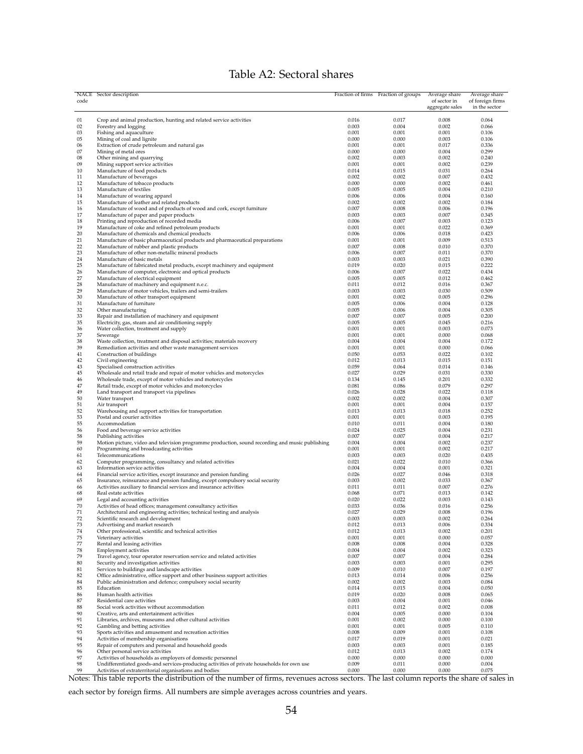### Table A2: Sectoral shares

<span id="page-55-0"></span>

|      | NACE Sector description                                                                         |       | Fraction of firms Fraction of groups | Average share   | Average share    |
|------|-------------------------------------------------------------------------------------------------|-------|--------------------------------------|-----------------|------------------|
| code |                                                                                                 |       |                                      | of sector in    | of foreign firms |
|      |                                                                                                 |       |                                      | aggregate sales | in the sector    |
|      |                                                                                                 |       |                                      |                 |                  |
| 01   | Crop and animal production, hunting and related service activities                              | 0.016 | 0.017                                | 0.008           | 0.064            |
| 02   | Forestry and logging                                                                            | 0.003 | 0.004                                | 0.002           | 0.066            |
| 03   | Fishing and aquaculture                                                                         | 0.001 | 0.001                                | 0.001           | 0.106            |
|      |                                                                                                 |       |                                      |                 |                  |
| 05   | Mining of coal and lignite                                                                      | 0.000 | 0.000                                | 0.003           | 0.106            |
| 06   | Extraction of crude petroleum and natural gas                                                   | 0.001 | 0.001                                | 0.017           | 0.336            |
| 07   | Mining of metal ores                                                                            | 0.000 | 0.000                                | 0.004           | 0.299            |
| 08   | Other mining and quarrying                                                                      | 0.002 | 0.003                                | 0.002           | 0.240            |
| 09   | Mining support service activities                                                               | 0.001 | 0.001                                | 0.002           | 0.239            |
| 10   | Manufacture of food products                                                                    | 0.014 | 0.015                                | 0.031           | 0.264            |
|      |                                                                                                 | 0.002 | 0.002                                | 0.007           | 0.432            |
| 11   | Manufacture of beverages                                                                        |       |                                      |                 |                  |
| 12   | Manufacture of tobacco products                                                                 | 0.000 | 0.000                                | 0.002           | 0.461            |
| 13   | Manufacture of textiles                                                                         | 0.005 | 0.005                                | 0.004           | 0.210            |
| 14   | Manufacture of wearing apparel                                                                  | 0.006 | 0.006                                | 0.004           | 0.160            |
| 15   | Manufacture of leather and related products                                                     | 0.002 | 0.002                                | 0.002           | 0.184            |
| 16   | Manufacture of wood and of products of wood and cork, except furniture                          | 0.007 | 0.008                                | 0.006           | 0.196            |
| 17   | Manufacture of paper and paper products                                                         | 0.003 | 0.003                                | 0.007           | 0.345            |
|      |                                                                                                 |       |                                      |                 |                  |
| 18   | Printing and reproduction of recorded media                                                     | 0.006 | 0.007                                | 0.003           | 0.123            |
| 19   | Manufacture of coke and refined petroleum products                                              | 0.001 | 0.001                                | 0.022           | 0.369            |
| 20   | Manufacture of chemicals and chemical products                                                  | 0.006 | 0.006                                | 0.018           | 0.423            |
| 21   | Manufacture of basic pharmaceutical products and pharmaceutical preparations                    | 0.001 | 0.001                                | 0.009           | 0.513            |
| 22   | Manufacture of rubber and plastic products                                                      | 0.007 | 0.008                                | 0.010           | 0.370            |
| 23   | Manufacture of other non-metallic mineral products                                              | 0.006 | 0.007                                | 0.011           | 0.370            |
| 24   | Manufacture of basic metals                                                                     | 0.003 | 0.003                                | 0.021           | 0.390            |
|      |                                                                                                 | 0.019 | 0.020                                | 0.015           | 0.222            |
| 25   | Manufacture of fabricated metal products, except machinery and equipment                        |       |                                      |                 |                  |
| 26   | Manufacture of computer, electronic and optical products                                        | 0.006 | 0.007                                | 0.022           | 0.434            |
| 27   | Manufacture of electrical equipment                                                             | 0.005 | 0.005                                | 0.012           | 0.462            |
| 28   | Manufacture of machinery and equipment n.e.c.                                                   | 0.011 | 0.012                                | 0.016           | 0.367            |
| 29   | Manufacture of motor vehicles, trailers and semi-trailers                                       | 0.003 | 0.003                                | 0.030           | 0.509            |
| 30   | Manufacture of other transport equipment                                                        | 0.001 | 0.002                                | 0.005           | 0.296            |
| 31   |                                                                                                 | 0.005 | 0.006                                | 0.004           | 0.128            |
|      | Manufacture of furniture                                                                        |       |                                      |                 |                  |
| 32   | Other manufacturing                                                                             | 0.005 | 0.006                                | 0.004           | 0.305            |
| 33   | Repair and installation of machinery and equipment                                              | 0.007 | 0.007                                | 0.005           | 0.200            |
| 35   | Electricity, gas, steam and air conditioning supply                                             | 0.005 | 0.005                                | 0.045           | 0.216            |
| 36   | Water collection, treatment and supply                                                          | 0.001 | 0.001                                | 0.003           | 0.073            |
| 37   | Sewerage                                                                                        | 0.001 | 0.001                                | 0.000           | 0.068            |
| 38   |                                                                                                 | 0.004 | 0.004                                | 0.004           | 0.172            |
|      | Waste collection, treatment and disposal activities; materials recovery                         |       |                                      |                 |                  |
| 39   | Remediation activities and other waste management services                                      | 0.001 | 0.001                                | 0.000           | 0.066            |
| 41   | Construction of buildings                                                                       | 0.050 | 0.053                                | 0.022           | 0.102            |
| 42   | Civil engineering                                                                               | 0.012 | 0.013                                | 0.015           | 0.151            |
| 43   | Specialised construction activities                                                             | 0.059 | 0.064                                | 0.014           | 0.146            |
| 45   | Wholesale and retail trade and repair of motor vehicles and motorcycles                         | 0.027 | 0.029                                | 0.031           | 0.330            |
| 46   | Wholesale trade, except of motor vehicles and motorcycles                                       | 0.134 | 0.145                                | 0.201           | 0.332            |
| 47   |                                                                                                 | 0.081 | 0.086                                | 0.079           | 0.297            |
|      | Retail trade, except of motor vehicles and motorcycles                                          |       |                                      |                 |                  |
| 49   | Land transport and transport via pipelines                                                      | 0.026 | 0.028                                | 0.022           | 0.118            |
| 50   | Water transport                                                                                 | 0.002 | 0.002                                | 0.004           | 0.307            |
| 51   | Air transport                                                                                   | 0.001 | 0.001                                | 0.004           | 0.157            |
| 52   | Warehousing and support activities for transportation                                           | 0.013 | 0.013                                | 0.018           | 0.252            |
| 53   | Postal and courier activities                                                                   | 0.001 | 0.001                                | 0.003           | 0.195            |
| 55   |                                                                                                 | 0.010 | 0.011                                | 0.004           | 0.180            |
|      | Accommodation                                                                                   |       |                                      |                 |                  |
| 56   | Food and beverage service activities                                                            | 0.024 | 0.025                                | 0.004           | 0.231            |
| 58   | Publishing activities                                                                           | 0.007 | 0.007                                | 0.004           | 0.217            |
| 59   | Motion picture, video and television programme production, sound recording and music publishing | 0.004 | 0.004                                | 0.002           | 0.237            |
| 60   | Programming and broadcasting activities                                                         | 0.001 | 0.001                                | 0.002           | 0.217            |
| 61   | Telecommunications                                                                              | 0.003 | 0.003                                | 0.020           | 0.435            |
| 62   | Computer programming, consultancy and related activities                                        | 0.021 | 0.022                                | 0.010           | 0.366            |
|      |                                                                                                 |       |                                      |                 |                  |
| 63   | Information service activities                                                                  | 0.004 | 0.004                                | 0.001           | 0.321            |
| 64   | Financial service activities, except insurance and pension funding                              | 0.026 | 0.027                                | 0.046           | 0.318            |
| 65   | Insurance, reinsurance and pension funding, except compulsory social security                   | 0.003 | 0.002                                | 0.033           | 0.367            |
| 66   | Activities auxiliary to financial services and insurance activities                             | 0.011 | 0.011                                | 0.007           | 0.276            |
| 68   | Real estate activities                                                                          | 0.068 | 0.071                                | 0.013           | 0.142            |
| 69   | Legal and accounting activities                                                                 | 0.020 | 0.022                                | 0.003           | 0.143            |
| 70   | Activities of head offices; management consultancy activities                                   | 0.033 | 0.036                                | 0.016           | 0.256            |
| 71   | Architectural and engineering activities; technical testing and analysis                        | 0.027 | 0.029                                | 0.008           | 0.196            |
| 72   | Scientific research and development                                                             | 0.003 | 0.003                                | 0.002           | 0.264            |
|      |                                                                                                 |       |                                      |                 |                  |
| 73   | Advertising and market research                                                                 | 0.012 | 0.013                                | 0.006           | 0.334            |
| 74   | Other professional, scientific and technical activities                                         | 0.012 | 0.013                                | 0.002           | 0.201            |
| 75   | Veterinary activities                                                                           | 0.001 | 0.001                                | 0.000           | 0.057            |
| 77   | Rental and leasing activities                                                                   | 0.008 | 0.008                                | 0.004           | 0.328            |
| 78   | Employment activities                                                                           | 0.004 | 0.004                                | 0.002           | 0.323            |
| 79   | Travel agency, tour operator reservation service and related activities                         | 0.007 | 0.007                                | 0.004           | 0.284            |
| 80   | Security and investigation activities                                                           | 0.003 | 0.003                                | 0.001           | 0.295            |
|      |                                                                                                 |       |                                      |                 |                  |
| 81   | Services to buildings and landscape activities                                                  | 0.009 | 0.010                                | 0.007           | 0.197            |
| 82   | Office administrative, office support and other business support activities                     | 0.013 | 0.014                                | 0.006           | 0.256            |
| 84   | Public administration and defence; compulsory social security                                   | 0.002 | 0.002                                | 0.003           | 0.084            |
| 85   | Education                                                                                       | 0.014 | 0.015                                | 0.004           | 0.050            |
| 86   | Human health activities                                                                         | 0.019 | 0.020                                | 0.008           | 0.065            |
| 87   | Residential care activities                                                                     | 0.003 | 0.004                                | 0.001           | 0.046            |
|      |                                                                                                 |       |                                      |                 |                  |
| 88   | Social work activities without accommodation                                                    | 0.011 | 0.012                                | 0.002           | 0.008            |
| 90   | Creative, arts and entertainment activities                                                     | 0.004 | 0.005                                | 0.000           | 0.104            |
| 91   | Libraries, archives, museums and other cultural activities                                      | 0.001 | 0.002                                | 0.000           | 0.100            |
| 92   | Gambling and betting activities                                                                 | 0.001 | 0.001                                | 0.005           | 0.110            |
| 93   | Sports activities and amusement and recreation activities                                       | 0.008 | 0.009                                | 0.001           | 0.108            |
| 94   | Activities of membership organisations                                                          | 0.017 | 0.019                                | 0.001           | 0.021            |
| 95   |                                                                                                 |       |                                      |                 |                  |
|      | Repair of computers and personal and household goods                                            | 0.003 | 0.003                                | 0.001           | 0.185            |
| 96   | Other personal service activities                                                               | 0.012 | 0.013                                | 0.002           | 0.174            |
| 97   | Activities of households as employers of domestic personnel                                     | 0.000 | 0.000                                | 0.000           | 0.000            |
| 98   | Undifferentiated goods-and services-producing activities of private households for own use      | 0.009 | 0.011                                | 0.000           | 0.004            |
| 99   | Activities of extraterritorial organisations and bodies                                         | 0.000 | 0.000                                | 0.000           | 0.075            |

 $\frac{99}{2000}$  Activities of extraterritorial organisations and bodies 0.000 0.000 0.000 0.000 0.005 0.075 0.000 0.075 0.000 0.075 0.000 0.075 0.000 0.075 0.000 0.075 0.000 0.075 0.000 0.075 0.000 0.075 0.000 0.075 0.000 0

each sector by foreign firms. All numbers are simple averages across countries and years.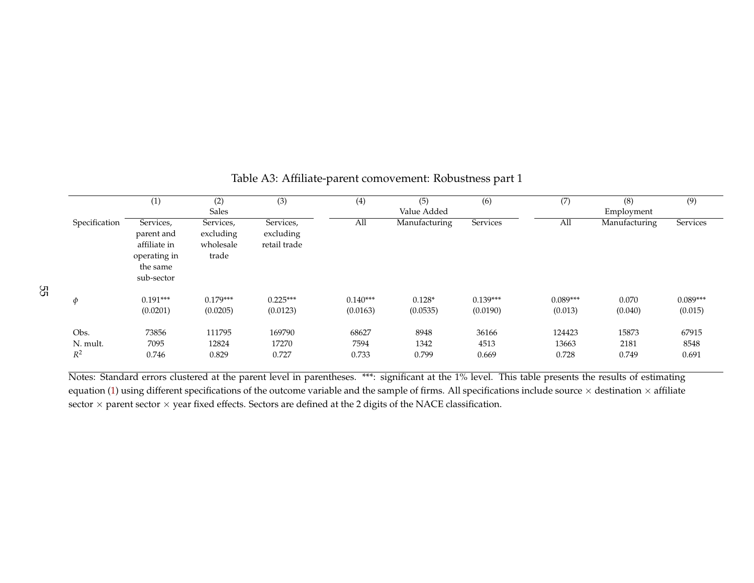|                           | (1)                                                                               | (2)                                          | (3)                                    | (4)                    | (5)                   | (6)                    | (7)                      | (8)                    | (9)                    |
|---------------------------|-----------------------------------------------------------------------------------|----------------------------------------------|----------------------------------------|------------------------|-----------------------|------------------------|--------------------------|------------------------|------------------------|
|                           |                                                                                   | <b>Sales</b>                                 |                                        |                        | Value Added           |                        |                          | Employment             |                        |
| Specification             | Services,<br>parent and<br>affiliate in<br>operating in<br>the same<br>sub-sector | Services,<br>excluding<br>wholesale<br>trade | Services,<br>excluding<br>retail trade | All                    | Manufacturing         | <b>Services</b>        | All                      | Manufacturing          | <b>Services</b>        |
| Φ                         | $0.191***$<br>(0.0201)                                                            | $0.179***$<br>(0.0205)                       | $0.225***$<br>(0.0123)                 | $0.140***$<br>(0.0163) | $0.128*$<br>(0.0535)  | $0.139***$<br>(0.0190) | $0.089***$<br>(0.013)    | 0.070<br>(0.040)       | $0.089***$<br>(0.015)  |
| Obs.<br>N. mult.<br>$R^2$ | 73856<br>7095<br>0.746                                                            | 111795<br>12824<br>0.829                     | 169790<br>17270<br>0.727               | 68627<br>7594<br>0.733 | 8948<br>1342<br>0.799 | 36166<br>4513<br>0.669 | 124423<br>13663<br>0.728 | 15873<br>2181<br>0.749 | 67915<br>8548<br>0.691 |

### <span id="page-56-0"></span>Table A3: Affiliate-parent comovement: Robustness part 1

Notes: Standard errors clustered at the parent level in parentheses. \*\*\*: significant at the 1% level. This table presents the results of estimating equation [\(1\)](#page-12-4) using different specifications of the outcome variable and the sample of firms. All specifications include source  $\times$  destination  $\times$  affiliate sector  $\times$  parent sector  $\times$  year fixed effects. Sectors are defined at the 2 digits of the NACE classification.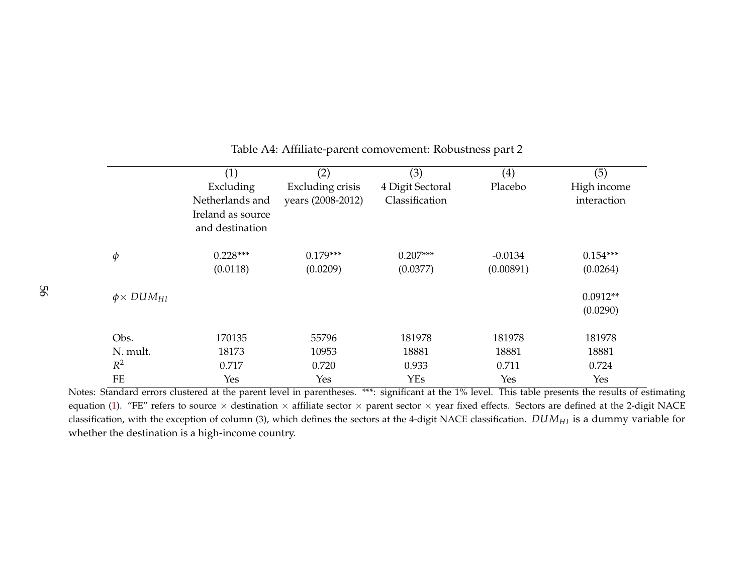|                        | (1)               | (2)               | (3)              | (4)       | (5)         |
|------------------------|-------------------|-------------------|------------------|-----------|-------------|
|                        | Excluding         | Excluding crisis  | 4 Digit Sectoral | Placebo   | High income |
|                        | Netherlands and   | years (2008-2012) | Classification   |           | interaction |
|                        | Ireland as source |                   |                  |           |             |
|                        | and destination   |                   |                  |           |             |
| φ                      | $0.228***$        | $0.179***$        | $0.207***$       | $-0.0134$ | $0.154***$  |
|                        | (0.0118)          | (0.0209)          | (0.0377)         | (0.00891) | (0.0264)    |
| $\phi \times DUM_{HI}$ |                   |                   |                  |           | $0.0912**$  |
|                        |                   |                   |                  |           | (0.0290)    |
| Obs.                   | 170135            | 55796             | 181978           | 181978    | 181978      |
| N. mult.               | 18173             | 10953             | 18881            | 18881     | 18881       |
| $R^2$                  | 0.717             | 0.720             | 0.933            | 0.711     | 0.724       |
| FE                     | Yes               | Yes               | <b>YEs</b>       | Yes       | Yes         |

### Table A4: Affiliate-parent comovement: Robustness part 2

<span id="page-57-0"></span>Notes: Standard errors clustered at the parent level in parentheses. \*\*\*: significant at the 1% level. This table presents the results of estimating equation [\(1\)](#page-12-4). "FE" refers to source  $\times$  destination  $\times$  affiliate sector  $\times$  parent sector  $\times$  year fixed effects. Sectors are defined at the 2-digit NACE classification, with the exception of column (3), which defines the sectors at the 4-digit NACE classification.  $DUM_{HI}$  is a dummy variable for whether the destination is a high-income country.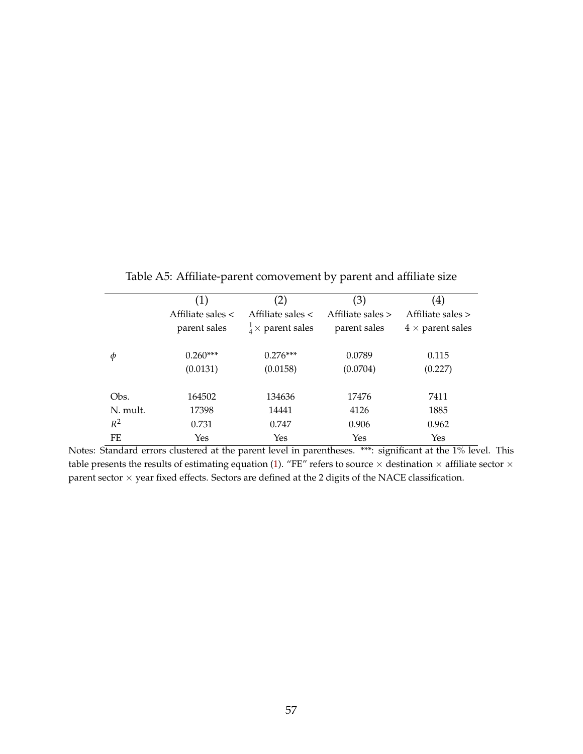<span id="page-58-0"></span>

|          | (1)<br>Affiliate sales $\lt$<br>parent sales | $\left( 2\right)$<br>Affiliate sales $\lt$<br>$\frac{1}{4}$ × parent sales | (3)<br>Affiliate sales $>$<br>parent sales | 4)<br>Affiliate sales $>$<br>$4 \times$ parent sales |
|----------|----------------------------------------------|----------------------------------------------------------------------------|--------------------------------------------|------------------------------------------------------|
| φ        | $0.260***$<br>(0.0131)                       | $0.276***$<br>(0.0158)                                                     | 0.0789<br>(0.0704)                         | 0.115<br>(0.227)                                     |
| Obs.     | 164502                                       | 134636                                                                     | 17476                                      | 7411                                                 |
| N. mult. | 17398                                        | 14441                                                                      | 4126                                       | 1885                                                 |
| $R^2$    | 0.731                                        | 0.747                                                                      | 0.906                                      | 0.962                                                |
| FE       | Yes                                          | Yes                                                                        | Yes                                        | Yes                                                  |

Table A5: Affiliate-parent comovement by parent and affiliate size

Notes: Standard errors clustered at the parent level in parentheses. \*\*\*: significant at the 1% level. This table presents the results of estimating equation [\(1\)](#page-12-2). "FE" refers to source  $\times$  destination  $\times$  affiliate sector  $\times$ parent sector  $\times$  year fixed effects. Sectors are defined at the 2 digits of the NACE classification.